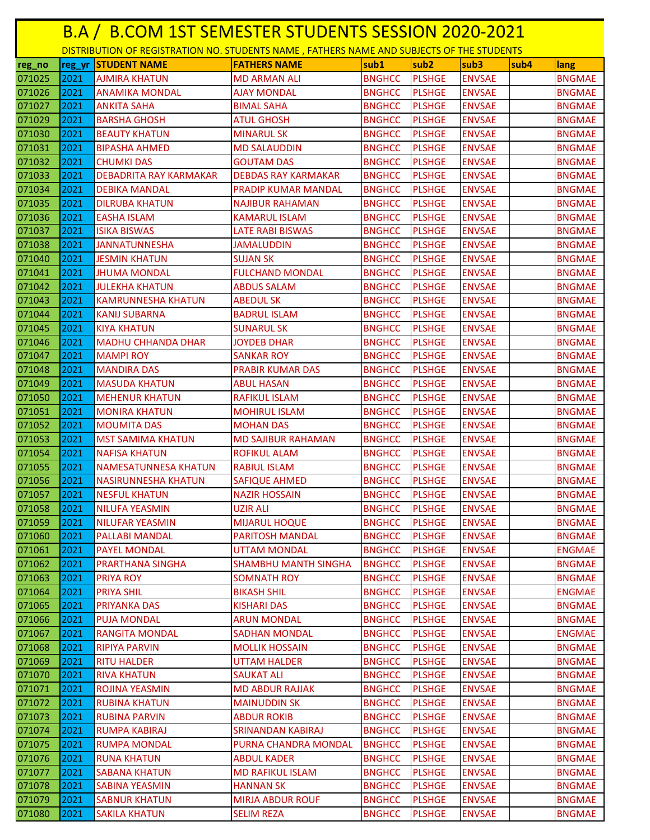|        | B.A / B.COM 1ST SEMESTER STUDENTS SESSION 2020-2021 |                                                                                           |                             |               |                  |                          |               |  |  |  |  |
|--------|-----------------------------------------------------|-------------------------------------------------------------------------------------------|-----------------------------|---------------|------------------|--------------------------|---------------|--|--|--|--|
|        |                                                     | DISTRIBUTION OF REGISTRATION NO. STUDENTS NAME, FATHERS NAME AND SUBJECTS OF THE STUDENTS |                             |               |                  |                          |               |  |  |  |  |
| reg_no | reg_yr                                              | <b>STUDENT NAME</b>                                                                       | <b>FATHERS NAME</b>         | sub1          | sub <sub>2</sub> | sub <sub>3</sub><br>sub4 | lang          |  |  |  |  |
| 071025 | 2021                                                | <b>AJMIRA KHATUN</b>                                                                      | <b>MD ARMAN ALI</b>         | <b>BNGHCC</b> | <b>PLSHGE</b>    | <b>ENVSAE</b>            | <b>BNGMAE</b> |  |  |  |  |
| 071026 | 2021                                                | <b>ANAMIKA MONDAL</b>                                                                     | <b>AJAY MONDAL</b>          | <b>BNGHCC</b> | <b>PLSHGE</b>    | <b>ENVSAE</b>            | <b>BNGMAE</b> |  |  |  |  |
| 071027 | 2021                                                | <b>ANKITA SAHA</b>                                                                        | <b>BIMAL SAHA</b>           | <b>BNGHCC</b> | <b>PLSHGE</b>    | <b>ENVSAE</b>            | <b>BNGMAE</b> |  |  |  |  |
| 071029 | 2021                                                | BARSHA GHOSH                                                                              | ATUL GHOSH                  | <b>BNGHCC</b> | <b>PLSHGE</b>    | <b>ENVSAE</b>            | <b>BNGMAE</b> |  |  |  |  |
| 071030 | 2021                                                | <b>BEAUTY KHATUN</b>                                                                      | <b>MINARUL SK</b>           | <b>BNGHCC</b> | <b>PLSHGE</b>    | <b>ENVSAE</b>            | <b>BNGMAE</b> |  |  |  |  |
| 071031 | 2021                                                | <b>BIPASHA AHMED</b>                                                                      | <b>MD SALAUDDIN</b>         | <b>BNGHCC</b> | <b>PLSHGE</b>    | <b>ENVSAE</b>            | <b>BNGMAE</b> |  |  |  |  |
| 071032 | 2021                                                | <b>CHUMKI DAS</b>                                                                         | <b>GOUTAM DAS</b>           | <b>BNGHCC</b> | <b>PLSHGE</b>    | <b>ENVSAE</b>            | <b>BNGMAE</b> |  |  |  |  |
| 071033 | 2021                                                | <b>DEBADRITA RAY KARMAKAR</b>                                                             | <b>DEBDAS RAY KARMAKAR</b>  | <b>BNGHCC</b> | <b>PLSHGE</b>    | <b>ENVSAE</b>            | <b>BNGMAE</b> |  |  |  |  |
| 071034 | 2021                                                | <b>DEBIKA MANDAL</b>                                                                      | <b>PRADIP KUMAR MANDAL</b>  | <b>BNGHCC</b> | <b>PLSHGE</b>    | <b>ENVSAE</b>            | <b>BNGMAE</b> |  |  |  |  |
| 071035 | 2021                                                | <b>DILRUBA KHATUN</b>                                                                     | <b>NAJIBUR RAHAMAN</b>      | <b>BNGHCC</b> | <b>PLSHGE</b>    | <b>ENVSAE</b>            | <b>BNGMAE</b> |  |  |  |  |
| 071036 | 2021                                                | <b>EASHA ISLAM</b>                                                                        | <b>KAMARUL ISLAM</b>        | <b>BNGHCC</b> | <b>PLSHGE</b>    | <b>ENVSAE</b>            | <b>BNGMAE</b> |  |  |  |  |
| 071037 | 2021                                                | <b>ISIKA BISWAS</b>                                                                       | <b>LATE RABI BISWAS</b>     | <b>BNGHCC</b> | <b>PLSHGE</b>    | <b>ENVSAE</b>            | <b>BNGMAE</b> |  |  |  |  |
| 071038 | 2021                                                | <b>JANNATUNNESHA</b>                                                                      | <b>JAMALUDDIN</b>           | <b>BNGHCC</b> | <b>PLSHGE</b>    | <b>ENVSAE</b>            | <b>BNGMAE</b> |  |  |  |  |
| 071040 | 2021                                                | <b>JESMIN KHATUN</b>                                                                      | <b>SUJAN SK</b>             | <b>BNGHCC</b> | <b>PLSHGE</b>    | <b>ENVSAE</b>            | <b>BNGMAE</b> |  |  |  |  |
| 071041 | 2021                                                | <b>JHUMA MONDAL</b>                                                                       | <b>FULCHAND MONDAL</b>      | <b>BNGHCC</b> | <b>PLSHGE</b>    | <b>ENVSAE</b>            | <b>BNGMAE</b> |  |  |  |  |
| 071042 | 2021                                                | <b>JULEKHA KHATUN</b>                                                                     | <b>ABDUS SALAM</b>          | <b>BNGHCC</b> | <b>PLSHGE</b>    | <b>ENVSAE</b>            | <b>BNGMAE</b> |  |  |  |  |
| 071043 | 2021                                                | <b>KAMRUNNESHA KHATUN</b>                                                                 | <b>ABEDUL SK</b>            | <b>BNGHCC</b> | <b>PLSHGE</b>    | <b>ENVSAE</b>            | <b>BNGMAE</b> |  |  |  |  |
| 071044 | 2021                                                | <b>KANIJ SUBARNA</b>                                                                      | <b>BADRUL ISLAM</b>         | <b>BNGHCC</b> | <b>PLSHGE</b>    | <b>ENVSAE</b>            | <b>BNGMAE</b> |  |  |  |  |
| 071045 | 2021                                                | <b>KIYA KHATUN</b>                                                                        | <b>SUNARUL SK</b>           | <b>BNGHCC</b> | <b>PLSHGE</b>    | <b>ENVSAE</b>            | <b>BNGMAE</b> |  |  |  |  |
| 071046 | 2021                                                | <b>MADHU CHHANDA DHAR</b>                                                                 | <b>JOYDEB DHAR</b>          | <b>BNGHCC</b> | <b>PLSHGE</b>    | <b>ENVSAE</b>            | <b>BNGMAE</b> |  |  |  |  |
| 071047 | 2021                                                | MAMPI ROY                                                                                 | SANKAR ROY                  | <b>BNGHCC</b> | <b>PLSHGE</b>    | <b>ENVSAE</b>            | <b>BNGMAE</b> |  |  |  |  |
| 071048 | 2021                                                | <b>MANDIRA DAS</b>                                                                        | <b>PRABIR KUMAR DAS</b>     | <b>BNGHCC</b> | <b>PLSHGE</b>    | <b>ENVSAE</b>            | <b>BNGMAE</b> |  |  |  |  |
| 071049 | 2021                                                | <b>MASUDA KHATUN</b>                                                                      | <b>ABUL HASAN</b>           | <b>BNGHCC</b> | <b>PLSHGE</b>    | <b>ENVSAE</b>            | <b>BNGMAE</b> |  |  |  |  |
| 071050 | 2021                                                | <b>MEHENUR KHATUN</b>                                                                     | <b>RAFIKUL ISLAM</b>        | <b>BNGHCC</b> | <b>PLSHGE</b>    | <b>ENVSAE</b>            | <b>BNGMAE</b> |  |  |  |  |
| 071051 | 2021                                                | <b>MONIRA KHATUN</b>                                                                      | <b>MOHIRUL ISLAM</b>        | <b>BNGHCC</b> | <b>PLSHGE</b>    | <b>ENVSAE</b>            | <b>BNGMAE</b> |  |  |  |  |
| 071052 | 2021                                                | <b>MOUMITA DAS</b>                                                                        | <b>MOHAN DAS</b>            | <b>BNGHCC</b> | <b>PLSHGE</b>    | <b>ENVSAE</b>            | <b>BNGMAE</b> |  |  |  |  |
| 071053 | 2021                                                | <b>MST SAMIMA KHATUN</b>                                                                  | <b>MD SAJIBUR RAHAMAN</b>   | <b>BNGHCC</b> | <b>PLSHGE</b>    | <b>ENVSAE</b>            | <b>BNGMAE</b> |  |  |  |  |
| 071054 | 2021                                                | <b>NAFISA KHATUN</b>                                                                      | <b>ROFIKUL ALAM</b>         | <b>BNGHCC</b> | <b>PLSHGE</b>    | <b>ENVSAE</b>            | <b>BNGMAE</b> |  |  |  |  |
| 071055 | 2021                                                | <b>NAMESATUNNESA KHATUN</b>                                                               | <b>RABIUL ISLAM</b>         | <b>BNGHCC</b> | <b>PLSHGE</b>    | <b>ENVSAE</b>            | <b>BNGMAE</b> |  |  |  |  |
| 071056 | 2021                                                | <b>NASIRUNNESHA KHATUN</b>                                                                | <b>SAFIQUE AHMED</b>        | <b>BNGHCC</b> | <b>PLSHGE</b>    | <b>ENVSAE</b>            | <b>BNGMAE</b> |  |  |  |  |
| 071057 | 2021                                                | <b>NESFUL KHATUN</b>                                                                      | <b>NAZIR HOSSAIN</b>        | <b>BNGHCC</b> | <b>PLSHGE</b>    | <b>ENVSAE</b>            | <b>BNGMAE</b> |  |  |  |  |
| 071058 | 2021                                                | <b>NILUFA YEASMIN</b>                                                                     | <b>UZIR ALI</b>             | <b>BNGHCC</b> | <b>PLSHGE</b>    | <b>ENVSAE</b>            | <b>BNGMAE</b> |  |  |  |  |
| 071059 | 2021                                                | <b>NILUFAR YEASMIN</b>                                                                    | <b>MIJARUL HOQUE</b>        | <b>BNGHCC</b> | <b>PLSHGE</b>    | <b>ENVSAE</b>            | <b>BNGMAE</b> |  |  |  |  |
| 071060 | 2021                                                | <b>PALLABI MANDAL</b>                                                                     | <b>PARITOSH MANDAL</b>      | <b>BNGHCC</b> | <b>PLSHGE</b>    | <b>ENVSAE</b>            | <b>BNGMAE</b> |  |  |  |  |
| 071061 | 2021                                                | <b>PAYEL MONDAL</b>                                                                       | <b>UTTAM MONDAL</b>         | <b>BNGHCC</b> | <b>PLSHGE</b>    | <b>ENVSAE</b>            | <b>ENGMAE</b> |  |  |  |  |
| 071062 | 2021                                                | PRARTHANA SINGHA                                                                          | <b>SHAMBHU MANTH SINGHA</b> | <b>BNGHCC</b> | <b>PLSHGE</b>    | <b>ENVSAE</b>            | <b>BNGMAE</b> |  |  |  |  |
| 071063 | 2021                                                | PRIYA ROY                                                                                 | SOMNATH ROY                 | <b>BNGHCC</b> | <b>PLSHGE</b>    | <b>ENVSAE</b>            | <b>BNGMAE</b> |  |  |  |  |
| 071064 | 2021                                                | <b>PRIYA SHIL</b>                                                                         | <b>BIKASH SHIL</b>          | <b>BNGHCC</b> | <b>PLSHGE</b>    | <b>ENVSAE</b>            | <b>ENGMAE</b> |  |  |  |  |
| 071065 | 2021                                                | PRIYANKA DAS                                                                              | <b>KISHARI DAS</b>          | <b>BNGHCC</b> | <b>PLSHGE</b>    | <b>ENVSAE</b>            | <b>BNGMAE</b> |  |  |  |  |
| 071066 | 2021                                                | <b>PUJA MONDAL</b>                                                                        | <b>ARUN MONDAL</b>          | <b>BNGHCC</b> | <b>PLSHGE</b>    | <b>ENVSAE</b>            | <b>BNGMAE</b> |  |  |  |  |
| 071067 | 2021                                                | <b>RANGITA MONDAL</b>                                                                     | <b>SADHAN MONDAL</b>        | <b>BNGHCC</b> | <b>PLSHGE</b>    | <b>ENVSAE</b>            | <b>ENGMAE</b> |  |  |  |  |
| 071068 | 2021                                                | <b>RIPIYA PARVIN</b>                                                                      | <b>MOLLIK HOSSAIN</b>       | <b>BNGHCC</b> | <b>PLSHGE</b>    | <b>ENVSAE</b>            | <b>BNGMAE</b> |  |  |  |  |
| 071069 | 2021                                                | <b>RITU HALDER</b>                                                                        | <b>UTTAM HALDER</b>         | <b>BNGHCC</b> | <b>PLSHGE</b>    | <b>ENVSAE</b>            | <b>BNGMAE</b> |  |  |  |  |
| 071070 | 2021                                                | <b>RIVA KHATUN</b>                                                                        | <b>SAUKAT ALI</b>           | <b>BNGHCC</b> | <b>PLSHGE</b>    | <b>ENVSAE</b>            | <b>BNGMAE</b> |  |  |  |  |
| 071071 | 2021                                                | ROJINA YEASMIN                                                                            | <b>MD ABDUR RAJJAK</b>      | <b>BNGHCC</b> | <b>PLSHGE</b>    | <b>ENVSAE</b>            | <b>BNGMAE</b> |  |  |  |  |
| 071072 | 2021                                                | <b>RUBINA KHATUN</b>                                                                      | <b>MAINUDDIN SK</b>         | <b>BNGHCC</b> | <b>PLSHGE</b>    | <b>ENVSAE</b>            | <b>BNGMAE</b> |  |  |  |  |
| 071073 | 2021                                                | <b>RUBINA PARVIN</b>                                                                      | <b>ABDUR ROKIB</b>          | <b>BNGHCC</b> | <b>PLSHGE</b>    | <b>ENVSAE</b>            | <b>BNGMAE</b> |  |  |  |  |
| 071074 | 2021                                                | <b>RUMPA KABIRAJ</b>                                                                      | <b>SRINANDAN KABIRAJ</b>    | <b>BNGHCC</b> | <b>PLSHGE</b>    | <b>ENVSAE</b>            | <b>BNGMAE</b> |  |  |  |  |
| 071075 | 2021                                                | <b>RUMPA MONDAL</b>                                                                       | PURNA CHANDRA MONDAL        | <b>BNGHCC</b> | <b>PLSHGE</b>    | <b>ENVSAE</b>            | <b>BNGMAE</b> |  |  |  |  |
| 071076 | 2021                                                | <b>RUNA KHATUN</b>                                                                        | <b>ABDUL KADER</b>          | <b>BNGHCC</b> | <b>PLSHGE</b>    | <b>ENVSAE</b>            | <b>BNGMAE</b> |  |  |  |  |
| 071077 | 2021                                                | <b>SABANA KHATUN</b>                                                                      | <b>MD RAFIKUL ISLAM</b>     | <b>BNGHCC</b> | <b>PLSHGE</b>    | <b>ENVSAE</b>            | <b>BNGMAE</b> |  |  |  |  |
| 071078 | 2021                                                | <b>SABINA YEASMIN</b>                                                                     | <b>HANNAN SK</b>            | <b>BNGHCC</b> | <b>PLSHGE</b>    | <b>ENVSAE</b>            | <b>BNGMAE</b> |  |  |  |  |
| 071079 | 2021                                                | <b>SABNUR KHATUN</b>                                                                      | <b>MIRJA ABDUR ROUF</b>     | <b>BNGHCC</b> | <b>PLSHGE</b>    | <b>ENVSAE</b>            | <b>BNGMAE</b> |  |  |  |  |
| 071080 | 2021                                                | <b>SAKILA KHATUN</b>                                                                      | <b>SELIM REZA</b>           | <b>BNGHCC</b> | <b>PLSHGE</b>    | <b>ENVSAE</b>            | <b>BNGMAE</b> |  |  |  |  |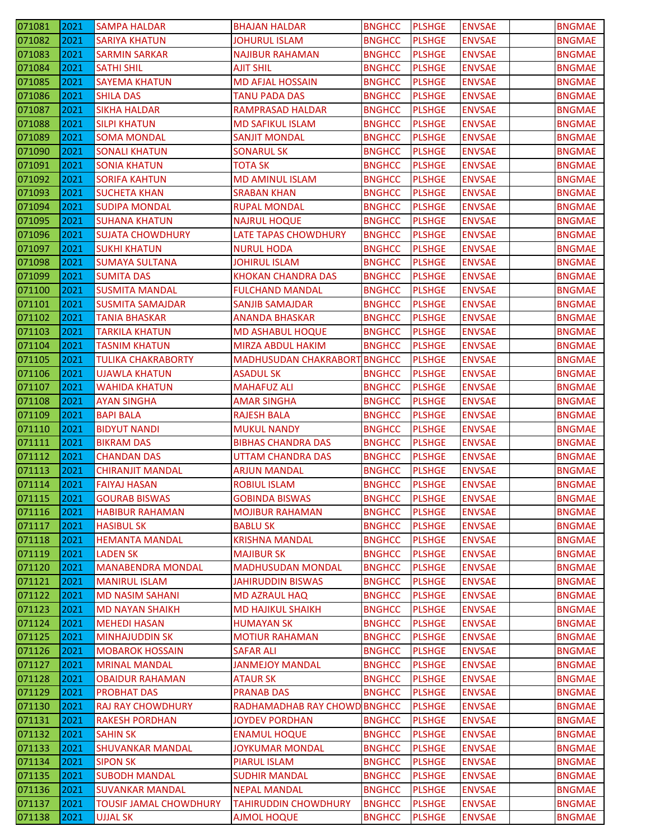| 071081           | 2021         | <b>SAMPA HALDAR</b>                            | <b>BHAJAN HALDAR</b>                 | <b>BNGHCC</b>                  | <b>PLSHGE</b>                  | <b>ENVSAE</b>                  | <b>BNGMAE</b>                  |
|------------------|--------------|------------------------------------------------|--------------------------------------|--------------------------------|--------------------------------|--------------------------------|--------------------------------|
| 071082           | 2021         | <b>SARIYA KHATUN</b>                           | <b>JOHURUL ISLAM</b>                 | <b>BNGHCC</b>                  | <b>PLSHGE</b>                  | <b>ENVSAE</b>                  | <b>BNGMAE</b>                  |
| 071083           | 2021         | <b>SARMIN SARKAR</b>                           | <b>NAJIBUR RAHAMAN</b>               | <b>BNGHCC</b>                  | <b>PLSHGE</b>                  | <b>ENVSAE</b>                  | <b>BNGMAE</b>                  |
| 071084           | 2021         | <b>SATHI SHIL</b>                              | <b>AJIT SHIL</b>                     | <b>BNGHCC</b>                  | <b>PLSHGE</b>                  | <b>ENVSAE</b>                  | <b>BNGMAE</b>                  |
| 071085           | 2021         | <b>SAYEMA KHATUN</b>                           | <b>MD AFJAL HOSSAIN</b>              | <b>BNGHCC</b>                  | <b>PLSHGE</b>                  | <b>ENVSAE</b>                  | <b>BNGMAE</b>                  |
| 071086           | 2021         | <b>SHILA DAS</b>                               | TANU PADA DAS                        | <b>BNGHCC</b>                  | <b>PLSHGE</b>                  | <b>ENVSAE</b>                  | <b>BNGMAE</b>                  |
| 071087           | 2021         | SIKHA HALDAR                                   | RAMPRASAD HALDAR                     | <b>BNGHCC</b>                  | <b>PLSHGE</b>                  | <b>ENVSAE</b>                  | <b>BNGMAE</b>                  |
| 071088           | 2021         | <b>SILPI KHATUN</b>                            | <b>MD SAFIKUL ISLAM</b>              | <b>BNGHCC</b>                  | <b>PLSHGE</b>                  | <b>ENVSAE</b>                  | <b>BNGMAE</b>                  |
| 071089           | 2021         | <b>SOMA MONDAL</b>                             | <b>SANJIT MONDAL</b>                 | <b>BNGHCC</b>                  | <b>PLSHGE</b>                  | <b>ENVSAE</b>                  | <b>BNGMAE</b>                  |
| 071090           | 2021         | <b>SONALI KHATUN</b>                           | <b>SONARUL SK</b>                    | <b>BNGHCC</b>                  | <b>PLSHGE</b>                  | <b>ENVSAE</b>                  | <b>BNGMAE</b>                  |
| 071091           | 2021         | <b>SONIA KHATUN</b>                            | <b>TOTA SK</b>                       | <b>BNGHCC</b>                  | <b>PLSHGE</b>                  | <b>ENVSAE</b>                  | <b>BNGMAE</b>                  |
| 071092           | 2021         | <b>SORIFA KAHTUN</b>                           | <b>MD AMINUL ISLAM</b>               | <b>BNGHCC</b>                  | <b>PLSHGE</b>                  | <b>ENVSAE</b>                  | <b>BNGMAE</b>                  |
| 071093           | 2021         | <b>SUCHETA KHAN</b>                            | <b>SRABAN KHAN</b>                   | <b>BNGHCC</b>                  | <b>PLSHGE</b>                  | <b>ENVSAE</b>                  | <b>BNGMAE</b>                  |
| 071094           | 2021         | <b>SUDIPA MONDAL</b>                           | <b>RUPAL MONDAL</b>                  | <b>BNGHCC</b>                  | <b>PLSHGE</b>                  | <b>ENVSAE</b>                  | <b>BNGMAE</b>                  |
| 071095           | 2021         | <b>SUHANA KHATUN</b>                           | <b>NAJRUL HOQUE</b>                  | <b>BNGHCC</b>                  | <b>PLSHGE</b>                  | <b>ENVSAE</b>                  | <b>BNGMAE</b>                  |
| 071096           | 2021         | <b>SUJATA CHOWDHURY</b>                        | <b>LATE TAPAS CHOWDHURY</b>          | <b>BNGHCC</b>                  | <b>PLSHGE</b>                  | <b>ENVSAE</b>                  | <b>BNGMAE</b>                  |
| 071097           | 2021         | <b>SUKHI KHATUN</b>                            | <b>NURUL HODA</b>                    | <b>BNGHCC</b>                  | <b>PLSHGE</b>                  | <b>ENVSAE</b>                  | <b>BNGMAE</b>                  |
| 071098           | 2021         | <b>SUMAYA SULTANA</b>                          | <b>JOHIRUL ISLAM</b>                 | <b>BNGHCC</b>                  | <b>PLSHGE</b>                  | <b>ENVSAE</b>                  | <b>BNGMAE</b>                  |
| 071099           | 2021         | <b>SUMITA DAS</b>                              | <b>KHOKAN CHANDRA DAS</b>            | <b>BNGHCC</b>                  | <b>PLSHGE</b>                  | <b>ENVSAE</b>                  | <b>BNGMAE</b>                  |
| 071100           | 2021         | <b>SUSMITA MANDAL</b>                          | <b>FULCHAND MANDAL</b>               | <b>BNGHCC</b>                  | <b>PLSHGE</b>                  | <b>ENVSAE</b>                  | <b>BNGMAE</b>                  |
| 071101           | 2021         | <b>SUSMITA SAMAJDAR</b>                        | <b>SANJIB SAMAJDAR</b>               | <b>BNGHCC</b>                  | <b>PLSHGE</b>                  | <b>ENVSAE</b>                  | <b>BNGMAE</b>                  |
| 071102           | 2021         | <b>TANIA BHASKAR</b>                           | <b>ANANDA BHASKAR</b>                | <b>BNGHCC</b>                  | <b>PLSHGE</b>                  | <b>ENVSAE</b>                  | <b>BNGMAE</b>                  |
| 071103           | 2021         | <b>TARKILA KHATUN</b>                          | <b>MD ASHABUL HOQUE</b>              | <b>BNGHCC</b>                  | <b>PLSHGE</b>                  | <b>ENVSAE</b>                  | <b>BNGMAE</b>                  |
| 071104           | 2021         | <b>TASNIM KHATUN</b>                           | MIRZA ABDUL HAKIM                    | <b>BNGHCC</b>                  | <b>PLSHGE</b>                  | <b>ENVSAE</b>                  | <b>BNGMAE</b>                  |
| 071105           | 2021         | <b>TULIKA CHAKRABORTY</b>                      | <b>MADHUSUDAN CHAKRABORT</b>         | <b>BNGHCC</b>                  | <b>PLSHGE</b>                  | <b>ENVSAE</b>                  | <b>BNGMAE</b>                  |
| 071106           | 2021         | <b>UJAWLA KHATUN</b>                           | ASADUL SK                            | <b>BNGHCC</b>                  | <b>PLSHGE</b>                  | <b>ENVSAE</b>                  | <b>BNGMAE</b>                  |
| 071107           | 2021         | <b>WAHIDA KHATUN</b>                           | <b>MAHAFUZ ALI</b>                   | <b>BNGHCC</b>                  | <b>PLSHGE</b>                  | <b>ENVSAE</b>                  | <b>BNGMAE</b>                  |
| 071108           | 2021         | <b>AYAN SINGHA</b>                             | <b>AMAR SINGHA</b>                   | <b>BNGHCC</b>                  | <b>PLSHGE</b>                  | <b>ENVSAE</b>                  | <b>BNGMAE</b>                  |
| 071109           | 2021         | BAPI BALA                                      | RAJESH BALA                          | <b>BNGHCC</b>                  | <b>PLSHGE</b>                  | <b>ENVSAE</b>                  | <b>BNGMAE</b>                  |
| 071110           | 2021         | <b>BIDYUT NANDI</b>                            | <b>MUKUL NANDY</b>                   | <b>BNGHCC</b>                  | <b>PLSHGE</b>                  | <b>ENVSAE</b>                  | <b>BNGMAE</b>                  |
| 071111           | 2021         | <b>BIKRAM DAS</b>                              | <b>BIBHAS CHANDRA DAS</b>            | <b>BNGHCC</b>                  | <b>PLSHGE</b>                  | <b>ENVSAE</b>                  | <b>BNGMAE</b>                  |
| 071112           | 2021         | <b>CHANDAN DAS</b>                             | <b>UTTAM CHANDRA DAS</b>             | <b>BNGHCC</b>                  | <b>PLSHGE</b>                  | <b>ENVSAE</b>                  | <b>BNGMAE</b>                  |
| 071113           | 2021         | <b>CHIRANJIT MANDAL</b>                        | <b>ARJUN MANDAL</b>                  | <b>BNGHCC</b>                  | <b>PLSHGE</b>                  | <b>ENVSAE</b>                  | <b>BNGMAE</b>                  |
| 071114           | 2021         | <b>FAIYAJ HASAN</b>                            | <b>ROBIUL ISLAM</b>                  | <b>BNGHCC</b>                  | <b>PLSHGE</b>                  | <b>ENVSAE</b>                  | <b>BNGMAE</b>                  |
| 071115           | 2021         | <b>GOURAB BISWAS</b>                           | <b>GOBINDA BISWAS</b>                | <b>BNGHCC</b>                  | <b>PLSHGE</b>                  | <b>ENVSAE</b>                  | <b>BNGMAE</b>                  |
| 071116           | 2021         | <b>HABIBUR RAHAMAN</b>                         | <b>MOJIBUR RAHAMAN</b>               | <b>BNGHCC</b>                  | <b>PLSHGE</b>                  | <b>ENVSAE</b>                  | <b>BNGMAE</b>                  |
| 071117           | 2021         | <b>HASIBUL SK</b>                              | <b>BABLU SK</b>                      | <b>BNGHCC</b>                  | <b>PLSHGE</b>                  | <b>ENVSAE</b>                  | <b>BNGMAE</b>                  |
| 071118           | 2021         | <b>HEMANTA MANDAL</b>                          | <b>KRISHNA MANDAL</b>                | <b>BNGHCC</b>                  | <b>PLSHGE</b>                  | <b>ENVSAE</b>                  | <b>BNGMAE</b>                  |
| 071119           | 2021         | LADEN SK                                       | <b>MAJIBUR SK</b>                    | <b>BNGHCC</b>                  | <b>PLSHGE</b>                  | <b>ENVSAE</b>                  | <b>BNGMAE</b>                  |
| 071120           | 2021         | <b>MANABENDRA MONDAL</b>                       | <b>MADHUSUDAN MONDAL</b>             | <b>BNGHCC</b>                  | <b>PLSHGE</b>                  | <b>ENVSAE</b>                  | <b>BNGMAE</b>                  |
| 071121           | 2021         | <b>MANIRUL ISLAM</b>                           | <b>JAHIRUDDIN BISWAS</b>             | <b>BNGHCC</b>                  | <b>PLSHGE</b>                  | <b>ENVSAE</b>                  | <b>BNGMAE</b>                  |
| 071122           | 2021         | <b>MD NASIM SAHANI</b>                         | <b>MD AZRAUL HAQ</b>                 | <b>BNGHCC</b>                  | <b>PLSHGE</b>                  | <b>ENVSAE</b>                  | <b>BNGMAE</b>                  |
| 071123           | 2021         | <b>MD NAYAN SHAIKH</b>                         | <b>MD HAJIKUL SHAIKH</b>             | <b>BNGHCC</b>                  | <b>PLSHGE</b>                  | <b>ENVSAE</b>                  | <b>BNGMAE</b>                  |
| 071124           | 2021         | <b>MEHEDI HASAN</b>                            | <b>HUMAYAN SK</b>                    | <b>BNGHCC</b>                  | <b>PLSHGE</b>                  | <b>ENVSAE</b>                  | <b>BNGMAE</b>                  |
| 071125           | 2021         | MINHAJUDDIN SK                                 | <b>MOTIUR RAHAMAN</b>                | <b>BNGHCC</b>                  | <b>PLSHGE</b>                  | <b>ENVSAE</b>                  | <b>BNGMAE</b>                  |
| 071126           | 2021         | <b>MOBAROK HOSSAIN</b>                         | <b>SAFAR ALI</b>                     | <b>BNGHCC</b>                  | <b>PLSHGE</b>                  | <b>ENVSAE</b>                  | <b>BNGMAE</b>                  |
| 071127           | 2021         | <b>MRINAL MANDAL</b>                           | <b>JANMEJOY MANDAL</b>               | <b>BNGHCC</b>                  | <b>PLSHGE</b>                  | <b>ENVSAE</b>                  | <b>BNGMAE</b>                  |
| 071128           | 2021         | <b>OBAIDUR RAHAMAN</b>                         | <b>ATAUR SK</b>                      | <b>BNGHCC</b>                  | <b>PLSHGE</b>                  | <b>ENVSAE</b>                  | <b>BNGMAE</b>                  |
| 071129           | 2021         | <b>PROBHAT DAS</b>                             | <b>PRANAB DAS</b>                    | <b>BNGHCC</b>                  | <b>PLSHGE</b>                  | <b>ENVSAE</b>                  | <b>BNGMAE</b>                  |
| 071130           | 2021         | <b>RAJ RAY CHOWDHURY</b>                       | RADHAMADHAB RAY CHOWD BNGHCC         |                                | <b>PLSHGE</b>                  | <b>ENVSAE</b>                  | <b>BNGMAE</b>                  |
| 071131           | 2021         | <b>RAKESH PORDHAN</b>                          | <b>JOYDEV PORDHAN</b>                | <b>BNGHCC</b>                  | <b>PLSHGE</b>                  | <b>ENVSAE</b>                  | <b>BNGMAE</b>                  |
| 071132           | 2021         | <b>SAHIN SK</b>                                | <b>ENAMUL HOQUE</b>                  | <b>BNGHCC</b>                  | <b>PLSHGE</b>                  | <b>ENVSAE</b>                  | <b>BNGMAE</b>                  |
| 071133           | 2021         | <b>SHUVANKAR MANDAL</b><br><b>SIPON SK</b>     | <b>JOYKUMAR MONDAL</b>               | <b>BNGHCC</b>                  | <b>PLSHGE</b>                  | <b>ENVSAE</b>                  | <b>BNGMAE</b>                  |
| 071134           | 2021<br>2021 |                                                | PIARUL ISLAM<br><b>SUDHIR MANDAL</b> | <b>BNGHCC</b>                  | <b>PLSHGE</b>                  | <b>ENVSAE</b>                  | <b>BNGMAE</b>                  |
| 071135<br>071136 | 2021         | <b>SUBODH MANDAL</b><br><b>SUVANKAR MANDAL</b> | <b>NEPAL MANDAL</b>                  | <b>BNGHCC</b><br><b>BNGHCC</b> | <b>PLSHGE</b><br><b>PLSHGE</b> | <b>ENVSAE</b><br><b>ENVSAE</b> | <b>BNGMAE</b><br><b>BNGMAE</b> |
| 071137           | 2021         | <b>TOUSIF JAMAL CHOWDHURY</b>                  | <b>TAHIRUDDIN CHOWDHURY</b>          | <b>BNGHCC</b>                  | <b>PLSHGE</b>                  | <b>ENVSAE</b>                  | <b>BNGMAE</b>                  |
| 071138           | 2021         | <b>UJJAL SK</b>                                | <b>AJMOL HOQUE</b>                   | <b>BNGHCC</b>                  | <b>PLSHGE</b>                  | <b>ENVSAE</b>                  | <b>BNGMAE</b>                  |
|                  |              |                                                |                                      |                                |                                |                                |                                |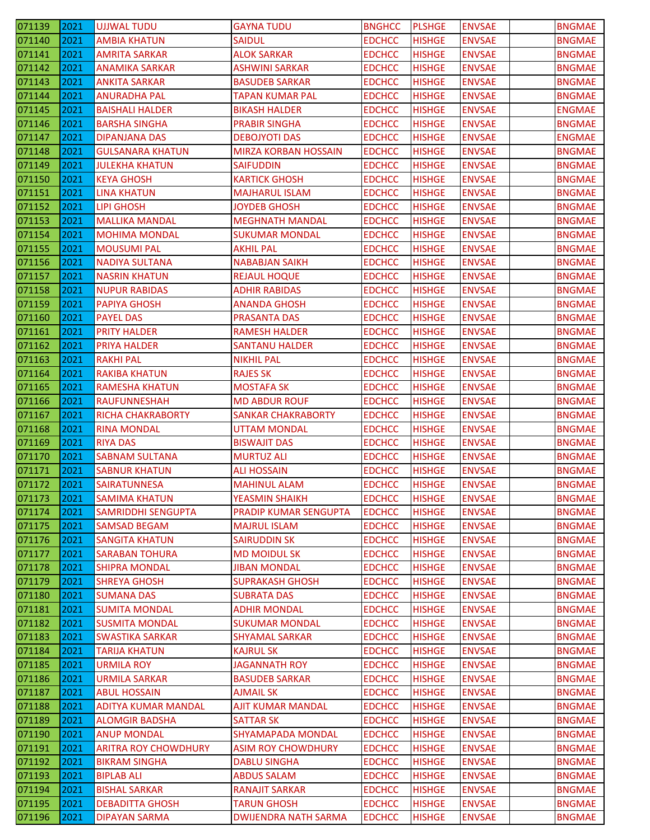| 071139 | 2021 | <b>UJJWAL TUDU</b>          | <b>GAYNA TUDU</b>           | <b>BNGHCC</b> | <b>PLSHGE</b> | <b>ENVSAE</b> | <b>BNGMAE</b> |
|--------|------|-----------------------------|-----------------------------|---------------|---------------|---------------|---------------|
| 071140 | 2021 | <b>AMBIA KHATUN</b>         | <b>SAIDUL</b>               | <b>EDCHCC</b> | <b>HISHGE</b> | <b>ENVSAE</b> | <b>BNGMAE</b> |
| 071141 | 2021 | <b>AMRITA SARKAR</b>        | <b>ALOK SARKAR</b>          | <b>EDCHCC</b> | <b>HISHGE</b> | <b>ENVSAE</b> | <b>BNGMAE</b> |
| 071142 | 2021 | <b>ANAMIKA SARKAR</b>       | <b>ASHWINI SARKAR</b>       | <b>EDCHCC</b> | <b>HISHGE</b> | <b>ENVSAE</b> | <b>BNGMAE</b> |
| 071143 | 2021 | <b>ANKITA SARKAR</b>        | <b>BASUDEB SARKAR</b>       | <b>EDCHCC</b> | <b>HISHGE</b> | <b>ENVSAE</b> | <b>BNGMAE</b> |
| 071144 | 2021 | <b>ANURADHA PAL</b>         | TAPAN KUMAR PAL             | <b>EDCHCC</b> | <b>HISHGE</b> | <b>ENVSAE</b> | <b>BNGMAE</b> |
| 071145 | 2021 | <b>BAISHALI HALDER</b>      | <b>BIKASH HALDER</b>        | <b>EDCHCC</b> | <b>HISHGE</b> | <b>ENVSAE</b> | <b>ENGMAE</b> |
| 071146 | 2021 | <b>BARSHA SINGHA</b>        | <b>PRABIR SINGHA</b>        | <b>EDCHCC</b> | <b>HISHGE</b> | <b>ENVSAE</b> | <b>BNGMAE</b> |
| 071147 | 2021 | <b>DIPANJANA DAS</b>        | <b>DEBOJYOTI DAS</b>        | <b>EDCHCC</b> | <b>HISHGE</b> | <b>ENVSAE</b> | <b>ENGMAE</b> |
| 071148 | 2021 | <b>GULSANARA KHATUN</b>     | <b>MIRZA KORBAN HOSSAIN</b> | <b>EDCHCC</b> | <b>HISHGE</b> | <b>ENVSAE</b> | <b>BNGMAE</b> |
| 071149 | 2021 | <b>JULEKHA KHATUN</b>       | <b>SAIFUDDIN</b>            | <b>EDCHCC</b> | <b>HISHGE</b> | <b>ENVSAE</b> | <b>BNGMAE</b> |
| 071150 | 2021 | KEYA GHOSH                  | <b>KARTICK GHOSH</b>        | <b>EDCHCC</b> | <b>HISHGE</b> | <b>ENVSAE</b> | <b>BNGMAE</b> |
| 071151 | 2021 | <b>LINA KHATUN</b>          | <b>MAJHARUL ISLAM</b>       | <b>EDCHCC</b> | <b>HISHGE</b> | <b>ENVSAE</b> | <b>BNGMAE</b> |
| 071152 | 2021 | LIPI GHOSH                  | <b>JOYDEB GHOSH</b>         | <b>EDCHCC</b> | <b>HISHGE</b> | <b>ENVSAE</b> | <b>BNGMAE</b> |
| 071153 | 2021 | <b>MALLIKA MANDAL</b>       | <b>MEGHNATH MANDAL</b>      | <b>EDCHCC</b> | <b>HISHGE</b> | <b>ENVSAE</b> | <b>BNGMAE</b> |
| 071154 | 2021 | <b>MOHIMA MONDAL</b>        | <b>SUKUMAR MONDAL</b>       | <b>EDCHCC</b> | <b>HISHGE</b> | <b>ENVSAE</b> | <b>BNGMAE</b> |
| 071155 | 2021 | <b>MOUSUMI PAL</b>          | <b>AKHIL PAL</b>            | <b>EDCHCC</b> | <b>HISHGE</b> | <b>ENVSAE</b> | <b>BNGMAE</b> |
| 071156 | 2021 | <b>NADIYA SULTANA</b>       | <b>NABABJAN SAIKH</b>       | <b>EDCHCC</b> | <b>HISHGE</b> | <b>ENVSAE</b> | <b>BNGMAE</b> |
| 071157 | 2021 | <b>NASRIN KHATUN</b>        | <b>REJAUL HOQUE</b>         | <b>EDCHCC</b> | <b>HISHGE</b> | <b>ENVSAE</b> | <b>BNGMAE</b> |
| 071158 | 2021 | <b>NUPUR RABIDAS</b>        | <b>ADHIR RABIDAS</b>        | <b>EDCHCC</b> | <b>HISHGE</b> | <b>ENVSAE</b> | <b>BNGMAE</b> |
| 071159 | 2021 | <b>PAPIYA GHOSH</b>         | <b>ANANDA GHOSH</b>         | <b>EDCHCC</b> | <b>HISHGE</b> | <b>ENVSAE</b> | <b>BNGMAE</b> |
| 071160 | 2021 | <b>PAYEL DAS</b>            | <b>PRASANTA DAS</b>         | <b>EDCHCC</b> | <b>HISHGE</b> | <b>ENVSAE</b> | <b>BNGMAE</b> |
| 071161 | 2021 | <b>PRITY HALDER</b>         | <b>RAMESH HALDER</b>        | <b>EDCHCC</b> | <b>HISHGE</b> | <b>ENVSAE</b> | <b>BNGMAE</b> |
| 071162 | 2021 |                             |                             | <b>EDCHCC</b> |               |               |               |
|        |      | <b>PRIYA HALDER</b>         | <b>SANTANU HALDER</b>       |               | <b>HISHGE</b> | <b>ENVSAE</b> | <b>BNGMAE</b> |
| 071163 | 2021 | <b>RAKHI PAL</b>            | <b>NIKHIL PAL</b>           | <b>EDCHCC</b> | <b>HISHGE</b> | <b>ENVSAE</b> | <b>BNGMAE</b> |
| 071164 | 2021 | <b>RAKIBA KHATUN</b>        | <b>RAJES SK</b>             | <b>EDCHCC</b> | <b>HISHGE</b> | <b>ENVSAE</b> | <b>BNGMAE</b> |
| 071165 | 2021 | <b>RAMESHA KHATUN</b>       | <b>MOSTAFA SK</b>           | <b>EDCHCC</b> | <b>HISHGE</b> | <b>ENVSAE</b> | <b>BNGMAE</b> |
| 071166 | 2021 | <b>RAUFUNNESHAH</b>         | <b>MD ABDUR ROUF</b>        | <b>EDCHCC</b> | <b>HISHGE</b> | <b>ENVSAE</b> | <b>BNGMAE</b> |
| 071167 | 2021 | <b>RICHA CHAKRABORTY</b>    | SANKAR CHAKRABORTY          | <b>EDCHCC</b> | <b>HISHGE</b> | <b>ENVSAE</b> | <b>BNGMAE</b> |
| 071168 | 2021 | <b>RINA MONDAL</b>          | <b>UTTAM MONDAL</b>         | <b>EDCHCC</b> | <b>HISHGE</b> | <b>ENVSAE</b> | <b>BNGMAE</b> |
| 071169 | 2021 | <b>RIYA DAS</b>             | <b>BISWAJIT DAS</b>         | <b>EDCHCC</b> | <b>HISHGE</b> | <b>ENVSAE</b> | <b>BNGMAE</b> |
| 071170 | 2021 | <b>SABNAM SULTANA</b>       | <b>MURTUZ ALI</b>           | <b>EDCHCC</b> | <b>HISHGE</b> | <b>ENVSAE</b> | <b>BNGMAE</b> |
| 071171 | 2021 | <b>SABNUR KHATUN</b>        | <b>ALI HOSSAIN</b>          | <b>EDCHCC</b> | <b>HISHGE</b> | <b>ENVSAE</b> | <b>BNGMAE</b> |
| 071172 | 2021 | SAIRATUNNESA                | <b>MAHINUL ALAM</b>         | <b>EDCHCC</b> | <b>HISHGE</b> | <b>ENVSAE</b> | <b>BNGMAE</b> |
| 071173 | 2021 | <b>SAMIMA KHATUN</b>        | <b>YEASMIN SHAIKH</b>       | <b>EDCHCC</b> | <b>HISHGE</b> | <b>ENVSAE</b> | <b>BNGMAE</b> |
| 071174 | 2021 | <b>SAMRIDDHI SENGUPTA</b>   | PRADIP KUMAR SENGUPTA       | <b>EDCHCC</b> | <b>HISHGE</b> | <b>ENVSAE</b> | <b>BNGMAE</b> |
| 071175 | 2021 | <b>SAMSAD BEGAM</b>         | <b>MAJRUL ISLAM</b>         | <b>EDCHCC</b> | <b>HISHGE</b> | <b>ENVSAE</b> | <b>BNGMAE</b> |
| 071176 | 2021 | <b>SANGITA KHATUN</b>       | <b>SAIRUDDIN SK</b>         | <b>EDCHCC</b> | <b>HISHGE</b> | <b>ENVSAE</b> | <b>BNGMAE</b> |
| 071177 | 2021 | <b>SARABAN TOHURA</b>       | <b>MD MOIDUL SK</b>         | <b>EDCHCC</b> | <b>HISHGE</b> | <b>ENVSAE</b> | <b>BNGMAE</b> |
| 071178 | 2021 | <b>SHIPRA MONDAL</b>        | <b>JIBAN MONDAL</b>         | <b>EDCHCC</b> | <b>HISHGE</b> | <b>ENVSAE</b> | <b>BNGMAE</b> |
| 071179 | 2021 | <b>SHREYA GHOSH</b>         | <b>SUPRAKASH GHOSH</b>      | <b>EDCHCC</b> | <b>HISHGE</b> | <b>ENVSAE</b> | <b>BNGMAE</b> |
| 071180 | 2021 | <b>SUMANA DAS</b>           | <b>SUBRATA DAS</b>          | <b>EDCHCC</b> | <b>HISHGE</b> | <b>ENVSAE</b> | <b>BNGMAE</b> |
| 071181 | 2021 | <b>SUMITA MONDAL</b>        | <b>ADHIR MONDAL</b>         | <b>EDCHCC</b> | <b>HISHGE</b> | <b>ENVSAE</b> | <b>BNGMAE</b> |
| 071182 | 2021 | <b>SUSMITA MONDAL</b>       | <b>SUKUMAR MONDAL</b>       | <b>EDCHCC</b> | <b>HISHGE</b> | <b>ENVSAE</b> | <b>BNGMAE</b> |
| 071183 | 2021 | <b>SWASTIKA SARKAR</b>      | <b>SHYAMAL SARKAR</b>       | <b>EDCHCC</b> | <b>HISHGE</b> | <b>ENVSAE</b> | <b>BNGMAE</b> |
| 071184 | 2021 | <b>TARIJA KHATUN</b>        | <b>KAJRUL SK</b>            | <b>EDCHCC</b> | <b>HISHGE</b> | <b>ENVSAE</b> | <b>BNGMAE</b> |
| 071185 | 2021 | <b>URMILA ROY</b>           | <b>JAGANNATH ROY</b>        | <b>EDCHCC</b> | <b>HISHGE</b> | <b>ENVSAE</b> | <b>BNGMAE</b> |
| 071186 | 2021 | <b>URMILA SARKAR</b>        | <b>BASUDEB SARKAR</b>       | <b>EDCHCC</b> | <b>HISHGE</b> | <b>ENVSAE</b> | <b>BNGMAE</b> |
| 071187 | 2021 | <b>ABUL HOSSAIN</b>         | <b>AJMAIL SK</b>            | <b>EDCHCC</b> | <b>HISHGE</b> | <b>ENVSAE</b> | <b>BNGMAE</b> |
| 071188 | 2021 | <b>ADITYA KUMAR MANDAL</b>  | AJIT KUMAR MANDAL           | <b>EDCHCC</b> | <b>HISHGE</b> | <b>ENVSAE</b> | <b>BNGMAE</b> |
| 071189 | 2021 | <b>ALOMGIR BADSHA</b>       | <b>SATTAR SK</b>            | <b>EDCHCC</b> | <b>HISHGE</b> | <b>ENVSAE</b> | <b>BNGMAE</b> |
| 071190 | 2021 | <b>ANUP MONDAL</b>          | <b>SHYAMAPADA MONDAL</b>    | <b>EDCHCC</b> | <b>HISHGE</b> | <b>ENVSAE</b> | <b>BNGMAE</b> |
| 071191 | 2021 | <b>ARITRA ROY CHOWDHURY</b> | <b>ASIM ROY CHOWDHURY</b>   | <b>EDCHCC</b> | <b>HISHGE</b> | <b>ENVSAE</b> | <b>BNGMAE</b> |
| 071192 | 2021 | <b>BIKRAM SINGHA</b>        | <b>DABLU SINGHA</b>         | <b>EDCHCC</b> | <b>HISHGE</b> | <b>ENVSAE</b> | <b>BNGMAE</b> |
| 071193 | 2021 | <b>BIPLAB ALI</b>           | <b>ABDUS SALAM</b>          | <b>EDCHCC</b> | <b>HISHGE</b> | <b>ENVSAE</b> | <b>BNGMAE</b> |
| 071194 | 2021 | <b>BISHAL SARKAR</b>        | <b>RANAJIT SARKAR</b>       | <b>EDCHCC</b> | <b>HISHGE</b> | <b>ENVSAE</b> | <b>BNGMAE</b> |
| 071195 | 2021 | <b>DEBADITTA GHOSH</b>      | <b>TARUN GHOSH</b>          | <b>EDCHCC</b> | <b>HISHGE</b> | <b>ENVSAE</b> | <b>BNGMAE</b> |
| 071196 | 2021 | <b>DIPAYAN SARMA</b>        | <b>DWIJENDRA NATH SARMA</b> | <b>EDCHCC</b> | <b>HISHGE</b> | <b>ENVSAE</b> | <b>BNGMAE</b> |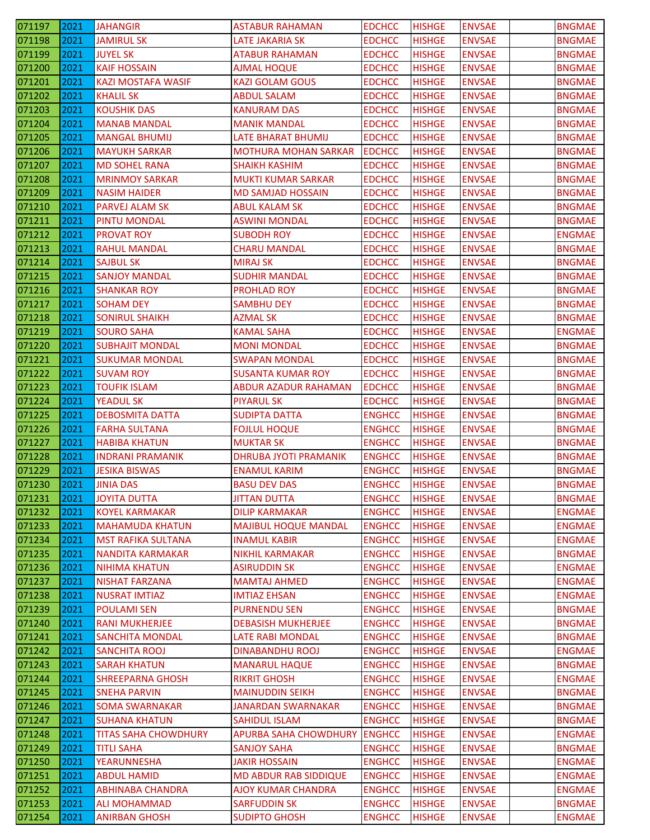| 071197           | 2021         | <b>JAHANGIR</b>                                | <b>ASTABUR RAHAMAN</b>                     | <b>EDCHCC</b>                  | <b>HISHGE</b>                  | <b>ENVSAE</b>                  | <b>BNGMAE</b>                  |
|------------------|--------------|------------------------------------------------|--------------------------------------------|--------------------------------|--------------------------------|--------------------------------|--------------------------------|
| 071198           | 2021         | <b>JAMIRUL SK</b>                              | <b>LATE JAKARIA SK</b>                     | <b>EDCHCC</b>                  | <b>HISHGE</b>                  | <b>ENVSAE</b>                  | <b>BNGMAE</b>                  |
| 071199           | 2021         | <b>JUYEL SK</b>                                | <b>ATABUR RAHAMAN</b>                      | <b>EDCHCC</b>                  | <b>HISHGE</b>                  | <b>ENVSAE</b>                  | <b>BNGMAE</b>                  |
| 071200           | 2021         | <b>KAIF HOSSAIN</b>                            | <b>AJMAL HOQUE</b>                         | <b>EDCHCC</b>                  | <b>HISHGE</b>                  | <b>ENVSAE</b>                  | <b>BNGMAE</b>                  |
| 071201           | 2021         | <b>KAZI MOSTAFA WASIF</b>                      | <b>KAZI GOLAM GOUS</b>                     | <b>EDCHCC</b>                  | <b>HISHGE</b>                  | <b>ENVSAE</b>                  | <b>BNGMAE</b>                  |
| 071202           | 2021         | KHALIL SK                                      | <b>ABDUL SALAM</b>                         | <b>EDCHCC</b>                  | <b>HISHGE</b>                  | <b>ENVSAE</b>                  | <b>BNGMAE</b>                  |
| 071203           | 2021         | <b>KOUSHIK DAS</b>                             | <b>KANURAM DAS</b>                         | <b>EDCHCC</b>                  | <b>HISHGE</b>                  | <b>ENVSAE</b>                  | <b>BNGMAE</b>                  |
| 071204           | 2021         | <b>MANAB MANDAL</b>                            | <b>MANIK MANDAL</b>                        | <b>EDCHCC</b>                  | <b>HISHGE</b>                  | <b>ENVSAE</b>                  | <b>BNGMAE</b>                  |
| 071205           | 2021         | <b>MANGAL BHUMIJ</b>                           | LATE BHARAT BHUMIJ                         | <b>EDCHCC</b>                  | <b>HISHGE</b>                  | <b>ENVSAE</b>                  | <b>BNGMAE</b>                  |
| 071206           | 2021         | <b>MAYUKH SARKAR</b>                           | <b>MOTHURA MOHAN SARKAR</b>                | <b>EDCHCC</b>                  | <b>HISHGE</b>                  | <b>ENVSAE</b>                  | <b>BNGMAE</b>                  |
| 071207           | 2021         | <b>MD SOHEL RANA</b>                           | <b>SHAIKH KASHIM</b>                       | <b>EDCHCC</b>                  | <b>HISHGE</b>                  | <b>ENVSAE</b>                  | <b>BNGMAE</b>                  |
| 071208           | 2021         | <b>MRINMOY SARKAR</b>                          | <b>MUKTI KUMAR SARKAR</b>                  | <b>EDCHCC</b>                  | <b>HISHGE</b>                  | <b>ENVSAE</b>                  | <b>BNGMAE</b>                  |
| 071209           | 2021         | <b>NASIM HAIDER</b>                            | <b>MD SAMJAD HOSSAIN</b>                   | <b>EDCHCC</b>                  | <b>HISHGE</b>                  | <b>ENVSAE</b>                  | <b>BNGMAE</b>                  |
| 071210           | 2021         | <b>PARVEJ ALAM SK</b>                          | <b>ABUL KALAM SK</b>                       | <b>EDCHCC</b>                  | <b>HISHGE</b>                  | <b>ENVSAE</b>                  | <b>BNGMAE</b>                  |
| 071211           | 2021         | PINTU MONDAL                                   | <b>ASWINI MONDAL</b>                       | <b>EDCHCC</b>                  | <b>HISHGE</b>                  | <b>ENVSAE</b>                  | <b>BNGMAE</b>                  |
| 071212           | 2021         | PROVAT ROY                                     | <b>SUBODH ROY</b>                          | <b>EDCHCC</b>                  | <b>HISHGE</b>                  | <b>ENVSAE</b>                  | <b>ENGMAE</b>                  |
| 071213           | 2021         | RAHUL MANDAL                                   | <b>CHARU MANDAL</b>                        | <b>EDCHCC</b>                  | <b>HISHGE</b>                  | <b>ENVSAE</b>                  | <b>BNGMAE</b>                  |
| 071214           | 2021         | <b>SAJBUL SK</b>                               | <b>MIRAJ SK</b>                            | <b>EDCHCC</b>                  | <b>HISHGE</b>                  | <b>ENVSAE</b>                  | <b>BNGMAE</b>                  |
| 071215           | 2021         | <b>SANJOY MANDAL</b>                           | <b>SUDHIR MANDAL</b>                       | <b>EDCHCC</b>                  | <b>HISHGE</b>                  | <b>ENVSAE</b>                  | <b>BNGMAE</b>                  |
| 071216           | 2021         | <b>SHANKAR ROY</b>                             | <b>PROHLAD ROY</b>                         | <b>EDCHCC</b>                  | <b>HISHGE</b>                  | <b>ENVSAE</b>                  | <b>BNGMAE</b>                  |
| 071217           | 2021         | <b>SOHAM DEY</b>                               | <b>SAMBHU DEY</b>                          | <b>EDCHCC</b>                  | <b>HISHGE</b>                  | <b>ENVSAE</b>                  | <b>BNGMAE</b>                  |
| 071218           | 2021         | SONIRUL SHAIKH                                 | <b>AZMAL SK</b>                            | <b>EDCHCC</b>                  | <b>HISHGE</b>                  | <b>ENVSAE</b>                  | <b>BNGMAE</b>                  |
| 071219           | 2021         | <b>SOURO SAHA</b>                              | KAMAL SAHA                                 | <b>EDCHCC</b>                  | <b>HISHGE</b>                  | <b>ENVSAE</b>                  | <b>ENGMAE</b>                  |
| 071220           | 2021         | <b>SUBHAJIT MONDAL</b>                         | <b>MONI MONDAL</b>                         | <b>EDCHCC</b>                  | <b>HISHGE</b>                  | <b>ENVSAE</b>                  | <b>BNGMAE</b>                  |
| 071221           | 2021         | <b>SUKUMAR MONDAL</b>                          | <b>SWAPAN MONDAL</b>                       | <b>EDCHCC</b>                  | <b>HISHGE</b>                  | <b>ENVSAE</b>                  | <b>BNGMAE</b>                  |
| 071222           | 2021         | <b>SUVAM ROY</b>                               | <b>SUSANTA KUMAR ROY</b>                   | <b>EDCHCC</b>                  | <b>HISHGE</b>                  | <b>ENVSAE</b>                  | <b>BNGMAE</b>                  |
| 071223           | 2021         | <b>TOUFIK ISLAM</b>                            | <b>ABDUR AZADUR RAHAMAN</b>                | <b>EDCHCC</b>                  | <b>HISHGE</b>                  | <b>ENVSAE</b>                  | <b>BNGMAE</b>                  |
| 071224           | 2021         | <b>YEADUL SK</b>                               | PIYARUL SK                                 | <b>EDCHCC</b>                  | <b>HISHGE</b>                  | <b>ENVSAE</b>                  | <b>BNGMAE</b>                  |
| 071225           | 2021         | <b>DEBOSMITA DATTA</b>                         | <b>SUDIPTA DATTA</b>                       | <b>ENGHCC</b>                  | <b>HISHGE</b>                  | <b>ENVSAE</b>                  | <b>BNGMAE</b>                  |
| 071226           | 2021         | <b>FARHA SULTANA</b>                           | <b>FOJLUL HOQUE</b>                        | <b>ENGHCC</b>                  | <b>HISHGE</b>                  | <b>ENVSAE</b>                  | <b>BNGMAE</b>                  |
| 071227           | 2021         | <b>HABIBA KHATUN</b>                           | <b>MUKTAR SK</b>                           | <b>ENGHCC</b>                  | <b>HISHGE</b>                  | <b>ENVSAE</b>                  | <b>BNGMAE</b>                  |
| 071228           | 2021         | <b>INDRANI PRAMANIK</b>                        | <b>DHRUBA JYOTI PRAMANIK</b>               | <b>ENGHCC</b>                  | <b>HISHGE</b>                  | <b>ENVSAE</b>                  | <b>BNGMAE</b>                  |
| 071229           | 2021         | <b>JESIKA BISWAS</b>                           | <b>ENAMUL KARIM</b>                        | <b>ENGHCC</b>                  | <b>HISHGE</b>                  | <b>ENVSAE</b>                  | <b>BNGMAE</b>                  |
| 071230           | 2021         | <b>JINIA DAS</b>                               | <b>BASU DEV DAS</b>                        | <b>ENGHCC</b>                  | <b>HISHGE</b>                  | <b>ENVSAE</b>                  | <b>BNGMAE</b>                  |
| 071231           | 2021         | <b>JOYITA DUTTA</b>                            | <b>JITTAN DUTTA</b>                        | <b>ENGHCC</b>                  | <b>HISHGE</b>                  | <b>ENVSAE</b>                  | <b>BNGMAE</b>                  |
| 071232           |              | <b>KOYEL KARMAKAR</b>                          | <b>DILIP KARMAKAR</b>                      | <b>ENGHCC</b>                  | <b>HISHGE</b>                  | <b>ENVSAE</b>                  | <b>ENGMAE</b>                  |
| 071233           | 2021<br>2021 | <b>MAHAMUDA KHATUN</b>                         | <b>MAJIBUL HOQUE MANDAL</b>                | <b>ENGHCC</b>                  | <b>HISHGE</b>                  | <b>ENVSAE</b>                  | <b>ENGMAE</b>                  |
| 071234           | 2021         | <b>MST RAFIKA SULTANA</b>                      | <b>INAMUL KABIR</b>                        | <b>ENGHCC</b>                  | <b>HISHGE</b>                  | <b>ENVSAE</b>                  | <b>ENGMAE</b>                  |
| 071235           | 2021         | NANDITA KARMAKAR                               | <b>NIKHIL KARMAKAR</b>                     | <b>ENGHCC</b>                  | <b>HISHGE</b>                  | <b>ENVSAE</b>                  | <b>BNGMAE</b>                  |
| 071236           | 2021         | <b>NIHIMA KHATUN</b>                           | <b>ASIRUDDIN SK</b>                        | <b>ENGHCC</b>                  | <b>HISHGE</b>                  | <b>ENVSAE</b>                  | <b>ENGMAE</b>                  |
| 071237           | 2021         | <b>NISHAT FARZANA</b>                          | <b>MAMTAJ AHMED</b>                        | <b>ENGHCC</b>                  | <b>HISHGE</b>                  | <b>ENVSAE</b>                  | <b>ENGMAE</b>                  |
|                  | 2021         |                                                |                                            |                                |                                |                                |                                |
| 071238<br>071239 | 2021         | <b>NUSRAT IMTIAZ</b><br><b>POULAMI SEN</b>     | <b>IMTIAZ EHSAN</b><br><b>PURNENDU SEN</b> | <b>ENGHCC</b><br><b>ENGHCC</b> | <b>HISHGE</b><br><b>HISHGE</b> | <b>ENVSAE</b><br><b>ENVSAE</b> | <b>ENGMAE</b><br><b>BNGMAE</b> |
|                  | 2021         |                                                | <b>DEBASISH MUKHERJEE</b>                  | <b>ENGHCC</b>                  |                                |                                |                                |
| 071240           | 2021         | <b>RANI MUKHERJEE</b>                          | LATE RABI MONDAL                           |                                | <b>HISHGE</b>                  | <b>ENVSAE</b><br><b>ENVSAE</b> | <b>BNGMAE</b>                  |
| 071241<br>071242 | 2021         | <b>SANCHITA MONDAL</b><br><b>SANCHITA ROOJ</b> | DINABANDHU ROOJ                            | <b>ENGHCC</b><br><b>ENGHCC</b> | <b>HISHGE</b><br><b>HISHGE</b> | <b>ENVSAE</b>                  | <b>BNGMAE</b><br><b>ENGMAE</b> |
| 071243           | 2021         | <b>SARAH KHATUN</b>                            | <b>MANARUL HAQUE</b>                       | <b>ENGHCC</b>                  | <b>HISHGE</b>                  | <b>ENVSAE</b>                  | <b>BNGMAE</b>                  |
| 071244           | 2021         | <b>SHREEPARNA GHOSH</b>                        | <b>RIKRIT GHOSH</b>                        | <b>ENGHCC</b>                  | <b>HISHGE</b>                  | <b>ENVSAE</b>                  | <b>ENGMAE</b>                  |
|                  |              |                                                |                                            |                                |                                |                                |                                |
| 071245           | 2021<br>2021 | <b>SNEHA PARVIN</b>                            | <b>MAINUDDIN SEIKH</b>                     | <b>ENGHCC</b>                  | <b>HISHGE</b>                  | <b>ENVSAE</b>                  | <b>BNGMAE</b>                  |
| 071246           | 2021         | SOMA SWARNAKAR<br><b>SUHANA KHATUN</b>         | JANARDAN SWARNAKAR<br><b>SAHIDUL ISLAM</b> | <b>ENGHCC</b><br><b>ENGHCC</b> | <b>HISHGE</b>                  | <b>ENVSAE</b>                  | <b>BNGMAE</b>                  |
| 071247           |              |                                                |                                            |                                | <b>HISHGE</b>                  | <b>ENVSAE</b>                  | <b>BNGMAE</b>                  |
| 071248           | 2021         | <b>TITAS SAHA CHOWDHURY</b>                    | <b>APURBA SAHA CHOWDHURY</b>               | <b>ENGHCC</b>                  | <b>HISHGE</b>                  | <b>ENVSAE</b>                  | <b>ENGMAE</b>                  |
| 071249           | 2021         | <b>TITLI SAHA</b>                              | <b>SANJOY SAHA</b>                         | <b>ENGHCC</b>                  | <b>HISHGE</b>                  | <b>ENVSAE</b>                  | <b>BNGMAE</b>                  |
| 071250           | 2021         | YEARUNNESHA                                    | <b>JAKIR HOSSAIN</b>                       | <b>ENGHCC</b>                  | <b>HISHGE</b>                  | <b>ENVSAE</b>                  | <b>ENGMAE</b>                  |
| 071251           | 2021         | <b>ABDUL HAMID</b>                             | <b>MD ABDUR RAB SIDDIQUE</b>               | <b>ENGHCC</b>                  | <b>HISHGE</b>                  | <b>ENVSAE</b>                  | <b>ENGMAE</b>                  |
| 071252           | 2021         | ABHINABA CHANDRA                               | <b>AJOY KUMAR CHANDRA</b>                  | <b>ENGHCC</b>                  | <b>HISHGE</b>                  | <b>ENVSAE</b>                  | <b>ENGMAE</b>                  |
| 071253           | 2021         | <b>ALI MOHAMMAD</b>                            | <b>SARFUDDIN SK</b>                        | <b>ENGHCC</b>                  | <b>HISHGE</b>                  | <b>ENVSAE</b>                  | <b>BNGMAE</b>                  |
| 071254           | 2021         | <b>ANIRBAN GHOSH</b>                           | <b>SUDIPTO GHOSH</b>                       | <b>ENGHCC</b>                  | <b>HISHGE</b>                  | <b>ENVSAE</b>                  | <b>ENGMAE</b>                  |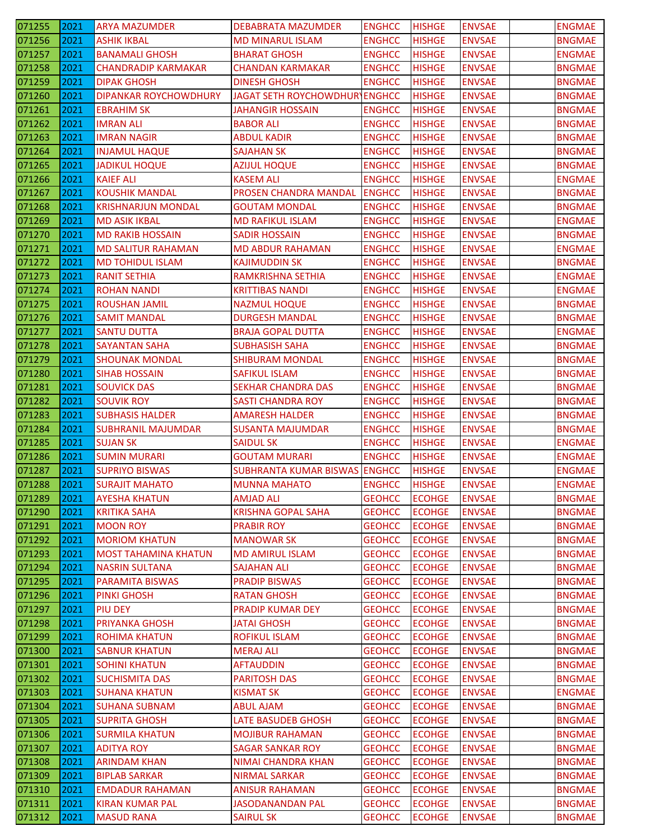| 071255 | 2021 | <b>ARYA MAZUMDER</b>         | <b>DEBABRATA MAZUMDER</b>            | <b>ENGHCC</b> | <b>HISHGE</b> | <b>ENVSAE</b> | <b>ENGMAE</b> |
|--------|------|------------------------------|--------------------------------------|---------------|---------------|---------------|---------------|
| 071256 | 2021 | <b>ASHIK IKBAL</b>           | <b>MD MINARUL ISLAM</b>              | <b>ENGHCC</b> | <b>HISHGE</b> | <b>ENVSAE</b> | <b>BNGMAE</b> |
| 071257 | 2021 | <b>BANAMALI GHOSH</b>        | <b>BHARAT GHOSH</b>                  | <b>ENGHCC</b> | <b>HISHGE</b> | <b>ENVSAE</b> | <b>ENGMAE</b> |
| 071258 | 2021 | <b>CHANDRADIP KARMAKAR</b>   | <b>CHANDAN KARMAKAR</b>              | <b>ENGHCC</b> | <b>HISHGE</b> | <b>ENVSAE</b> | <b>BNGMAE</b> |
| 071259 | 2021 | <b>DIPAK GHOSH</b>           | <b>DINESH GHOSH</b>                  | <b>ENGHCC</b> | <b>HISHGE</b> | <b>ENVSAE</b> | <b>BNGMAE</b> |
| 071260 | 2021 | <b>DIPANKAR ROYCHOWDHURY</b> | <b>JAGAT SETH ROYCHOWDHUR ENGHCC</b> |               | <b>HISHGE</b> | <b>ENVSAE</b> | <b>BNGMAE</b> |
| 071261 | 2021 | <b>EBRAHIM SK</b>            | <b>JAHANGIR HOSSAIN</b>              | <b>ENGHCC</b> | <b>HISHGE</b> | <b>ENVSAE</b> | <b>BNGMAE</b> |
| 071262 | 2021 | <b>IMRAN ALI</b>             | <b>BABOR ALI</b>                     | <b>ENGHCC</b> | <b>HISHGE</b> | <b>ENVSAE</b> | <b>BNGMAE</b> |
| 071263 | 2021 | <b>IMRAN NAGIR</b>           | <b>ABDUL KADIR</b>                   | <b>ENGHCC</b> | <b>HISHGE</b> | <b>ENVSAE</b> | <b>BNGMAE</b> |
| 071264 | 2021 | <b>INJAMUL HAQUE</b>         | <b>SAJAHAN SK</b>                    | <b>ENGHCC</b> | <b>HISHGE</b> | <b>ENVSAE</b> | <b>BNGMAE</b> |
| 071265 | 2021 | <b>JADIKUL HOQUE</b>         | <b>AZIJUL HOQUE</b>                  | <b>ENGHCC</b> | <b>HISHGE</b> | <b>ENVSAE</b> | <b>BNGMAE</b> |
| 071266 | 2021 | <b>KAIEF ALI</b>             | <b>KASEM ALI</b>                     | <b>ENGHCC</b> | <b>HISHGE</b> | <b>ENVSAE</b> | <b>ENGMAE</b> |
| 071267 | 2021 | <b>KOUSHIK MANDAL</b>        | PROSEN CHANDRA MANDAL                | <b>ENGHCC</b> | <b>HISHGE</b> | <b>ENVSAE</b> | <b>BNGMAE</b> |
| 071268 | 2021 | <b>KRISHNARJUN MONDAL</b>    | <b>GOUTAM MONDAL</b>                 | <b>ENGHCC</b> | <b>HISHGE</b> | <b>ENVSAE</b> | <b>BNGMAE</b> |
| 071269 | 2021 | <b>MD ASIK IKBAL</b>         | <b>MD RAFIKUL ISLAM</b>              | <b>ENGHCC</b> | <b>HISHGE</b> | <b>ENVSAE</b> | <b>ENGMAE</b> |
| 071270 | 2021 | <b>MD RAKIB HOSSAIN</b>      | <b>SADIR HOSSAIN</b>                 | <b>ENGHCC</b> | <b>HISHGE</b> | <b>ENVSAE</b> | <b>BNGMAE</b> |
| 071271 | 2021 | <b>MD SALITUR RAHAMAN</b>    | <b>MD ABDUR RAHAMAN</b>              | <b>ENGHCC</b> | <b>HISHGE</b> | <b>ENVSAE</b> | <b>ENGMAE</b> |
| 071272 | 2021 | <b>MD TOHIDUL ISLAM</b>      | <b>KAJIMUDDIN SK</b>                 | <b>ENGHCC</b> | <b>HISHGE</b> | <b>ENVSAE</b> | <b>BNGMAE</b> |
| 071273 | 2021 | <b>RANIT SETHIA</b>          | RAMKRISHNA SETHIA                    | <b>ENGHCC</b> | <b>HISHGE</b> | <b>ENVSAE</b> | <b>ENGMAE</b> |
| 071274 | 2021 | <b>ROHAN NANDI</b>           | <b>KRITTIBAS NANDI</b>               | <b>ENGHCC</b> | <b>HISHGE</b> | <b>ENVSAE</b> | <b>ENGMAE</b> |
| 071275 | 2021 | <b>ROUSHAN JAMIL</b>         | <b>NAZMUL HOQUE</b>                  | <b>ENGHCC</b> | <b>HISHGE</b> | <b>ENVSAE</b> | <b>BNGMAE</b> |
| 071276 | 2021 | <b>SAMIT MANDAL</b>          | <b>DURGESH MANDAL</b>                | <b>ENGHCC</b> | <b>HISHGE</b> | <b>ENVSAE</b> | <b>BNGMAE</b> |
| 071277 | 2021 | <b>SANTU DUTTA</b>           | <b>BRAJA GOPAL DUTTA</b>             | <b>ENGHCC</b> | <b>HISHGE</b> | <b>ENVSAE</b> | <b>ENGMAE</b> |
| 071278 | 2021 | SAYANTAN SAHA                | <b>SUBHASISH SAHA</b>                | <b>ENGHCC</b> | <b>HISHGE</b> | <b>ENVSAE</b> | <b>BNGMAE</b> |
| 071279 | 2021 | <b>SHOUNAK MONDAL</b>        | <b>SHIBURAM MONDAL</b>               | <b>ENGHCC</b> | <b>HISHGE</b> | <b>ENVSAE</b> | <b>BNGMAE</b> |
| 071280 | 2021 | <b>SIHAB HOSSAIN</b>         | <b>SAFIKUL ISLAM</b>                 | <b>ENGHCC</b> | <b>HISHGE</b> | <b>ENVSAE</b> | <b>BNGMAE</b> |
| 071281 | 2021 | <b>SOUVICK DAS</b>           | <b>SEKHAR CHANDRA DAS</b>            | <b>ENGHCC</b> | <b>HISHGE</b> | <b>ENVSAE</b> | <b>BNGMAE</b> |
| 071282 | 2021 | <b>SOUVIK ROY</b>            | <b>SASTI CHANDRA ROY</b>             | <b>ENGHCC</b> | <b>HISHGE</b> | <b>ENVSAE</b> | <b>BNGMAE</b> |
| 071283 | 2021 | <b>SUBHASIS HALDER</b>       | <b>AMARESH HALDER</b>                | <b>ENGHCC</b> | <b>HISHGE</b> | <b>ENVSAE</b> | <b>BNGMAE</b> |
| 071284 | 2021 | <b>SUBHRANIL MAJUMDAR</b>    | <b>SUSANTA MAJUMDAR</b>              | <b>ENGHCC</b> | <b>HISHGE</b> | <b>ENVSAE</b> | <b>BNGMAE</b> |
| 071285 | 2021 | <b>SUJAN SK</b>              | <b>SAIDUL SK</b>                     | <b>ENGHCC</b> | <b>HISHGE</b> | <b>ENVSAE</b> | <b>ENGMAE</b> |
| 071286 | 2021 | <b>SUMIN MURARI</b>          | <b>GOUTAM MURARI</b>                 | <b>ENGHCC</b> | <b>HISHGE</b> | <b>ENVSAE</b> | <b>ENGMAE</b> |
| 071287 | 2021 | <b>SUPRIYO BISWAS</b>        | <b>SUBHRANTA KUMAR BISWAS</b>        | <b>ENGHCC</b> | <b>HISHGE</b> | <b>ENVSAE</b> | <b>ENGMAE</b> |
| 071288 | 2021 | <b>SURAJIT MAHATO</b>        | <b>MUNNA MAHATO</b>                  | <b>ENGHCC</b> | <b>HISHGE</b> | <b>ENVSAE</b> | <b>ENGMAE</b> |
| 071289 | 2021 | <b>AYESHA KHATUN</b>         | <b>AMJAD ALI</b>                     | <b>GEOHCC</b> | <b>ECOHGE</b> | <b>ENVSAE</b> | <b>BNGMAE</b> |
| 071290 | 2021 | <b>KRITIKA SAHA</b>          | <b>KRISHNA GOPAL SAHA</b>            | <b>GEOHCC</b> | <b>ECOHGE</b> | <b>ENVSAE</b> | <b>BNGMAE</b> |
| 071291 | 2021 | <b>MOON ROY</b>              | <b>PRABIR ROY</b>                    | <b>GEOHCC</b> | <b>ECOHGE</b> | <b>ENVSAE</b> | <b>BNGMAE</b> |
| 071292 | 2021 | <b>MORIOM KHATUN</b>         | <b>MANOWAR SK</b>                    | <b>GEOHCC</b> | <b>ECOHGE</b> | <b>ENVSAE</b> | <b>BNGMAE</b> |
| 071293 | 2021 | <b>MOST TAHAMINA KHATUN</b>  | <b>MD AMIRUL ISLAM</b>               | <b>GEOHCC</b> | <b>ECOHGE</b> | <b>ENVSAE</b> | <b>BNGMAE</b> |
| 071294 | 2021 | <b>NASRIN SULTANA</b>        | <b>SAJAHAN ALI</b>                   | <b>GEOHCC</b> | <b>ECOHGE</b> | <b>ENVSAE</b> | <b>BNGMAE</b> |
| 071295 | 2021 | PARAMITA BISWAS              | <b>PRADIP BISWAS</b>                 | <b>GEOHCC</b> | <b>ECOHGE</b> | <b>ENVSAE</b> | <b>BNGMAE</b> |
| 071296 | 2021 | <b>PINKI GHOSH</b>           | <b>RATAN GHOSH</b>                   | <b>GEOHCC</b> | <b>ECOHGE</b> | <b>ENVSAE</b> | <b>BNGMAE</b> |
| 071297 | 2021 | PIU DEY                      | <b>PRADIP KUMAR DEY</b>              | <b>GEOHCC</b> | <b>ECOHGE</b> | <b>ENVSAE</b> | <b>BNGMAE</b> |
| 071298 | 2021 | PRIYANKA GHOSH               | <b>JATAI GHOSH</b>                   | <b>GEOHCC</b> | <b>ECOHGE</b> | <b>ENVSAE</b> | <b>BNGMAE</b> |
| 071299 | 2021 | <b>ROHIMA KHATUN</b>         | <b>ROFIKUL ISLAM</b>                 | <b>GEOHCC</b> | <b>ECOHGE</b> | <b>ENVSAE</b> | <b>BNGMAE</b> |
| 071300 | 2021 | <b>SABNUR KHATUN</b>         | <b>MERAJ ALI</b>                     | <b>GEOHCC</b> | <b>ECOHGE</b> | <b>ENVSAE</b> | <b>BNGMAE</b> |
| 071301 | 2021 | <b>SOHINI KHATUN</b>         | <b>AFTAUDDIN</b>                     | <b>GEOHCC</b> | <b>ECOHGE</b> | <b>ENVSAE</b> | <b>BNGMAE</b> |
| 071302 | 2021 | <b>SUCHISMITA DAS</b>        | <b>PARITOSH DAS</b>                  | <b>GEOHCC</b> | <b>ECOHGE</b> | <b>ENVSAE</b> | <b>BNGMAE</b> |
| 071303 | 2021 | <b>SUHANA KHATUN</b>         | <b>KISMAT SK</b>                     | <b>GEOHCC</b> | <b>ECOHGE</b> | <b>ENVSAE</b> | <b>ENGMAE</b> |
| 071304 | 2021 | <b>SUHANA SUBNAM</b>         | <b>ABUL AJAM</b>                     | <b>GEOHCC</b> | <b>ECOHGE</b> | <b>ENVSAE</b> | <b>BNGMAE</b> |
| 071305 | 2021 | <b>SUPRITA GHOSH</b>         | <b>LATE BASUDEB GHOSH</b>            | <b>GEOHCC</b> | <b>ECOHGE</b> | <b>ENVSAE</b> | <b>BNGMAE</b> |
| 071306 | 2021 | <b>SURMILA KHATUN</b>        | <b>MOJIBUR RAHAMAN</b>               | <b>GEOHCC</b> | <b>ECOHGE</b> | <b>ENVSAE</b> | <b>BNGMAE</b> |
| 071307 | 2021 | <b>ADITYA ROY</b>            | <b>SAGAR SANKAR ROY</b>              | <b>GEOHCC</b> | <b>ECOHGE</b> | <b>ENVSAE</b> | <b>BNGMAE</b> |
| 071308 | 2021 | <b>ARINDAM KHAN</b>          | <b>NIMAI CHANDRA KHAN</b>            | <b>GEOHCC</b> | <b>ECOHGE</b> | <b>ENVSAE</b> | <b>BNGMAE</b> |
| 071309 | 2021 | <b>BIPLAB SARKAR</b>         | <b>NIRMAL SARKAR</b>                 | <b>GEOHCC</b> | <b>ECOHGE</b> | <b>ENVSAE</b> | <b>BNGMAE</b> |
| 071310 | 2021 | <b>EMDADUR RAHAMAN</b>       | <b>ANISUR RAHAMAN</b>                | <b>GEOHCC</b> | <b>ECOHGE</b> | <b>ENVSAE</b> | <b>BNGMAE</b> |
| 071311 | 2021 | <b>KIRAN KUMAR PAL</b>       | <b>JASODANANDAN PAL</b>              | <b>GEOHCC</b> | <b>ECOHGE</b> | <b>ENVSAE</b> | <b>BNGMAE</b> |
| 071312 | 2021 | <b>MASUD RANA</b>            | <b>SAIRUL SK</b>                     | <b>GEOHCC</b> | <b>ECOHGE</b> | <b>ENVSAE</b> | <b>BNGMAE</b> |
|        |      |                              |                                      |               |               |               |               |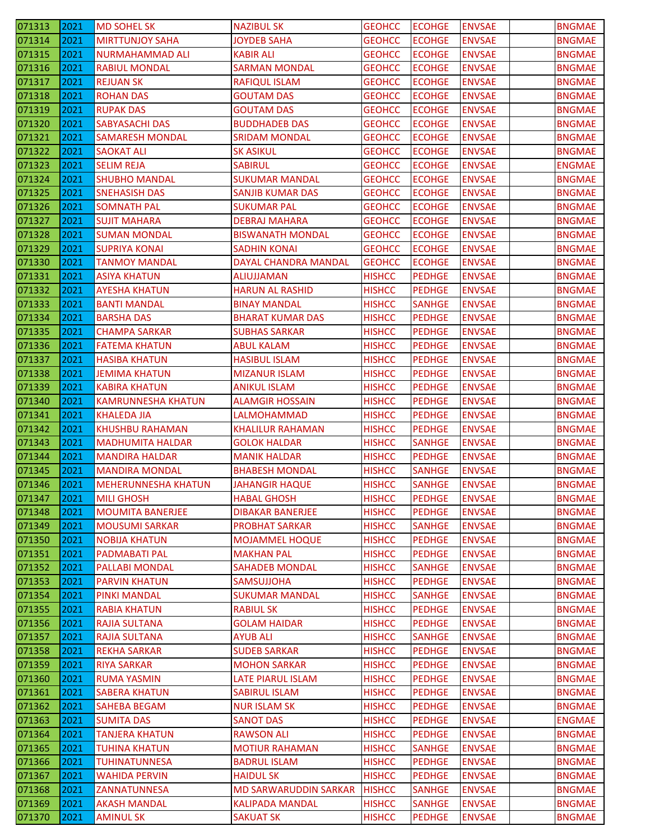| 071313 | 2021 | <b>MD SOHEL SK</b>         | <b>NAZIBUL SK</b>            | <b>GEOHCC</b> | <b>ECOHGE</b> | <b>ENVSAE</b> | <b>BNGMAE</b> |
|--------|------|----------------------------|------------------------------|---------------|---------------|---------------|---------------|
| 071314 | 2021 | <b>MIRTTUNJOY SAHA</b>     | <b>JOYDEB SAHA</b>           | <b>GEOHCC</b> | <b>ECOHGE</b> | <b>ENVSAE</b> | <b>BNGMAE</b> |
| 071315 | 2021 | <b>NURMAHAMMAD ALI</b>     | <b>KABIR ALI</b>             | <b>GEOHCC</b> | <b>ECOHGE</b> | <b>ENVSAE</b> | <b>BNGMAE</b> |
| 071316 | 2021 | <b>RABIUL MONDAL</b>       | <b>SARMAN MONDAL</b>         | <b>GEOHCC</b> | <b>ECOHGE</b> | <b>ENVSAE</b> | <b>BNGMAE</b> |
| 071317 | 2021 | <b>REJUAN SK</b>           | <b>RAFIQUL ISLAM</b>         | <b>GEOHCC</b> | <b>ECOHGE</b> | <b>ENVSAE</b> | <b>BNGMAE</b> |
| 071318 | 2021 | <b>ROHAN DAS</b>           | <b>GOUTAM DAS</b>            | <b>GEOHCC</b> | <b>ECOHGE</b> | <b>ENVSAE</b> | <b>BNGMAE</b> |
| 071319 | 2021 | <b>RUPAK DAS</b>           | <b>GOUTAM DAS</b>            | <b>GEOHCC</b> | <b>ECOHGE</b> | <b>ENVSAE</b> | <b>BNGMAE</b> |
| 071320 | 2021 | <b>SABYASACHI DAS</b>      | <b>BUDDHADEB DAS</b>         | <b>GEOHCC</b> | <b>ECOHGE</b> | <b>ENVSAE</b> | <b>BNGMAE</b> |
| 071321 | 2021 | <b>SAMARESH MONDAL</b>     | <b>SRIDAM MONDAL</b>         | <b>GEOHCC</b> | <b>ECOHGE</b> | <b>ENVSAE</b> | <b>BNGMAE</b> |
| 071322 | 2021 | <b>SAOKAT ALI</b>          | <b>SK ASIKUL</b>             | <b>GEOHCC</b> | <b>ECOHGE</b> | <b>ENVSAE</b> | <b>BNGMAE</b> |
| 071323 | 2021 | <b>SELIM REJA</b>          | <b>SABIRUL</b>               | <b>GEOHCC</b> | <b>ECOHGE</b> | <b>ENVSAE</b> | <b>ENGMAE</b> |
| 071324 | 2021 | <b>SHUBHO MANDAL</b>       | <b>SUKUMAR MANDAL</b>        | <b>GEOHCC</b> | <b>ECOHGE</b> | <b>ENVSAE</b> | <b>BNGMAE</b> |
| 071325 | 2021 | <b>SNEHASISH DAS</b>       | <b>SANJIB KUMAR DAS</b>      | <b>GEOHCC</b> | <b>ECOHGE</b> | <b>ENVSAE</b> | <b>BNGMAE</b> |
| 071326 | 2021 | <b>SOMNATH PAL</b>         | <b>SUKUMAR PAL</b>           | <b>GEOHCC</b> | <b>ECOHGE</b> | <b>ENVSAE</b> | <b>BNGMAE</b> |
| 071327 | 2021 | <b>SUJIT MAHARA</b>        | <b>DEBRAJ MAHARA</b>         | <b>GEOHCC</b> | <b>ECOHGE</b> | <b>ENVSAE</b> | <b>BNGMAE</b> |
| 071328 | 2021 | <b>SUMAN MONDAL</b>        | <b>BISWANATH MONDAL</b>      | <b>GEOHCC</b> | <b>ECOHGE</b> | <b>ENVSAE</b> | <b>BNGMAE</b> |
| 071329 | 2021 | <b>SUPRIYA KONAI</b>       | <b>SADHIN KONAI</b>          | <b>GEOHCC</b> | <b>ECOHGE</b> | <b>ENVSAE</b> | <b>BNGMAE</b> |
| 071330 | 2021 | <b>TANMOY MANDAL</b>       | DAYAL CHANDRA MANDAL         | <b>GEOHCC</b> | <b>ECOHGE</b> | <b>ENVSAE</b> | <b>BNGMAE</b> |
| 071331 | 2021 | <b>ASIYA KHATUN</b>        | ALIUJJAMAN                   | <b>HISHCC</b> | <b>PEDHGE</b> | <b>ENVSAE</b> | <b>BNGMAE</b> |
| 071332 | 2021 | <b>AYESHA KHATUN</b>       | <b>HARUN AL RASHID</b>       | <b>HISHCC</b> | <b>PEDHGE</b> | <b>ENVSAE</b> | <b>BNGMAE</b> |
| 071333 | 2021 | <b>BANTI MANDAL</b>        | <b>BINAY MANDAL</b>          | <b>HISHCC</b> | <b>SANHGE</b> | <b>ENVSAE</b> | <b>BNGMAE</b> |
| 071334 | 2021 | <b>BARSHA DAS</b>          | <b>BHARAT KUMAR DAS</b>      | <b>HISHCC</b> | <b>PEDHGE</b> | <b>ENVSAE</b> | <b>BNGMAE</b> |
| 071335 | 2021 | CHAMPA SARKAR              | <b>SUBHAS SARKAR</b>         | <b>HISHCC</b> | <b>PEDHGE</b> | <b>ENVSAE</b> | <b>BNGMAE</b> |
| 071336 | 2021 | <b>FATEMA KHATUN</b>       | <b>ABUL KALAM</b>            | <b>HISHCC</b> | <b>PEDHGE</b> | <b>ENVSAE</b> | <b>BNGMAE</b> |
| 071337 | 2021 | <b>HASIBA KHATUN</b>       | <b>HASIBUL ISLAM</b>         | <b>HISHCC</b> | <b>PEDHGE</b> | <b>ENVSAE</b> | <b>BNGMAE</b> |
| 071338 | 2021 | <b>JEMIMA KHATUN</b>       | <b>MIZANUR ISLAM</b>         | <b>HISHCC</b> | <b>PEDHGE</b> | <b>ENVSAE</b> | <b>BNGMAE</b> |
| 071339 | 2021 | <b>KABIRA KHATUN</b>       | <b>ANIKUL ISLAM</b>          | <b>HISHCC</b> | <b>PEDHGE</b> | <b>ENVSAE</b> | <b>BNGMAE</b> |
| 071340 | 2021 | <b>KAMRUNNESHA KHATUN</b>  | <b>ALAMGIR HOSSAIN</b>       | <b>HISHCC</b> | <b>PEDHGE</b> | <b>ENVSAE</b> | <b>BNGMAE</b> |
| 071341 | 2021 | KHALEDA JIA                | LALMOHAMMAD                  | <b>HISHCC</b> | <b>PEDHGE</b> | <b>ENVSAE</b> | <b>BNGMAE</b> |
| 071342 | 2021 | <b>KHUSHBU RAHAMAN</b>     | <b>KHALILUR RAHAMAN</b>      | <b>HISHCC</b> | <b>PEDHGE</b> | <b>ENVSAE</b> | <b>BNGMAE</b> |
| 071343 | 2021 | <b>MADHUMITA HALDAR</b>    | <b>GOLOK HALDAR</b>          | <b>HISHCC</b> | <b>SANHGE</b> | <b>ENVSAE</b> | <b>BNGMAE</b> |
| 071344 | 2021 | <b>MANDIRA HALDAR</b>      | <b>MANIK HALDAR</b>          | <b>HISHCC</b> | <b>PEDHGE</b> | <b>ENVSAE</b> | <b>BNGMAE</b> |
| 071345 | 2021 | MANDIRA MONDAL             | <b>BHABESH MONDAL</b>        | <b>HISHCC</b> | <b>SANHGE</b> | <b>ENVSAE</b> | <b>BNGMAE</b> |
| 071346 | 2021 | <b>MEHERUNNESHA KHATUN</b> | <b>JAHANGIR HAQUE</b>        | <b>HISHCC</b> | <b>SANHGE</b> | <b>ENVSAE</b> | <b>BNGMAE</b> |
| 071347 | 2021 | <b>MILI GHOSH</b>          | <b>HABAL GHOSH</b>           | <b>HISHCC</b> | <b>PEDHGE</b> | <b>ENVSAE</b> | <b>BNGMAE</b> |
| 071348 | 2021 | <b>MOUMITA BANERJEE</b>    | <b>DIBAKAR BANERJEE</b>      | <b>HISHCC</b> | <b>PEDHGE</b> | <b>ENVSAE</b> | <b>BNGMAE</b> |
| 071349 | 2021 | <b>MOUSUMI SARKAR</b>      | <b>PROBHAT SARKAR</b>        | <b>HISHCC</b> | <b>SANHGE</b> | <b>ENVSAE</b> | <b>BNGMAE</b> |
| 071350 | 2021 | <b>NOBIJA KHATUN</b>       | <b>MOJAMMEL HOQUE</b>        | <b>HISHCC</b> | <b>PEDHGE</b> | <b>ENVSAE</b> | <b>BNGMAE</b> |
| 071351 | 2021 | <b>PADMABATI PAL</b>       | <b>MAKHAN PAL</b>            | <b>HISHCC</b> | <b>PEDHGE</b> | <b>ENVSAE</b> | <b>BNGMAE</b> |
| 071352 | 2021 | <b>PALLABI MONDAL</b>      | <b>SAHADEB MONDAL</b>        | <b>HISHCC</b> | <b>SANHGE</b> | <b>ENVSAE</b> | <b>BNGMAE</b> |
| 071353 | 2021 | <b>PARVIN KHATUN</b>       | <b>SAMSUJJOHA</b>            | <b>HISHCC</b> | <b>PEDHGE</b> | <b>ENVSAE</b> | <b>BNGMAE</b> |
| 071354 | 2021 | <b>PINKI MANDAL</b>        | <b>SUKUMAR MANDAL</b>        | <b>HISHCC</b> | <b>SANHGE</b> | <b>ENVSAE</b> | <b>BNGMAE</b> |
| 071355 | 2021 | <b>RABIA KHATUN</b>        | <b>RABIUL SK</b>             | <b>HISHCC</b> | <b>PEDHGE</b> | <b>ENVSAE</b> | <b>BNGMAE</b> |
| 071356 | 2021 | <b>RAJIA SULTANA</b>       | <b>GOLAM HAIDAR</b>          | <b>HISHCC</b> | <b>PEDHGE</b> | <b>ENVSAE</b> | <b>BNGMAE</b> |
| 071357 | 2021 | RAJIA SULTANA              | <b>AYUB ALI</b>              | <b>HISHCC</b> | <b>SANHGE</b> | <b>ENVSAE</b> | <b>BNGMAE</b> |
| 071358 | 2021 | <b>REKHA SARKAR</b>        | <b>SUDEB SARKAR</b>          | <b>HISHCC</b> | <b>PEDHGE</b> | <b>ENVSAE</b> | <b>BNGMAE</b> |
| 071359 | 2021 | <b>RIYA SARKAR</b>         | <b>MOHON SARKAR</b>          | <b>HISHCC</b> | <b>PEDHGE</b> | <b>ENVSAE</b> | <b>BNGMAE</b> |
| 071360 | 2021 | <b>RUMA YASMIN</b>         | LATE PIARUL ISLAM            | <b>HISHCC</b> | <b>PEDHGE</b> | <b>ENVSAE</b> | <b>BNGMAE</b> |
| 071361 | 2021 | <b>SABERA KHATUN</b>       | <b>SABIRUL ISLAM</b>         | <b>HISHCC</b> | <b>PEDHGE</b> | <b>ENVSAE</b> | <b>BNGMAE</b> |
| 071362 | 2021 | SAHEBA BEGAM               | <b>NUR ISLAM SK</b>          | <b>HISHCC</b> | <b>PEDHGE</b> | <b>ENVSAE</b> | <b>BNGMAE</b> |
| 071363 | 2021 | <b>SUMITA DAS</b>          | <b>SANOT DAS</b>             | <b>HISHCC</b> | <b>PEDHGE</b> | <b>ENVSAE</b> | <b>ENGMAE</b> |
| 071364 | 2021 | <b>TANJERA KHATUN</b>      | <b>RAWSON ALI</b>            | <b>HISHCC</b> | <b>PEDHGE</b> | <b>ENVSAE</b> | <b>BNGMAE</b> |
| 071365 | 2021 | <b>TUHINA KHATUN</b>       | <b>MOTIUR RAHAMAN</b>        | <b>HISHCC</b> | <b>SANHGE</b> | <b>ENVSAE</b> | <b>BNGMAE</b> |
| 071366 | 2021 | <b>TUHINATUNNESA</b>       | <b>BADRUL ISLAM</b>          | <b>HISHCC</b> | <b>PEDHGE</b> | <b>ENVSAE</b> | <b>BNGMAE</b> |
| 071367 | 2021 | <b>WAHIDA PERVIN</b>       | <b>HAIDUL SK</b>             | <b>HISHCC</b> | <b>PEDHGE</b> | <b>ENVSAE</b> | <b>BNGMAE</b> |
| 071368 | 2021 | ZANNATUNNESA               | <b>MD SARWARUDDIN SARKAR</b> | <b>HISHCC</b> | <b>SANHGE</b> | <b>ENVSAE</b> | <b>BNGMAE</b> |
| 071369 | 2021 | <b>AKASH MANDAL</b>        | <b>KALIPADA MANDAL</b>       | <b>HISHCC</b> | <b>SANHGE</b> | <b>ENVSAE</b> | <b>BNGMAE</b> |
| 071370 | 2021 | <b>AMINUL SK</b>           | <b>SAKUAT SK</b>             | <b>HISHCC</b> | <b>PEDHGE</b> | <b>ENVSAE</b> | <b>BNGMAE</b> |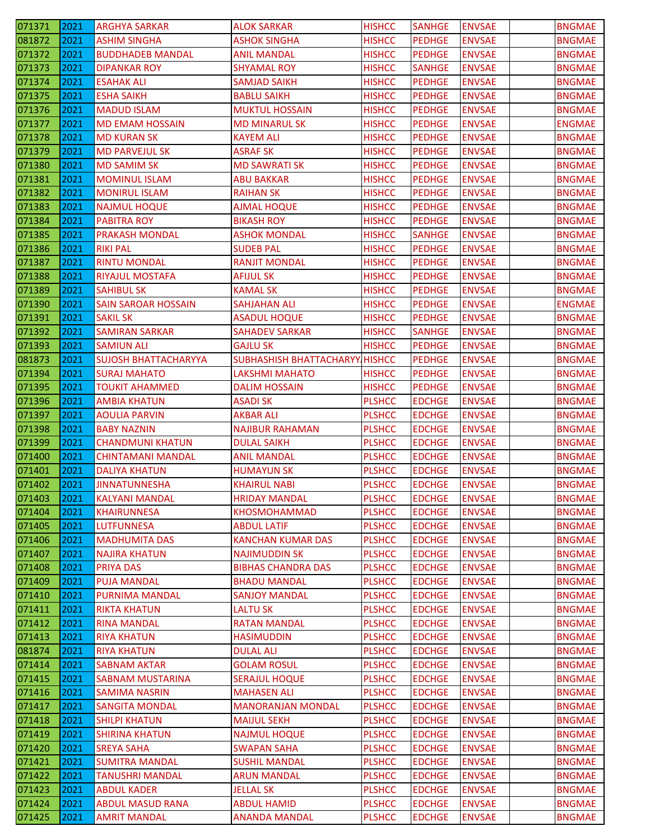| 071371 | 2021 | <b>ARGHYA SARKAR</b>        | <b>ALOK SARKAR</b>             | <b>HISHCC</b> | <b>SANHGE</b> | <b>ENVSAE</b> | <b>BNGMAE</b> |
|--------|------|-----------------------------|--------------------------------|---------------|---------------|---------------|---------------|
| 081872 | 2021 | <b>ASHIM SINGHA</b>         | <b>ASHOK SINGHA</b>            | <b>HISHCC</b> | <b>PEDHGE</b> | <b>ENVSAE</b> | <b>BNGMAE</b> |
| 071372 | 2021 | <b>BUDDHADEB MANDAL</b>     | <b>ANIL MANDAL</b>             | <b>HISHCC</b> | <b>PEDHGE</b> | <b>ENVSAE</b> | <b>BNGMAE</b> |
| 071373 | 2021 | <b>DIPANKAR ROY</b>         | <b>SHYAMAL ROY</b>             | <b>HISHCC</b> | <b>SANHGE</b> | <b>ENVSAE</b> | <b>BNGMAE</b> |
| 071374 | 2021 | <b>ESAHAK ALI</b>           | <b>SAMJAD SAIKH</b>            | <b>HISHCC</b> | <b>PEDHGE</b> | <b>ENVSAE</b> | <b>BNGMAE</b> |
| 071375 | 2021 | <b>ESHA SAIKH</b>           | <b>BABLU SAIKH</b>             | <b>HISHCC</b> | <b>PEDHGE</b> | <b>ENVSAE</b> | <b>BNGMAE</b> |
| 071376 | 2021 | <b>MADUD ISLAM</b>          | <b>MUKTUL HOSSAIN</b>          | <b>HISHCC</b> | <b>PEDHGE</b> | <b>ENVSAE</b> | <b>BNGMAE</b> |
| 071377 | 2021 | <b>MD EMAM HOSSAIN</b>      | <b>MD MINARUL SK</b>           | <b>HISHCC</b> | <b>PEDHGE</b> | <b>ENVSAE</b> | <b>ENGMAE</b> |
| 071378 | 2021 | <b>MD KURAN SK</b>          | <b>KAYEM ALI</b>               | <b>HISHCC</b> | <b>PEDHGE</b> | <b>ENVSAE</b> | <b>BNGMAE</b> |
| 071379 | 2021 | <b>MD PARVEJUL SK</b>       | <b>ASRAF SK</b>                | <b>HISHCC</b> | <b>PEDHGE</b> | <b>ENVSAE</b> | <b>BNGMAE</b> |
| 071380 | 2021 | <b>MD SAMIM SK</b>          | <b>MD SAWRATI SK</b>           | <b>HISHCC</b> | <b>PEDHGE</b> | <b>ENVSAE</b> | <b>BNGMAE</b> |
| 071381 | 2021 | <b>MOMINUL ISLAM</b>        | <b>ABU BAKKAR</b>              | <b>HISHCC</b> | <b>PEDHGE</b> | <b>ENVSAE</b> | <b>BNGMAE</b> |
| 071382 | 2021 | <b>MONIRUL ISLAM</b>        | <b>RAIHAN SK</b>               | <b>HISHCC</b> | <b>PEDHGE</b> | <b>ENVSAE</b> | <b>BNGMAE</b> |
| 071383 | 2021 | <b>NAJMUL HOQUE</b>         | <b>AJMAL HOQUE</b>             | <b>HISHCC</b> | <b>PEDHGE</b> | <b>ENVSAE</b> | <b>BNGMAE</b> |
| 071384 | 2021 | <b>PABITRA ROY</b>          | <b>BIKASH ROY</b>              | <b>HISHCC</b> | <b>PEDHGE</b> | <b>ENVSAE</b> | <b>BNGMAE</b> |
| 071385 | 2021 | <b>PRAKASH MONDAL</b>       | <b>ASHOK MONDAL</b>            | <b>HISHCC</b> | <b>SANHGE</b> | <b>ENVSAE</b> | <b>BNGMAE</b> |
| 071386 | 2021 | <b>RIKI PAL</b>             | <b>SUDEB PAL</b>               | <b>HISHCC</b> | <b>PEDHGE</b> | <b>ENVSAE</b> | <b>BNGMAE</b> |
| 071387 | 2021 | <b>RINTU MONDAL</b>         | <b>RANJIT MONDAL</b>           | <b>HISHCC</b> | <b>PEDHGE</b> | <b>ENVSAE</b> | <b>BNGMAE</b> |
| 071388 | 2021 | RIYAJUL MOSTAFA             | <b>AFIJUL SK</b>               | <b>HISHCC</b> | <b>PEDHGE</b> | <b>ENVSAE</b> | <b>BNGMAE</b> |
| 071389 | 2021 | <b>SAHIBUL SK</b>           | <b>KAMAL SK</b>                | <b>HISHCC</b> | <b>PEDHGE</b> | <b>ENVSAE</b> | <b>BNGMAE</b> |
| 071390 | 2021 | <b>SAIN SAROAR HOSSAIN</b>  | <b>SAHJAHAN ALI</b>            | <b>HISHCC</b> | <b>PEDHGE</b> | <b>ENVSAE</b> | <b>ENGMAE</b> |
| 071391 | 2021 | <b>SAKIL SK</b>             | <b>ASADUL HOQUE</b>            | <b>HISHCC</b> | <b>PEDHGE</b> | <b>ENVSAE</b> | <b>BNGMAE</b> |
| 071392 | 2021 | <b>SAMIRAN SARKAR</b>       | <b>SAHADEV SARKAR</b>          | <b>HISHCC</b> | <b>SANHGE</b> | <b>ENVSAE</b> | <b>BNGMAE</b> |
| 071393 | 2021 | <b>SAMIUN ALI</b>           | <b>GAJLU SK</b>                | <b>HISHCC</b> | <b>PEDHGE</b> | <b>ENVSAE</b> | <b>BNGMAE</b> |
| 081873 | 2021 | <b>SUJOSH BHATTACHARYYA</b> | <b>SUBHASHISH BHATTACHARYY</b> | <b>HISHCC</b> | <b>PEDHGE</b> | <b>ENVSAE</b> | <b>BNGMAE</b> |
| 071394 | 2021 | <b>SURAJ MAHATO</b>         | LAKSHMI MAHATO                 | <b>HISHCC</b> | <b>PEDHGE</b> | <b>ENVSAE</b> | <b>BNGMAE</b> |
| 071395 | 2021 | TOUKIT AHAMMED              | <b>DALIM HOSSAIN</b>           | <b>HISHCC</b> | <b>PEDHGE</b> | <b>ENVSAE</b> | <b>BNGMAE</b> |
| 071396 | 2021 | <b>AMBIA KHATUN</b>         | ASADI SK                       | <b>PLSHCC</b> | <b>EDCHGE</b> | <b>ENVSAE</b> | <b>BNGMAE</b> |
| 071397 | 2021 | AOULIA PARVIN               | AKBAR ALI                      | <b>PLSHCC</b> | <b>EDCHGE</b> | <b>ENVSAE</b> | <b>BNGMAE</b> |
| 071398 | 2021 | <b>BABY NAZNIN</b>          | <b>NAJIBUR RAHAMAN</b>         | <b>PLSHCC</b> | <b>EDCHGE</b> | <b>ENVSAE</b> | <b>BNGMAE</b> |
| 071399 | 2021 | <b>CHANDMUNI KHATUN</b>     | <b>DULAL SAIKH</b>             | <b>PLSHCC</b> | <b>EDCHGE</b> | <b>ENVSAE</b> | <b>BNGMAE</b> |
| 071400 | 2021 | <b>CHINTAMANI MANDAL</b>    | <b>ANIL MANDAL</b>             | <b>PLSHCC</b> | <b>EDCHGE</b> | <b>ENVSAE</b> | <b>BNGMAE</b> |
| 071401 | 2021 | <b>DALIYA KHATUN</b>        | <b>HUMAYUN SK</b>              | <b>PLSHCC</b> | <b>EDCHGE</b> | <b>ENVSAE</b> | <b>BNGMAE</b> |
| 071402 | 2021 | <b>JINNATUNNESHA</b>        | <b>KHAIRUL NABI</b>            | <b>PLSHCC</b> | <b>EDCHGE</b> | <b>ENVSAE</b> | <b>BNGMAE</b> |
| 071403 | 2021 | <b>KALYANI MANDAL</b>       | <b>HRIDAY MANDAL</b>           | <b>PLSHCC</b> | <b>EDCHGE</b> | <b>ENVSAE</b> | <b>BNGMAE</b> |
| 071404 | 2021 | <b>KHAIRUNNESA</b>          | <b>KHOSMOHAMMAD</b>            | <b>PLSHCC</b> | <b>EDCHGE</b> | <b>ENVSAE</b> | <b>BNGMAE</b> |
| 071405 | 2021 | <b>LUTFUNNESA</b>           | <b>ABDUL LATIF</b>             | <b>PLSHCC</b> | <b>EDCHGE</b> | <b>ENVSAE</b> | <b>BNGMAE</b> |
| 071406 | 2021 | <b>MADHUMITA DAS</b>        | <b>KANCHAN KUMAR DAS</b>       | <b>PLSHCC</b> | <b>EDCHGE</b> | <b>ENVSAE</b> | <b>BNGMAE</b> |
| 071407 | 2021 | <b>NAJIRA KHATUN</b>        | <b>NAJIMUDDIN SK</b>           | <b>PLSHCC</b> | <b>EDCHGE</b> | <b>ENVSAE</b> | <b>BNGMAE</b> |
| 071408 | 2021 | PRIYA DAS                   | <b>BIBHAS CHANDRA DAS</b>      | <b>PLSHCC</b> | <b>EDCHGE</b> | <b>ENVSAE</b> | <b>BNGMAE</b> |
| 071409 | 2021 | PUJA MANDAL                 | <b>BHADU MANDAL</b>            | <b>PLSHCC</b> | <b>EDCHGE</b> | <b>ENVSAE</b> | <b>BNGMAE</b> |
| 071410 | 2021 | <b>PURNIMA MANDAL</b>       | <b>SANJOY MANDAL</b>           | <b>PLSHCC</b> | <b>EDCHGE</b> | <b>ENVSAE</b> | <b>BNGMAE</b> |
| 071411 | 2021 | <b>RIKTA KHATUN</b>         | LALTU SK                       | <b>PLSHCC</b> | <b>EDCHGE</b> | <b>ENVSAE</b> | <b>BNGMAE</b> |
| 071412 | 2021 | <b>RINA MANDAL</b>          | <b>RATAN MANDAL</b>            | <b>PLSHCC</b> | <b>EDCHGE</b> | <b>ENVSAE</b> | <b>BNGMAE</b> |
| 071413 | 2021 | RIYA KHATUN                 | <b>HASIMUDDIN</b>              | <b>PLSHCC</b> | <b>EDCHGE</b> | <b>ENVSAE</b> | <b>BNGMAE</b> |
| 081874 | 2021 | RIYA KHATUN                 | <b>DULAL ALI</b>               | <b>PLSHCC</b> | <b>EDCHGE</b> | <b>ENVSAE</b> | <b>BNGMAE</b> |
| 071414 | 2021 | <b>SABNAM AKTAR</b>         | <b>GOLAM ROSUL</b>             | <b>PLSHCC</b> | <b>EDCHGE</b> | <b>ENVSAE</b> | <b>BNGMAE</b> |
| 071415 | 2021 | <b>SABNAM MUSTARINA</b>     | <b>SERAJUL HOQUE</b>           | <b>PLSHCC</b> | <b>EDCHGE</b> | <b>ENVSAE</b> | <b>BNGMAE</b> |
| 071416 | 2021 | <b>SAMIMA NASRIN</b>        | <b>MAHASEN ALI</b>             | <b>PLSHCC</b> | <b>EDCHGE</b> | <b>ENVSAE</b> | <b>BNGMAE</b> |
| 071417 | 2021 | <b>SANGITA MONDAL</b>       | <b>MANORANJAN MONDAL</b>       | <b>PLSHCC</b> | <b>EDCHGE</b> | <b>ENVSAE</b> | <b>BNGMAE</b> |
| 071418 | 2021 | SHILPI KHATUN               | <b>MAIJUL SEKH</b>             | <b>PLSHCC</b> | <b>EDCHGE</b> | <b>ENVSAE</b> | <b>BNGMAE</b> |
| 071419 | 2021 | <b>SHIRINA KHATUN</b>       | <b>NAJMUL HOQUE</b>            | <b>PLSHCC</b> | <b>EDCHGE</b> | <b>ENVSAE</b> | <b>BNGMAE</b> |
| 071420 | 2021 | <b>SREYA SAHA</b>           | <b>SWAPAN SAHA</b>             | <b>PLSHCC</b> | <b>EDCHGE</b> | <b>ENVSAE</b> | <b>BNGMAE</b> |
| 071421 | 2021 | <b>SUMITRA MANDAL</b>       | <b>SUSHIL MANDAL</b>           | <b>PLSHCC</b> | <b>EDCHGE</b> | <b>ENVSAE</b> | <b>BNGMAE</b> |
| 071422 | 2021 | TANUSHRI MANDAL             | <b>ARUN MANDAL</b>             | <b>PLSHCC</b> | <b>EDCHGE</b> | <b>ENVSAE</b> | <b>BNGMAE</b> |
| 071423 | 2021 | <b>ABDUL KADER</b>          | <b>JELLAL SK</b>               | <b>PLSHCC</b> | <b>EDCHGE</b> | <b>ENVSAE</b> | <b>BNGMAE</b> |
| 071424 | 2021 | <b>ABDUL MASUD RANA</b>     | <b>ABDUL HAMID</b>             | <b>PLSHCC</b> | <b>EDCHGE</b> | <b>ENVSAE</b> | <b>BNGMAE</b> |
| 071425 | 2021 | <b>AMRIT MANDAL</b>         | <b>ANANDA MANDAL</b>           | <b>PLSHCC</b> | <b>EDCHGE</b> | <b>ENVSAE</b> | <b>BNGMAE</b> |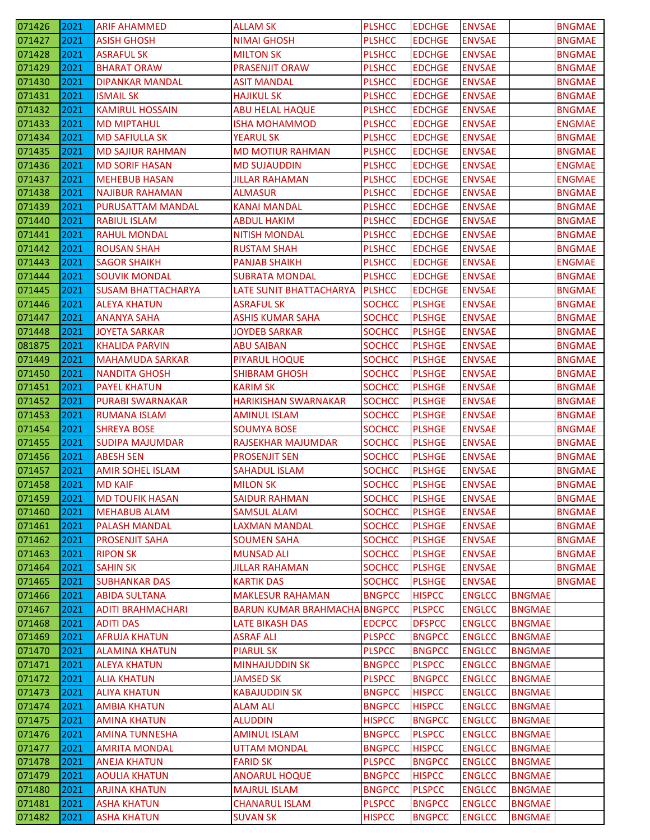| 071426 | 2021 | <b>ARIF AHAMMED</b>       | <b>ALLAM SK</b>                     | <b>PLSHCC</b> | <b>EDCHGE</b> | <b>ENVSAE</b> |               | <b>BNGMAE</b> |
|--------|------|---------------------------|-------------------------------------|---------------|---------------|---------------|---------------|---------------|
| 071427 | 2021 | <b>ASISH GHOSH</b>        | <b>NIMAI GHOSH</b>                  | <b>PLSHCC</b> | <b>EDCHGE</b> | <b>ENVSAE</b> |               | <b>BNGMAE</b> |
| 071428 | 2021 | <b>ASRAFUL SK</b>         | <b>MILTON SK</b>                    | <b>PLSHCC</b> | <b>EDCHGE</b> | <b>ENVSAE</b> |               | <b>BNGMAE</b> |
| 071429 | 2021 | <b>BHARAT ORAW</b>        | <b>PRASENJIT ORAW</b>               | <b>PLSHCC</b> | <b>EDCHGE</b> | <b>ENVSAE</b> |               | <b>BNGMAE</b> |
| 071430 | 2021 | DIPANKAR MANDAL           | <b>ASIT MANDAL</b>                  | <b>PLSHCC</b> | <b>EDCHGE</b> | <b>ENVSAE</b> |               | <b>BNGMAE</b> |
| 071431 | 2021 | ISMAIL SK                 | HAJIKUL SK                          | <b>PLSHCC</b> | <b>EDCHGE</b> | <b>ENVSAE</b> |               | <b>BNGMAE</b> |
| 071432 | 2021 | <b>KAMIRUL HOSSAIN</b>    | <b>ABU HELAL HAQUE</b>              | <b>PLSHCC</b> | <b>EDCHGE</b> | <b>ENVSAE</b> |               | <b>BNGMAE</b> |
| 071433 | 2021 | <b>MD MIPTAHUL</b>        | <b>ISHA MOHAMMOD</b>                | <b>PLSHCC</b> | <b>EDCHGE</b> | <b>ENVSAE</b> |               | <b>ENGMAE</b> |
| 071434 | 2021 | <b>MD SAFIULLA SK</b>     | <b>YEARUL SK</b>                    | <b>PLSHCC</b> | <b>EDCHGE</b> | <b>ENVSAE</b> |               | <b>BNGMAE</b> |
| 071435 | 2021 | <b>MD SAJIUR RAHMAN</b>   | <b>MD MOTIUR RAHMAN</b>             | <b>PLSHCC</b> | <b>EDCHGE</b> | <b>ENVSAE</b> |               | <b>BNGMAE</b> |
| 071436 | 2021 | <b>MD SORIF HASAN</b>     | <b>MD SUJAUDDIN</b>                 | <b>PLSHCC</b> | <b>EDCHGE</b> | <b>ENVSAE</b> |               | <b>ENGMAE</b> |
| 071437 | 2021 | <b>MEHEBUB HASAN</b>      | <b>JILLAR RAHAMAN</b>               | <b>PLSHCC</b> | <b>EDCHGE</b> | <b>ENVSAE</b> |               | <b>ENGMAE</b> |
| 071438 | 2021 | <b>NAJIBUR RAHAMAN</b>    | <b>ALMASUR</b>                      | <b>PLSHCC</b> | <b>EDCHGE</b> | <b>ENVSAE</b> |               | <b>BNGMAE</b> |
| 071439 | 2021 | PURUSATTAM MANDAL         | <b>KANAI MANDAL</b>                 | <b>PLSHCC</b> | <b>EDCHGE</b> | <b>ENVSAE</b> |               | <b>BNGMAE</b> |
| 071440 | 2021 | <b>RABIUL ISLAM</b>       | <b>ABDUL HAKIM</b>                  | <b>PLSHCC</b> | <b>EDCHGE</b> | <b>ENVSAE</b> |               | <b>BNGMAE</b> |
| 071441 | 2021 | <b>RAHUL MONDAL</b>       | <b>NITISH MONDAL</b>                | <b>PLSHCC</b> | <b>EDCHGE</b> | <b>ENVSAE</b> |               | <b>BNGMAE</b> |
| 071442 | 2021 | <b>ROUSAN SHAH</b>        | <b>RUSTAM SHAH</b>                  | <b>PLSHCC</b> | <b>EDCHGE</b> | <b>ENVSAE</b> |               | <b>BNGMAE</b> |
| 071443 | 2021 | <b>SAGOR SHAIKH</b>       | <b>PANJAB SHAIKH</b>                | <b>PLSHCC</b> | <b>EDCHGE</b> | <b>ENVSAE</b> |               | <b>ENGMAE</b> |
| 071444 | 2021 | <b>SOUVIK MONDAL</b>      | <b>SUBRATA MONDAL</b>               | <b>PLSHCC</b> | <b>EDCHGE</b> | <b>ENVSAE</b> |               | <b>BNGMAE</b> |
| 071445 | 2021 | <b>SUSAM BHATTACHARYA</b> | LATE SUNIT BHATTACHARYA             | <b>PLSHCC</b> | <b>EDCHGE</b> | <b>ENVSAE</b> |               | <b>BNGMAE</b> |
| 071446 | 2021 | <b>ALEYA KHATUN</b>       | <b>ASRAFUL SK</b>                   | <b>SOCHCC</b> | <b>PLSHGE</b> | <b>ENVSAE</b> |               | <b>BNGMAE</b> |
| 071447 | 2021 | <b>ANANYA SAHA</b>        | <b>ASHIS KUMAR SAHA</b>             | <b>SOCHCC</b> | <b>PLSHGE</b> | <b>ENVSAE</b> |               | <b>BNGMAE</b> |
| 071448 | 2021 | <b>JOYETA SARKAR</b>      | <b>JOYDEB SARKAR</b>                | <b>SOCHCC</b> | <b>PLSHGE</b> | <b>ENVSAE</b> |               | <b>BNGMAE</b> |
| 081875 | 2021 | <b>KHALIDA PARVIN</b>     | <b>ABU SAIBAN</b>                   | <b>SOCHCC</b> | <b>PLSHGE</b> | <b>ENVSAE</b> |               | <b>BNGMAE</b> |
| 071449 | 2021 | <b>MAHAMUDA SARKAR</b>    | PIYARUL HOQUE                       | <b>SOCHCC</b> | <b>PLSHGE</b> | <b>ENVSAE</b> |               | <b>BNGMAE</b> |
| 071450 | 2021 | <b>NANDITA GHOSH</b>      | <b>SHIBRAM GHOSH</b>                | <b>SOCHCC</b> | <b>PLSHGE</b> | <b>ENVSAE</b> |               | <b>BNGMAE</b> |
| 071451 | 2021 | <b>PAYEL KHATUN</b>       | <b>KARIM SK</b>                     | <b>SOCHCC</b> | <b>PLSHGE</b> | <b>ENVSAE</b> |               | <b>BNGMAE</b> |
| 071452 | 2021 | PURABI SWARNAKAR          | <b>HARIKISHAN SWARNAKAR</b>         | <b>SOCHCC</b> | <b>PLSHGE</b> | <b>ENVSAE</b> |               | <b>BNGMAE</b> |
| 071453 | 2021 | <b>RUMANA ISLAM</b>       | <b>AMINUL ISLAM</b>                 | <b>SOCHCC</b> | <b>PLSHGE</b> | <b>ENVSAE</b> |               | <b>BNGMAE</b> |
| 071454 | 2021 | <b>SHREYA BOSE</b>        | <b>SOUMYA BOSE</b>                  | <b>SOCHCC</b> | <b>PLSHGE</b> | <b>ENVSAE</b> |               | <b>BNGMAE</b> |
| 071455 | 2021 | <b>SUDIPA MAJUMDAR</b>    | RAJSEKHAR MAJUMDAR                  | <b>SOCHCC</b> | <b>PLSHGE</b> | <b>ENVSAE</b> |               | <b>BNGMAE</b> |
| 071456 | 2021 | <b>ABESH SEN</b>          | <b>PROSENJIT SEN</b>                | <b>SOCHCC</b> | <b>PLSHGE</b> | <b>ENVSAE</b> |               | <b>BNGMAE</b> |
| 071457 | 2021 | <b>AMIR SOHEL ISLAM</b>   | <b>SAHADUL ISLAM</b>                | <b>SOCHCC</b> | <b>PLSHGE</b> | <b>ENVSAE</b> |               | <b>BNGMAE</b> |
| 071458 | 2021 | <b>MD KAIF</b>            | <b>MILON SK</b>                     | <b>SOCHCC</b> | <b>PLSHGE</b> | <b>ENVSAE</b> |               | <b>BNGMAE</b> |
| 071459 | 2021 | <b>MD TOUFIK HASAN</b>    | <b>SAIDUR RAHMAN</b>                | <b>SOCHCC</b> | <b>PLSHGE</b> | <b>ENVSAE</b> |               | <b>BNGMAE</b> |
| 071460 | 2021 | <b>MEHABUB ALAM</b>       | <b>SAMSUL ALAM</b>                  | <b>SOCHCC</b> | <b>PLSHGE</b> | <b>ENVSAE</b> |               | <b>BNGMAE</b> |
| 071461 | 2021 | <b>PALASH MANDAL</b>      | <b>LAXMAN MANDAL</b>                | <b>SOCHCC</b> | <b>PLSHGE</b> | <b>ENVSAE</b> |               | <b>BNGMAE</b> |
| 071462 | 2021 | <b>PROSENJIT SAHA</b>     | <b>SOUMEN SAHA</b>                  | <b>SOCHCC</b> | <b>PLSHGE</b> | <b>ENVSAE</b> |               | <b>BNGMAE</b> |
| 071463 | 2021 | <b>RIPON SK</b>           | <b>MUNSAD ALI</b>                   | <b>SOCHCC</b> | <b>PLSHGE</b> | <b>ENVSAE</b> |               | <b>BNGMAE</b> |
| 071464 | 2021 | <b>SAHIN SK</b>           | <b>JILLAR RAHAMAN</b>               | <b>SOCHCC</b> | <b>PLSHGE</b> | <b>ENVSAE</b> |               | <b>BNGMAE</b> |
| 071465 | 2021 | <b>SUBHANKAR DAS</b>      | <b>KARTIK DAS</b>                   | <b>SOCHCC</b> | <b>PLSHGE</b> | <b>ENVSAE</b> |               | <b>BNGMAE</b> |
| 071466 | 2021 | <b>ABIDA SULTANA</b>      | <b>MAKLESUR RAHAMAN</b>             | <b>BNGPCC</b> | <b>HISPCC</b> | <b>ENGLCC</b> | <b>BNGMAE</b> |               |
| 071467 | 2021 | <b>ADITI BRAHMACHARI</b>  | <b>BARUN KUMAR BRAHMACHA BNGPCC</b> |               | <b>PLSPCC</b> | <b>ENGLCC</b> | <b>BNGMAE</b> |               |
| 071468 | 2021 | <b>ADITI DAS</b>          | LATE BIKASH DAS                     | <b>EDCPCC</b> | <b>DFSPCC</b> | <b>ENGLCC</b> | <b>BNGMAE</b> |               |
| 071469 | 2021 | <b>AFRUJA KHATUN</b>      | <b>ASRAF ALI</b>                    | <b>PLSPCC</b> | <b>BNGPCC</b> | <b>ENGLCC</b> | <b>BNGMAE</b> |               |
| 071470 | 2021 | <b>ALAMINA KHATUN</b>     | <b>PIARUL SK</b>                    | <b>PLSPCC</b> | <b>BNGPCC</b> | <b>ENGLCC</b> | <b>BNGMAE</b> |               |
| 071471 | 2021 | <b>ALEYA KHATUN</b>       | <b>MINHAJUDDIN SK</b>               | <b>BNGPCC</b> | <b>PLSPCC</b> | <b>ENGLCC</b> | <b>BNGMAE</b> |               |
| 071472 | 2021 | <b>ALIA KHATUN</b>        | <b>JAMSED SK</b>                    | <b>PLSPCC</b> | <b>BNGPCC</b> | <b>ENGLCC</b> | <b>BNGMAE</b> |               |
| 071473 | 2021 | <b>ALIYA KHATUN</b>       | <b>KABAJUDDIN SK</b>                | <b>BNGPCC</b> | <b>HISPCC</b> | <b>ENGLCC</b> | <b>BNGMAE</b> |               |
| 071474 | 2021 | <b>AMBIA KHATUN</b>       | <b>ALAM ALI</b>                     | <b>BNGPCC</b> | <b>HISPCC</b> | <b>ENGLCC</b> | <b>BNGMAE</b> |               |
| 071475 | 2021 | <b>AMINA KHATUN</b>       | <b>ALUDDIN</b>                      | <b>HISPCC</b> | <b>BNGPCC</b> | <b>ENGLCC</b> | <b>BNGMAE</b> |               |
| 071476 | 2021 | <b>AMINA TUNNESHA</b>     | <b>AMINUL ISLAM</b>                 | <b>BNGPCC</b> | <b>PLSPCC</b> | <b>ENGLCC</b> | <b>BNGMAE</b> |               |
| 071477 | 2021 | <b>AMRITA MONDAL</b>      | <b>UTTAM MONDAL</b>                 | <b>BNGPCC</b> | <b>HISPCC</b> | <b>ENGLCC</b> | <b>BNGMAE</b> |               |
| 071478 | 2021 | <b>ANEJA KHATUN</b>       | <b>FARID SK</b>                     | <b>PLSPCC</b> | <b>BNGPCC</b> | <b>ENGLCC</b> | <b>BNGMAE</b> |               |
| 071479 | 2021 | <b>AOULIA KHATUN</b>      | <b>ANOARUL HOQUE</b>                | <b>BNGPCC</b> | <b>HISPCC</b> | <b>ENGLCC</b> | <b>BNGMAE</b> |               |
| 071480 | 2021 | <b>ARJINA KHATUN</b>      | <b>MAJRUL ISLAM</b>                 | <b>BNGPCC</b> | <b>PLSPCC</b> | <b>ENGLCC</b> | <b>BNGMAE</b> |               |
| 071481 | 2021 | <b>ASHA KHATUN</b>        | <b>CHANARUL ISLAM</b>               | <b>PLSPCC</b> | <b>BNGPCC</b> | <b>ENGLCC</b> | <b>BNGMAE</b> |               |
| 071482 | 2021 | <b>ASHA KHATUN</b>        | <b>SUVAN SK</b>                     | <b>HISPCC</b> | <b>BNGPCC</b> | <b>ENGLCC</b> | <b>BNGMAE</b> |               |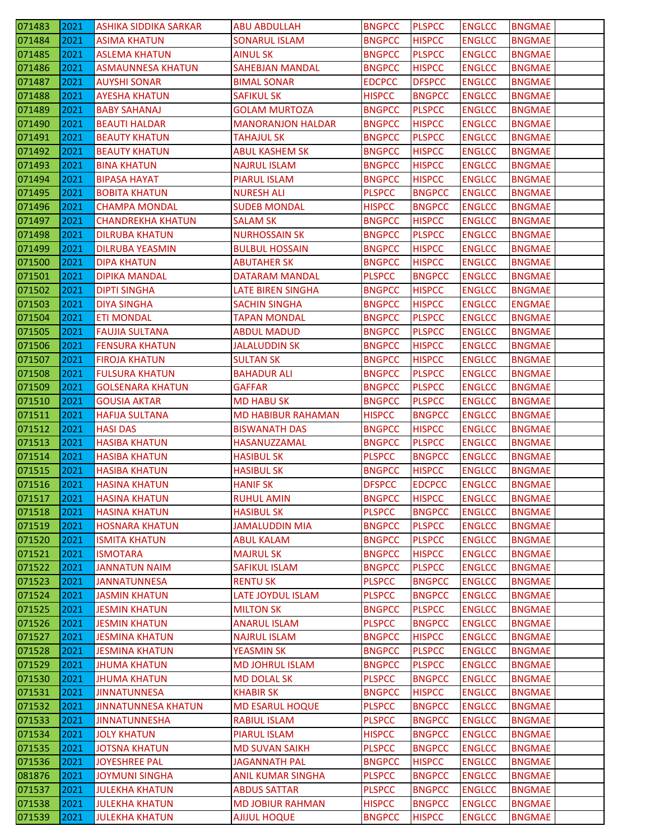| 071483           | 2021         | <b>ASHIKA SIDDIKA SARKAR</b>                   | <b>ABU ABDULLAH</b>                            | <b>BNGPCC</b>                  | <b>PLSPCC</b>                  | <b>ENGLCC</b>                  | <b>BNGMAE</b>                  |
|------------------|--------------|------------------------------------------------|------------------------------------------------|--------------------------------|--------------------------------|--------------------------------|--------------------------------|
| 071484           | 2021         | ASIMA KHATUN                                   | <b>SONARUL ISLAM</b>                           | <b>BNGPCC</b>                  | <b>HISPCC</b>                  | <b>ENGLCC</b>                  | <b>BNGMAE</b>                  |
| 071485           | 2021         | <b>ASLEMA KHATUN</b>                           | <b>AINUL SK</b>                                | <b>BNGPCC</b>                  | <b>PLSPCC</b>                  | <b>ENGLCC</b>                  | <b>BNGMAE</b>                  |
| 071486           | 2021         | <b>ASMAUNNESA KHATUN</b>                       | <b>SAHEBJAN MANDAL</b>                         | <b>BNGPCC</b>                  | <b>HISPCC</b>                  | <b>ENGLCC</b>                  | <b>BNGMAE</b>                  |
| 071487           | 2021         | <b>AUYSHI SONAR</b>                            | <b>BIMAL SONAR</b>                             | <b>EDCPCC</b>                  | <b>DFSPCC</b>                  | <b>ENGLCC</b>                  | <b>BNGMAE</b>                  |
| 071488           | 2021         | <b>AYESHA KHATUN</b>                           | <b>SAFIKUL SK</b>                              | <b>HISPCC</b>                  | <b>BNGPCC</b>                  | <b>ENGLCC</b>                  | <b>BNGMAE</b>                  |
| 071489           | 2021         | <b>BABY SAHANAJ</b>                            | <b>GOLAM MURTOZA</b>                           | <b>BNGPCC</b>                  | <b>PLSPCC</b>                  | <b>ENGLCC</b>                  | <b>BNGMAE</b>                  |
| 071490           | 2021         | <b>BEAUTI HALDAR</b>                           | <b>MANORANJON HALDAR</b>                       | <b>BNGPCC</b>                  | <b>HISPCC</b>                  | <b>ENGLCC</b>                  | <b>BNGMAE</b>                  |
| 071491           | 2021         | <b>BEAUTY KHATUN</b>                           | <b>TAHAJUL SK</b>                              | <b>BNGPCC</b>                  | <b>PLSPCC</b>                  | <b>ENGLCC</b>                  | <b>BNGMAE</b>                  |
| 071492           | 2021         | <b>BEAUTY KHATUN</b>                           | <b>ABUL KASHEM SK</b>                          | <b>BNGPCC</b>                  | <b>HISPCC</b>                  | <b>ENGLCC</b>                  | <b>BNGMAE</b>                  |
| 071493           | 2021         | <b>BINA KHATUN</b>                             | <b>NAJRUL ISLAM</b>                            | <b>BNGPCC</b>                  | <b>HISPCC</b>                  | <b>ENGLCC</b>                  | <b>BNGMAE</b>                  |
| 071494           | 2021         | <b>BIPASA HAYAT</b>                            | PIARUL ISLAM                                   | <b>BNGPCC</b>                  | <b>HISPCC</b>                  | <b>ENGLCC</b>                  | <b>BNGMAE</b>                  |
| 071495           | 2021         | <b>BOBITA KHATUN</b>                           | <b>NURESH ALI</b>                              | <b>PLSPCC</b>                  | <b>BNGPCC</b>                  | <b>ENGLCC</b>                  | <b>BNGMAE</b>                  |
| 071496           | 2021         | <b>CHAMPA MONDAL</b>                           | <b>SUDEB MONDAL</b>                            | <b>HISPCC</b>                  | <b>BNGPCC</b>                  | <b>ENGLCC</b>                  | <b>BNGMAE</b>                  |
| 071497           | 2021         | <b>CHANDREKHA KHATUN</b>                       | <b>SALAM SK</b>                                | <b>BNGPCC</b>                  | <b>HISPCC</b>                  | <b>ENGLCC</b>                  | <b>BNGMAE</b>                  |
| 071498           | 2021         | <b>DILRUBA KHATUN</b>                          | <b>NURHOSSAIN SK</b>                           | <b>BNGPCC</b>                  | <b>PLSPCC</b>                  | <b>ENGLCC</b>                  | <b>BNGMAE</b>                  |
| 071499           | 2021         | DILRUBA YEASMIN                                | <b>BULBUL HOSSAIN</b>                          | <b>BNGPCC</b>                  | <b>HISPCC</b>                  | <b>ENGLCC</b>                  | <b>BNGMAE</b>                  |
| 071500           | 2021         | DIPA KHATUN                                    | ABUTAHER SK                                    | <b>BNGPCC</b>                  | <b>HISPCC</b>                  | <b>ENGLCC</b>                  | <b>BNGMAE</b>                  |
| 071501           | 2021         | <b>DIPIKA MANDAL</b>                           | DATARAM MANDAL                                 | <b>PLSPCC</b>                  | <b>BNGPCC</b>                  | <b>ENGLCC</b>                  | <b>BNGMAE</b>                  |
| 071502           | 2021         | <b>DIPTI SINGHA</b>                            | LATE BIREN SINGHA                              | <b>BNGPCC</b>                  | <b>HISPCC</b>                  | <b>ENGLCC</b>                  | <b>BNGMAE</b>                  |
| 071503           | 2021         | <b>DIYA SINGHA</b>                             | <b>SACHIN SINGHA</b>                           | <b>BNGPCC</b>                  | <b>HISPCC</b>                  | <b>ENGLCC</b>                  | <b>ENGMAE</b>                  |
| 071504           | 2021         | <b>ETI MONDAL</b>                              | <b>TAPAN MONDAL</b>                            | <b>BNGPCC</b>                  | <b>PLSPCC</b>                  | <b>ENGLCC</b>                  | <b>BNGMAE</b>                  |
| 071505           | 2021         | <b>FAUJIA SULTANA</b>                          | <b>ABDUL MADUD</b>                             | <b>BNGPCC</b>                  | <b>PLSPCC</b>                  | <b>ENGLCC</b>                  | <b>BNGMAE</b>                  |
| 071506           | 2021         | <b>FENSURA KHATUN</b>                          | JALALUDDIN SK                                  | <b>BNGPCC</b>                  | <b>HISPCC</b>                  | <b>ENGLCC</b>                  | <b>BNGMAE</b>                  |
| 071507           | 2021         | <b>FIROJA KHATUN</b>                           | <b>SULTAN SK</b>                               | <b>BNGPCC</b>                  | <b>HISPCC</b>                  | <b>ENGLCC</b>                  | <b>BNGMAE</b>                  |
| 071508           | 2021         | <b>FULSURA KHATUN</b>                          | <b>BAHADUR ALI</b>                             | <b>BNGPCC</b>                  | <b>PLSPCC</b>                  | <b>ENGLCC</b>                  | <b>BNGMAE</b>                  |
| 071509           | 2021         | <b>GOLSENARA KHATUN</b>                        | <b>GAFFAR</b>                                  | <b>BNGPCC</b>                  | <b>PLSPCC</b>                  | <b>ENGLCC</b>                  | <b>BNGMAE</b>                  |
| 071510           | 2021         | <b>GOUSIA AKTAR</b>                            | MD HABU SK                                     | <b>BNGPCC</b>                  | <b>PLSPCC</b>                  | <b>ENGLCC</b>                  | <b>BNGMAE</b>                  |
| 071511           | 2021         | HAFIJA SULTANA                                 | <b>MD HABIBUR RAHAMAN</b>                      | <b>HISPCC</b>                  | <b>BNGPCC</b>                  | <b>ENGLCC</b>                  | <b>BNGMAE</b>                  |
|                  |              |                                                |                                                |                                |                                |                                |                                |
|                  |              |                                                |                                                |                                |                                |                                |                                |
| 071512           | 2021         | <b>HASI DAS</b>                                | <b>BISWANATH DAS</b>                           | <b>BNGPCC</b>                  | <b>HISPCC</b>                  | <b>ENGLCC</b>                  | <b>BNGMAE</b>                  |
| 071513           | 2021         | <b>HASIBA KHATUN</b>                           | HASANUZZAMAL                                   | <b>BNGPCC</b>                  | <b>PLSPCC</b>                  | <b>ENGLCC</b>                  | <b>BNGMAE</b>                  |
| 071514           | 2021         | <b>HASIBA KHATUN</b>                           | <b>HASIBUL SK</b>                              | <b>PLSPCC</b>                  | <b>BNGPCC</b>                  | <b>ENGLCC</b>                  | <b>BNGMAE</b>                  |
| 071515           | 2021         | <b>HASIBA KHATUN</b>                           | <b>HASIBUL SK</b>                              | <b>BNGPCC</b>                  | <b>HISPCC</b>                  | <b>ENGLCC</b>                  | <b>BNGMAE</b>                  |
| 071516           | 2021         | <b>HASINA KHATUN</b>                           | <b>HANIF SK</b>                                | <b>DFSPCC</b>                  | <b>EDCPCC</b>                  | <b>ENGLCC</b>                  | <b>BNGMAE</b>                  |
| 071517           | 2021         | <b>HASINA KHATUN</b>                           | <b>RUHUL AMIN</b>                              | <b>BNGPCC</b>                  | <b>HISPCC</b>                  | <b>ENGLCC</b>                  | <b>BNGMAE</b>                  |
| 071518           | 2021         | <b>HASINA KHATUN</b>                           | <b>HASIBUL SK</b>                              | <b>PLSPCC</b>                  | <b>BNGPCC</b>                  | <b>ENGLCC</b>                  | <b>BNGMAE</b>                  |
| 071519           | 2021         | <b>HOSNARA KHATUN</b>                          | <b>JAMALUDDIN MIA</b>                          | <b>BNGPCC</b>                  | <b>PLSPCC</b>                  | <b>ENGLCC</b>                  | <b>BNGMAE</b>                  |
| 071520           | 2021         | <b>ISMITA KHATUN</b>                           | <b>ABUL KALAM</b>                              | <b>BNGPCC</b>                  | <b>PLSPCC</b>                  | <b>ENGLCC</b>                  | <b>BNGMAE</b>                  |
| 071521           | 2021         | <b>ISMOTARA</b>                                | <b>MAJRUL SK</b>                               | <b>BNGPCC</b>                  | <b>HISPCC</b>                  | <b>ENGLCC</b>                  | <b>BNGMAE</b>                  |
| 071522           | 2021         | JANNATUN NAIM                                  | SAFIKUL ISLAM                                  | <b>BNGPCC</b>                  | <b>PLSPCC</b>                  | <b>ENGLCC</b>                  | <b>BNGMAE</b>                  |
| 071523           | 2021         | <b>JANNATUNNESA</b>                            | <b>RENTU SK</b>                                | <b>PLSPCC</b>                  | <b>BNGPCC</b>                  | <b>ENGLCC</b>                  | <b>BNGMAE</b>                  |
| 071524           | 2021         | <b>JASMIN KHATUN</b>                           | LATE JOYDUL ISLAM                              | <b>PLSPCC</b>                  | <b>BNGPCC</b>                  | <b>ENGLCC</b>                  | <b>BNGMAE</b>                  |
| 071525           | 2021         | <b>JESMIN KHATUN</b>                           | <b>MILTON SK</b>                               | <b>BNGPCC</b>                  | <b>PLSPCC</b>                  | <b>ENGLCC</b>                  | <b>BNGMAE</b>                  |
| 071526           | 2021         | <b>JESMIN KHATUN</b>                           | <b>ANARUL ISLAM</b>                            | <b>PLSPCC</b>                  | <b>BNGPCC</b>                  | <b>ENGLCC</b>                  | <b>BNGMAE</b>                  |
| 071527           | 2021         | <b>JESMINA KHATUN</b>                          | <b>NAJRUL ISLAM</b>                            | <b>BNGPCC</b>                  | <b>HISPCC</b>                  | <b>ENGLCC</b>                  | <b>BNGMAE</b>                  |
| 071528           | 2021         | <b>JESMINA KHATUN</b>                          | <b>YEASMIN SK</b>                              | <b>BNGPCC</b>                  | <b>PLSPCC</b>                  | <b>ENGLCC</b>                  | BNGMAE                         |
| 071529           | 2021         | <b>JHUMA KHATUN</b>                            | <b>MD JOHRUL ISLAM</b>                         | <b>BNGPCC</b>                  | <b>PLSPCC</b>                  | <b>ENGLCC</b>                  | <b>BNGMAE</b>                  |
| 071530           | 2021         | <b>JHUMA KHATUN</b>                            | <b>MD DOLAL SK</b>                             | <b>PLSPCC</b>                  | <b>BNGPCC</b>                  | <b>ENGLCC</b>                  | <b>BNGMAE</b>                  |
| 071531           | 2021         | <b>JINNATUNNESA</b>                            | <b>KHABIR SK</b>                               | <b>BNGPCC</b>                  | <b>HISPCC</b>                  | <b>ENGLCC</b>                  | <b>BNGMAE</b>                  |
| 071532           | 2021         | <b>JINNATUNNESA KHATUN</b>                     | <b>MD ESARUL HOQUE</b>                         | <b>PLSPCC</b>                  | <b>BNGPCC</b>                  | <b>ENGLCC</b>                  | <b>BNGMAE</b>                  |
| 071533           | 2021         | <b>JINNATUNNESHA</b>                           | <b>RABIUL ISLAM</b>                            | <b>PLSPCC</b>                  | <b>BNGPCC</b>                  | <b>ENGLCC</b>                  | <b>BNGMAE</b>                  |
| 071534           | 2021         | <b>JOLY KHATUN</b>                             | <b>PIARUL ISLAM</b>                            | <b>HISPCC</b>                  | <b>BNGPCC</b>                  | <b>ENGLCC</b>                  | <b>BNGMAE</b>                  |
| 071535           | 2021         | <b>JOTSNA KHATUN</b>                           | <b>MD SUVAN SAIKH</b>                          | <b>PLSPCC</b>                  | <b>BNGPCC</b>                  | <b>ENGLCC</b>                  | <b>BNGMAE</b>                  |
| 071536           | 2021         | <b>JOYESHREE PAL</b>                           | <b>JAGANNATH PAL</b>                           | <b>BNGPCC</b>                  | <b>HISPCC</b>                  | <b>ENGLCC</b>                  | <b>BNGMAE</b>                  |
| 081876           | 2021         | <b>JOYMUNI SINGHA</b>                          | <b>ANIL KUMAR SINGHA</b>                       | <b>PLSPCC</b>                  | <b>BNGPCC</b>                  | <b>ENGLCC</b>                  | <b>BNGMAE</b>                  |
| 071537           | 2021         | <b>JULEKHA KHATUN</b>                          | <b>ABDUS SATTAR</b>                            | <b>PLSPCC</b>                  | <b>BNGPCC</b>                  | <b>ENGLCC</b>                  | <b>BNGMAE</b>                  |
| 071538<br>071539 | 2021<br>2021 | <b>JULEKHA KHATUN</b><br><b>JULEKHA KHATUN</b> | <b>MD JOBIUR RAHMAN</b><br><b>AJIJUL HOQUE</b> | <b>HISPCC</b><br><b>BNGPCC</b> | <b>BNGPCC</b><br><b>HISPCC</b> | <b>ENGLCC</b><br><b>ENGLCC</b> | <b>BNGMAE</b><br><b>BNGMAE</b> |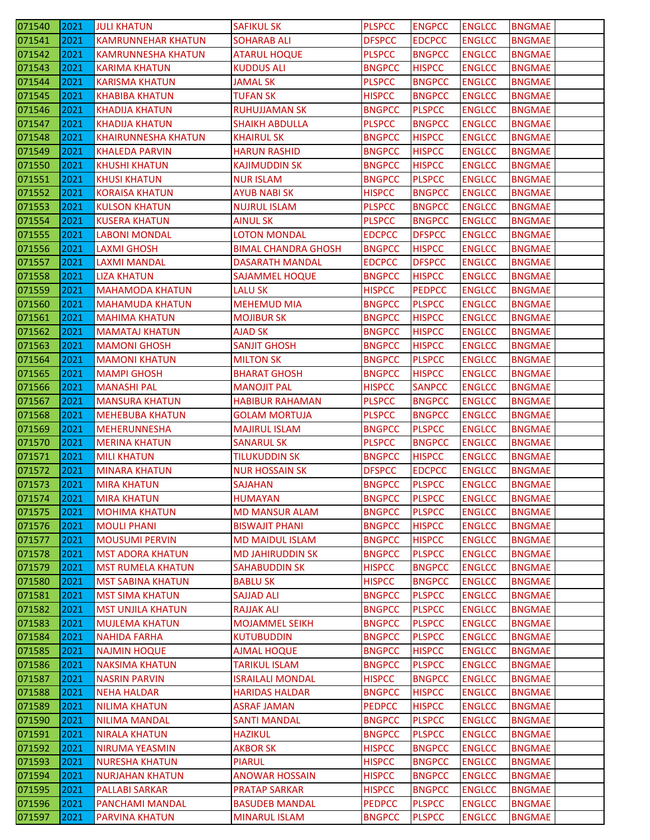| 071540 | 2021 | <b>JULI KHATUN</b>         | <b>SAFIKUL SK</b>          | <b>PLSPCC</b> | <b>ENGPCC</b> | <b>ENGLCC</b> | <b>BNGMAE</b> |
|--------|------|----------------------------|----------------------------|---------------|---------------|---------------|---------------|
| 071541 | 2021 | <b>KAMRUNNEHAR KHATUN</b>  | <b>SOHARAB ALI</b>         | <b>DFSPCC</b> | <b>EDCPCC</b> | <b>ENGLCC</b> | <b>BNGMAE</b> |
| 071542 | 2021 | <b>KAMRUNNESHA KHATUN</b>  | <b>ATARUL HOQUE</b>        | <b>PLSPCC</b> | <b>BNGPCC</b> | <b>ENGLCC</b> | <b>BNGMAE</b> |
| 071543 | 2021 | <b>KARIMA KHATUN</b>       | <b>KUDDUS ALI</b>          | <b>BNGPCC</b> | <b>HISPCC</b> | <b>ENGLCC</b> | <b>BNGMAE</b> |
| 071544 | 2021 | KARISMA KHATUN             | JAMAL SK                   | <b>PLSPCC</b> | <b>BNGPCC</b> | <b>ENGLCC</b> | <b>BNGMAE</b> |
| 071545 | 2021 | KHABIBA KHATUN             | <b>TUFAN SK</b>            | <b>HISPCC</b> | <b>BNGPCC</b> | <b>ENGLCC</b> | <b>BNGMAE</b> |
| 071546 | 2021 | <b>KHADIJA KHATUN</b>      | <b>RUHUJJAMAN SK</b>       | <b>BNGPCC</b> | <b>PLSPCC</b> | <b>ENGLCC</b> | <b>BNGMAE</b> |
| 071547 | 2021 | <b>KHADIJA KHATUN</b>      | <b>SHAIKH ABDULLA</b>      | <b>PLSPCC</b> | <b>BNGPCC</b> | <b>ENGLCC</b> | <b>BNGMAE</b> |
| 071548 | 2021 | <b>KHAIRUNNESHA KHATUN</b> | <b>KHAIRUL SK</b>          | <b>BNGPCC</b> | <b>HISPCC</b> | <b>ENGLCC</b> | <b>BNGMAE</b> |
| 071549 | 2021 | <b>KHALEDA PARVIN</b>      | <b>HARUN RASHID</b>        | <b>BNGPCC</b> | <b>HISPCC</b> | <b>ENGLCC</b> | <b>BNGMAE</b> |
| 071550 | 2021 | <b>KHUSHI KHATUN</b>       | <b>KAJIMUDDIN SK</b>       | <b>BNGPCC</b> | <b>HISPCC</b> | <b>ENGLCC</b> | <b>BNGMAE</b> |
| 071551 | 2021 | <b>KHUSI KHATUN</b>        | <b>NUR ISLAM</b>           | <b>BNGPCC</b> | <b>PLSPCC</b> | <b>ENGLCC</b> | <b>BNGMAE</b> |
| 071552 | 2021 | <b>KORAISA KHATUN</b>      | <b>AYUB NABI SK</b>        | <b>HISPCC</b> | <b>BNGPCC</b> | <b>ENGLCC</b> | <b>BNGMAE</b> |
| 071553 | 2021 | <b>KULSON KHATUN</b>       | <b>NUJRUL ISLAM</b>        | <b>PLSPCC</b> | <b>BNGPCC</b> | <b>ENGLCC</b> | <b>BNGMAE</b> |
| 071554 | 2021 | <b>KUSERA KHATUN</b>       | AINUL SK                   | <b>PLSPCC</b> | <b>BNGPCC</b> | <b>ENGLCC</b> | <b>BNGMAE</b> |
| 071555 | 2021 | LABONI MONDAL              | <b>LOTON MONDAL</b>        | <b>EDCPCC</b> | <b>DFSPCC</b> | <b>ENGLCC</b> | <b>BNGMAE</b> |
| 071556 | 2021 | <b>LAXMI GHOSH</b>         | <b>BIMAL CHANDRA GHOSH</b> | <b>BNGPCC</b> | <b>HISPCC</b> | <b>ENGLCC</b> | <b>BNGMAE</b> |
| 071557 | 2021 | <b>LAXMI MANDAL</b>        | <b>DASARATH MANDAL</b>     | <b>EDCPCC</b> | <b>DFSPCC</b> | <b>ENGLCC</b> | <b>BNGMAE</b> |
| 071558 | 2021 | <b>LIZA KHATUN</b>         | SAJAMMEL HOQUE             | <b>BNGPCC</b> | <b>HISPCC</b> | <b>ENGLCC</b> | <b>BNGMAE</b> |
| 071559 | 2021 | <b>MAHAMODA KHATUN</b>     | <b>LALU SK</b>             | <b>HISPCC</b> | <b>PEDPCC</b> | <b>ENGLCC</b> | <b>BNGMAE</b> |
| 071560 | 2021 | <b>MAHAMUDA KHATUN</b>     | <b>MEHEMUD MIA</b>         | <b>BNGPCC</b> | <b>PLSPCC</b> | <b>ENGLCC</b> | <b>BNGMAE</b> |
| 071561 | 2021 | <b>MAHIMA KHATUN</b>       | <b>MOJIBUR SK</b>          | <b>BNGPCC</b> | <b>HISPCC</b> | <b>ENGLCC</b> | <b>BNGMAE</b> |
| 071562 | 2021 | <b>MAMATAJ KHATUN</b>      | AJAD SK                    | <b>BNGPCC</b> | <b>HISPCC</b> | <b>ENGLCC</b> | <b>BNGMAE</b> |
| 071563 | 2021 | <b>MAMONI GHOSH</b>        | <b>SANJIT GHOSH</b>        | <b>BNGPCC</b> | <b>HISPCC</b> | <b>ENGLCC</b> | <b>BNGMAE</b> |
| 071564 | 2021 | <b>MAMONI KHATUN</b>       | <b>MILTON SK</b>           | <b>BNGPCC</b> | <b>PLSPCC</b> | <b>ENGLCC</b> | <b>BNGMAE</b> |
| 071565 | 2021 | <b>MAMPI GHOSH</b>         | <b>BHARAT GHOSH</b>        | <b>BNGPCC</b> | <b>HISPCC</b> | <b>ENGLCC</b> | <b>BNGMAE</b> |
| 071566 | 2021 | <b>MANASHI PAL</b>         | <b>MANOJIT PAL</b>         | <b>HISPCC</b> | <b>SANPCC</b> | <b>ENGLCC</b> | <b>BNGMAE</b> |
| 071567 | 2021 | <b>MANSURA KHATUN</b>      | <b>HABIBUR RAHAMAN</b>     | <b>PLSPCC</b> | <b>BNGPCC</b> | <b>ENGLCC</b> | <b>BNGMAE</b> |
| 071568 | 2021 | <b>MEHEBUBA KHATUN</b>     | <b>GOLAM MORTUJA</b>       | <b>PLSPCC</b> | <b>BNGPCC</b> | <b>ENGLCC</b> | <b>BNGMAE</b> |
| 071569 | 2021 | <b>MEHERUNNESHA</b>        | <b>MAJIRUL ISLAM</b>       | <b>BNGPCC</b> | <b>PLSPCC</b> | <b>ENGLCC</b> | <b>BNGMAE</b> |
| 071570 | 2021 | <b>MERINA KHATUN</b>       | <b>SANARUL SK</b>          | <b>PLSPCC</b> | <b>BNGPCC</b> | <b>ENGLCC</b> | <b>BNGMAE</b> |
| 071571 | 2021 | <b>MILI KHATUN</b>         | <b>TILUKUDDIN SK</b>       | <b>BNGPCC</b> | <b>HISPCC</b> | <b>ENGLCC</b> | <b>BNGMAE</b> |
| 071572 | 2021 | <b>MINARA KHATUN</b>       | <b>NUR HOSSAIN SK</b>      | <b>DFSPCC</b> | <b>EDCPCC</b> | <b>ENGLCC</b> | <b>BNGMAE</b> |
| 071573 | 2021 | <b>MIRA KHATUN</b>         | <b>SAJAHAN</b>             | <b>BNGPCC</b> | <b>PLSPCC</b> | <b>ENGLCC</b> | <b>BNGMAE</b> |
| 071574 | 2021 | <b>MIRA KHATUN</b>         | <b>HUMAYAN</b>             | <b>BNGPCC</b> | <b>PLSPCC</b> | <b>ENGLCC</b> | <b>BNGMAE</b> |
| 071575 | 2021 | <b>MOHIMA KHATUN</b>       | <b>MD MANSUR ALAM</b>      | <b>BNGPCC</b> | <b>PLSPCC</b> | <b>ENGLCC</b> | <b>BNGMAE</b> |
| 071576 | 2021 | <b>MOULI PHANI</b>         | <b>BISWAJIT PHANI</b>      | <b>BNGPCC</b> | <b>HISPCC</b> | <b>ENGLCC</b> | <b>BNGMAE</b> |
| 071577 | 2021 | <b>MOUSUMI PERVIN</b>      | <b>MD MAIDUL ISLAM</b>     | <b>BNGPCC</b> | <b>HISPCC</b> | <b>ENGLCC</b> | <b>BNGMAE</b> |
| 071578 | 2021 | <b>MST ADORA KHATUN</b>    | <b>MD JAHIRUDDIN SK</b>    | <b>BNGPCC</b> | <b>PLSPCC</b> | <b>ENGLCC</b> | <b>BNGMAE</b> |
| 071579 | 2021 | <b>MST RUMELA KHATUN</b>   | <b>SAHABUDDIN SK</b>       | <b>HISPCC</b> | <b>BNGPCC</b> | <b>ENGLCC</b> | <b>BNGMAE</b> |
| 071580 | 2021 | <b>MST SABINA KHATUN</b>   | <b>BABLU SK</b>            | <b>HISPCC</b> | <b>BNGPCC</b> | <b>ENGLCC</b> | <b>BNGMAE</b> |
| 071581 | 2021 | <b>MST SIMA KHATUN</b>     | <b>SAJJAD ALI</b>          | <b>BNGPCC</b> | <b>PLSPCC</b> | <b>ENGLCC</b> | <b>BNGMAE</b> |
| 071582 | 2021 | <b>MST UNJILA KHATUN</b>   | <b>RAJJAK ALI</b>          | <b>BNGPCC</b> | <b>PLSPCC</b> | <b>ENGLCC</b> | <b>BNGMAE</b> |
| 071583 | 2021 | <b>MUJLEMA KHATUN</b>      | <b>MOJAMMEL SEIKH</b>      | <b>BNGPCC</b> | <b>PLSPCC</b> | <b>ENGLCC</b> | <b>BNGMAE</b> |
| 071584 | 2021 | <b>NAHIDA FARHA</b>        | <b>KUTUBUDDIN</b>          | <b>BNGPCC</b> | <b>PLSPCC</b> | <b>ENGLCC</b> | <b>BNGMAE</b> |
| 071585 | 2021 | <b>NAJMIN HOQUE</b>        | <b>AJMAL HOQUE</b>         | <b>BNGPCC</b> | <b>HISPCC</b> | <b>ENGLCC</b> | <b>BNGMAE</b> |
| 071586 | 2021 | <b>NAKSIMA KHATUN</b>      | <b>TARIKUL ISLAM</b>       | <b>BNGPCC</b> | <b>PLSPCC</b> | <b>ENGLCC</b> | <b>BNGMAE</b> |
| 071587 | 2021 | <b>NASRIN PARVIN</b>       | <b>ISRAILALI MONDAL</b>    | <b>HISPCC</b> | <b>BNGPCC</b> | <b>ENGLCC</b> | <b>BNGMAE</b> |
| 071588 | 2021 | <b>NEHA HALDAR</b>         | <b>HARIDAS HALDAR</b>      | <b>BNGPCC</b> | <b>HISPCC</b> | <b>ENGLCC</b> | <b>BNGMAE</b> |
| 071589 | 2021 | <b>NILIMA KHATUN</b>       | <b>ASRAF JAMAN</b>         | <b>PEDPCC</b> | <b>HISPCC</b> | <b>ENGLCC</b> | <b>BNGMAE</b> |
| 071590 | 2021 | <b>NILIMA MANDAL</b>       | <b>SANTI MANDAL</b>        | <b>BNGPCC</b> | <b>PLSPCC</b> | <b>ENGLCC</b> | <b>BNGMAE</b> |
| 071591 | 2021 | <b>NIRALA KHATUN</b>       | <b>HAZIKUL</b>             | <b>BNGPCC</b> | <b>PLSPCC</b> | <b>ENGLCC</b> | <b>BNGMAE</b> |
| 071592 | 2021 | NIRUMA YEASMIN             | <b>AKBOR SK</b>            | <b>HISPCC</b> | <b>BNGPCC</b> | <b>ENGLCC</b> | <b>BNGMAE</b> |
| 071593 | 2021 | <b>NURESHA KHATUN</b>      | <b>PIARUL</b>              | <b>HISPCC</b> | <b>BNGPCC</b> | <b>ENGLCC</b> | <b>BNGMAE</b> |
| 071594 | 2021 | <b>NURJAHAN KHATUN</b>     | <b>ANOWAR HOSSAIN</b>      | <b>HISPCC</b> | <b>BNGPCC</b> | <b>ENGLCC</b> | <b>BNGMAE</b> |
| 071595 | 2021 | <b>PALLABI SARKAR</b>      | <b>PRATAP SARKAR</b>       | <b>HISPCC</b> | <b>BNGPCC</b> | <b>ENGLCC</b> | <b>BNGMAE</b> |
| 071596 | 2021 | PANCHAMI MANDAL            | <b>BASUDEB MANDAL</b>      | <b>PEDPCC</b> | <b>PLSPCC</b> | <b>ENGLCC</b> | <b>BNGMAE</b> |
| 071597 | 2021 | <b>PARVINA KHATUN</b>      | <b>MINARUL ISLAM</b>       | <b>BNGPCC</b> | <b>PLSPCC</b> | <b>ENGLCC</b> | <b>BNGMAE</b> |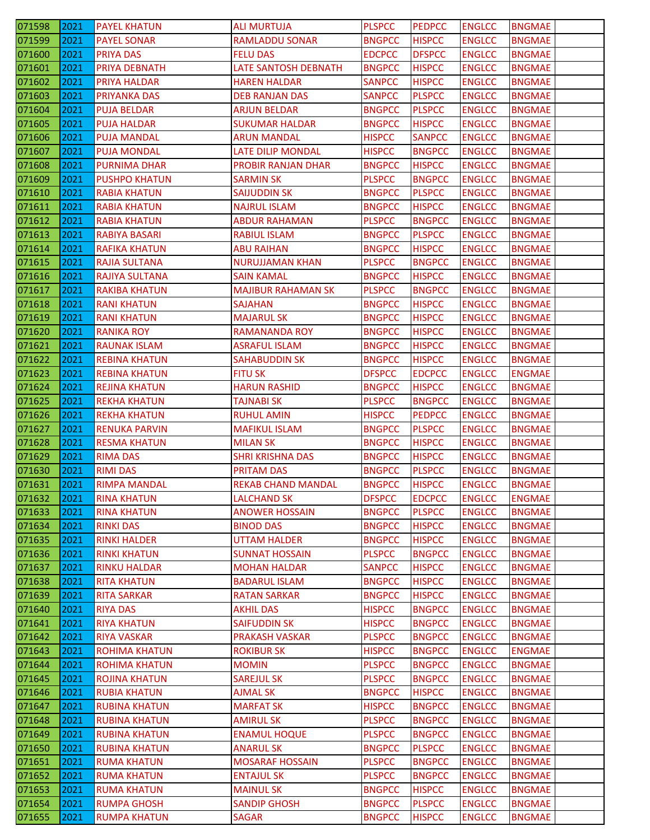| 071598 | 2021 | <b>PAYEL KHATUN</b>  | <b>ALI MURTUJA</b>        | <b>PLSPCC</b> | <b>PEDPCC</b> | <b>ENGLCC</b> | <b>BNGMAE</b> |
|--------|------|----------------------|---------------------------|---------------|---------------|---------------|---------------|
| 071599 | 2021 | <b>PAYEL SONAR</b>   | RAMLADDU SONAR            | <b>BNGPCC</b> | <b>HISPCC</b> | <b>ENGLCC</b> | <b>BNGMAE</b> |
| 071600 | 2021 | PRIYA DAS            | <b>FELU DAS</b>           | <b>EDCPCC</b> | <b>DFSPCC</b> | <b>ENGLCC</b> | <b>BNGMAE</b> |
| 071601 | 2021 | PRIYA DEBNATH        | LATE SANTOSH DEBNATH      | <b>BNGPCC</b> | <b>HISPCC</b> | <b>ENGLCC</b> | <b>BNGMAE</b> |
| 071602 | 2021 | <b>PRIYA HALDAR</b>  | HAREN HALDAR              | <b>SANPCC</b> | <b>HISPCC</b> | <b>ENGLCC</b> | <b>BNGMAE</b> |
| 071603 | 2021 | PRIYANKA DAS         | <b>DEB RANJAN DAS</b>     | <b>SANPCC</b> | <b>PLSPCC</b> | <b>ENGLCC</b> | <b>BNGMAE</b> |
| 071604 | 2021 | <b>PUJA BELDAR</b>   | <b>ARJUN BELDAR</b>       | <b>BNGPCC</b> | <b>PLSPCC</b> | <b>ENGLCC</b> | <b>BNGMAE</b> |
| 071605 | 2021 | <b>PUJA HALDAR</b>   | <b>SUKUMAR HALDAR</b>     | <b>BNGPCC</b> | <b>HISPCC</b> | <b>ENGLCC</b> | <b>BNGMAE</b> |
| 071606 | 2021 | <b>PUJA MANDAL</b>   | ARUN MANDAL               | <b>HISPCC</b> | <b>SANPCC</b> | <b>ENGLCC</b> | <b>BNGMAE</b> |
| 071607 | 2021 | <b>PUJA MONDAL</b>   | <b>LATE DILIP MONDAL</b>  | <b>HISPCC</b> | <b>BNGPCC</b> | <b>ENGLCC</b> | <b>BNGMAE</b> |
| 071608 | 2021 | <b>PURNIMA DHAR</b>  | PROBIR RANJAN DHAR        | <b>BNGPCC</b> | <b>HISPCC</b> | <b>ENGLCC</b> | <b>BNGMAE</b> |
| 071609 | 2021 | <b>PUSHPO KHATUN</b> | SARMIN SK                 | <b>PLSPCC</b> | <b>BNGPCC</b> | <b>ENGLCC</b> | BNGMAE        |
| 071610 | 2021 | <b>RABIA KHATUN</b>  | <b>SAIJUDDIN SK</b>       | <b>BNGPCC</b> | <b>PLSPCC</b> | <b>ENGLCC</b> | <b>BNGMAE</b> |
| 071611 | 2021 | <b>RABIA KHATUN</b>  | <b>NAJRUL ISLAM</b>       | <b>BNGPCC</b> | <b>HISPCC</b> | <b>ENGLCC</b> | <b>BNGMAE</b> |
| 071612 | 2021 | <b>RABIA KHATUN</b>  | <b>ABDUR RAHAMAN</b>      | <b>PLSPCC</b> | <b>BNGPCC</b> | <b>ENGLCC</b> | <b>BNGMAE</b> |
| 071613 | 2021 | <b>RABIYA BASARI</b> | <b>RABIUL ISLAM</b>       | <b>BNGPCC</b> | <b>PLSPCC</b> | <b>ENGLCC</b> | <b>BNGMAE</b> |
| 071614 | 2021 | <b>RAFIKA KHATUN</b> | ABU RAIHAN                | <b>BNGPCC</b> | <b>HISPCC</b> | <b>ENGLCC</b> | <b>BNGMAE</b> |
| 071615 | 2021 | RAJIA SULTANA        | <b>NURUJJAMAN KHAN</b>    | <b>PLSPCC</b> | <b>BNGPCC</b> | <b>ENGLCC</b> | <b>BNGMAE</b> |
| 071616 | 2021 | RAJIYA SULTANA       | <b>SAIN KAMAL</b>         | <b>BNGPCC</b> | <b>HISPCC</b> | <b>ENGLCC</b> | <b>BNGMAE</b> |
| 071617 | 2021 | <b>RAKIBA KHATUN</b> | <b>MAJIBUR RAHAMAN SK</b> | <b>PLSPCC</b> | <b>BNGPCC</b> | <b>ENGLCC</b> | <b>BNGMAE</b> |
| 071618 | 2021 | <b>RANI KHATUN</b>   | <b>SAJAHAN</b>            | <b>BNGPCC</b> | <b>HISPCC</b> | <b>ENGLCC</b> | <b>BNGMAE</b> |
| 071619 | 2021 | <b>RANI KHATUN</b>   | <b>MAJARUL SK</b>         | <b>BNGPCC</b> | <b>HISPCC</b> | <b>ENGLCC</b> | <b>BNGMAE</b> |
|        | 2021 |                      |                           | <b>BNGPCC</b> |               |               |               |
| 071620 |      | RANIKA ROY           | RAMANANDA ROY             |               | <b>HISPCC</b> | <b>ENGLCC</b> | BNGMAE        |
| 071621 | 2021 | <b>RAUNAK ISLAM</b>  | <b>ASRAFUL ISLAM</b>      | <b>BNGPCC</b> | <b>HISPCC</b> | <b>ENGLCC</b> | <b>BNGMAE</b> |
| 071622 | 2021 | <b>REBINA KHATUN</b> | <b>SAHABUDDIN SK</b>      | <b>BNGPCC</b> | <b>HISPCC</b> | <b>ENGLCC</b> | <b>BNGMAE</b> |
| 071623 | 2021 | <b>REBINA KHATUN</b> | <b>FITU SK</b>            | <b>DFSPCC</b> | <b>EDCPCC</b> | <b>ENGLCC</b> | <b>ENGMAE</b> |
| 071624 | 2021 | <b>REJINA KHATUN</b> | <b>HARUN RASHID</b>       | <b>BNGPCC</b> | <b>HISPCC</b> | <b>ENGLCC</b> | <b>BNGMAE</b> |
| 071625 | 2021 | <b>REKHA KHATUN</b>  | <b>TAJNABI SK</b>         | <b>PLSPCC</b> | <b>BNGPCC</b> | <b>ENGLCC</b> | <b>BNGMAE</b> |
| 071626 | 2021 | <b>REKHA KHATUN</b>  | <b>RUHUL AMIN</b>         | <b>HISPCC</b> | <b>PEDPCC</b> | <b>ENGLCC</b> | <b>BNGMAE</b> |
| 071627 | 2021 | <b>RENUKA PARVIN</b> | <b>MAFIKUL ISLAM</b>      | <b>BNGPCC</b> | <b>PLSPCC</b> | <b>ENGLCC</b> | <b>BNGMAE</b> |
| 071628 | 2021 | <b>RESMA KHATUN</b>  | <b>MILAN SK</b>           | <b>BNGPCC</b> | <b>HISPCC</b> | <b>ENGLCC</b> | <b>BNGMAE</b> |
| 071629 | 2021 | <b>RIMA DAS</b>      | <b>SHRI KRISHNA DAS</b>   | <b>BNGPCC</b> | <b>HISPCC</b> | <b>ENGLCC</b> | <b>BNGMAE</b> |
| 071630 | 2021 | <b>RIMI DAS</b>      | <b>PRITAM DAS</b>         | <b>BNGPCC</b> | <b>PLSPCC</b> | <b>ENGLCC</b> | <b>BNGMAE</b> |
| 071631 | 2021 | <b>RIMPA MANDAL</b>  | <b>REKAB CHAND MANDAL</b> | <b>BNGPCC</b> | <b>HISPCC</b> | <b>ENGLCC</b> | <b>BNGMAE</b> |
| 071632 | 2021 | <b>RINA KHATUN</b>   | <b>LALCHAND SK</b>        | <b>DFSPCC</b> | <b>EDCPCC</b> | <b>ENGLCC</b> | <b>ENGMAE</b> |
| 071633 | 2021 | <b>RINA KHATUN</b>   | <b>ANOWER HOSSAIN</b>     | <b>BNGPCC</b> | <b>PLSPCC</b> | <b>ENGLCC</b> | <b>BNGMAE</b> |
| 071634 | 2021 | <b>RINKI DAS</b>     | <b>BINOD DAS</b>          | <b>BNGPCC</b> | <b>HISPCC</b> | <b>ENGLCC</b> | <b>BNGMAE</b> |
| 071635 | 2021 | <b>RINKI HALDER</b>  | <b>UTTAM HALDER</b>       | <b>BNGPCC</b> | <b>HISPCC</b> | <b>ENGLCC</b> | <b>BNGMAE</b> |
| 071636 | 2021 | <b>RINKI KHATUN</b>  | <b>SUNNAT HOSSAIN</b>     | <b>PLSPCC</b> | <b>BNGPCC</b> | <b>ENGLCC</b> | <b>BNGMAE</b> |
| 071637 | 2021 | <b>RINKU HALDAR</b>  | <b>MOHAN HALDAR</b>       | <b>SANPCC</b> | <b>HISPCC</b> | <b>ENGLCC</b> | <b>BNGMAE</b> |
| 071638 | 2021 | <b>RITA KHATUN</b>   | <b>BADARUL ISLAM</b>      | <b>BNGPCC</b> | <b>HISPCC</b> | <b>ENGLCC</b> | <b>BNGMAE</b> |
| 071639 | 2021 | <b>RITA SARKAR</b>   | <b>RATAN SARKAR</b>       | <b>BNGPCC</b> | <b>HISPCC</b> | <b>ENGLCC</b> | <b>BNGMAE</b> |
| 071640 | 2021 | <b>RIYA DAS</b>      | <b>AKHIL DAS</b>          | <b>HISPCC</b> | <b>BNGPCC</b> | <b>ENGLCC</b> | <b>BNGMAE</b> |
| 071641 | 2021 | <b>RIYA KHATUN</b>   | <b>SAIFUDDIN SK</b>       | <b>HISPCC</b> | <b>BNGPCC</b> | <b>ENGLCC</b> | <b>BNGMAE</b> |
| 071642 | 2021 | <b>RIYA VASKAR</b>   | <b>PRAKASH VASKAR</b>     | <b>PLSPCC</b> | <b>BNGPCC</b> | <b>ENGLCC</b> | <b>BNGMAE</b> |
| 071643 | 2021 | <b>ROHIMA KHATUN</b> | <b>ROKIBUR SK</b>         | <b>HISPCC</b> | <b>BNGPCC</b> | <b>ENGLCC</b> | <b>ENGMAE</b> |
| 071644 | 2021 | <b>ROHIMA KHATUN</b> | <b>MOMIN</b>              | <b>PLSPCC</b> | <b>BNGPCC</b> | <b>ENGLCC</b> | <b>BNGMAE</b> |
| 071645 | 2021 | <b>ROJINA KHATUN</b> | <b>SAREJUL SK</b>         | <b>PLSPCC</b> | <b>BNGPCC</b> | <b>ENGLCC</b> | <b>BNGMAE</b> |
| 071646 | 2021 | <b>RUBIA KHATUN</b>  | <b>AJMAL SK</b>           | <b>BNGPCC</b> | <b>HISPCC</b> | <b>ENGLCC</b> | <b>BNGMAE</b> |
| 071647 | 2021 | <b>RUBINA KHATUN</b> | <b>MARFAT SK</b>          | <b>HISPCC</b> | <b>BNGPCC</b> | <b>ENGLCC</b> | <b>BNGMAE</b> |
| 071648 | 2021 | <b>RUBINA KHATUN</b> | <b>AMIRUL SK</b>          | <b>PLSPCC</b> | <b>BNGPCC</b> | <b>ENGLCC</b> | <b>BNGMAE</b> |
| 071649 | 2021 | <b>RUBINA KHATUN</b> | <b>ENAMUL HOQUE</b>       | <b>PLSPCC</b> | <b>BNGPCC</b> | <b>ENGLCC</b> | <b>BNGMAE</b> |
| 071650 | 2021 | <b>RUBINA KHATUN</b> | <b>ANARUL SK</b>          | <b>BNGPCC</b> | <b>PLSPCC</b> | <b>ENGLCC</b> | <b>BNGMAE</b> |
| 071651 | 2021 | <b>RUMA KHATUN</b>   | <b>MOSARAF HOSSAIN</b>    | <b>PLSPCC</b> | <b>BNGPCC</b> | <b>ENGLCC</b> | <b>BNGMAE</b> |
| 071652 | 2021 | <b>RUMA KHATUN</b>   | <b>ENTAJUL SK</b>         | <b>PLSPCC</b> | <b>BNGPCC</b> | <b>ENGLCC</b> | <b>BNGMAE</b> |
| 071653 | 2021 | <b>RUMA KHATUN</b>   | <b>MAINUL SK</b>          | <b>BNGPCC</b> | <b>HISPCC</b> | <b>ENGLCC</b> | <b>BNGMAE</b> |
| 071654 | 2021 | <b>RUMPA GHOSH</b>   | <b>SANDIP GHOSH</b>       | <b>BNGPCC</b> | <b>PLSPCC</b> | <b>ENGLCC</b> | <b>BNGMAE</b> |
| 071655 | 2021 | <b>RUMPA KHATUN</b>  | <b>SAGAR</b>              | <b>BNGPCC</b> | <b>HISPCC</b> | <b>ENGLCC</b> | <b>BNGMAE</b> |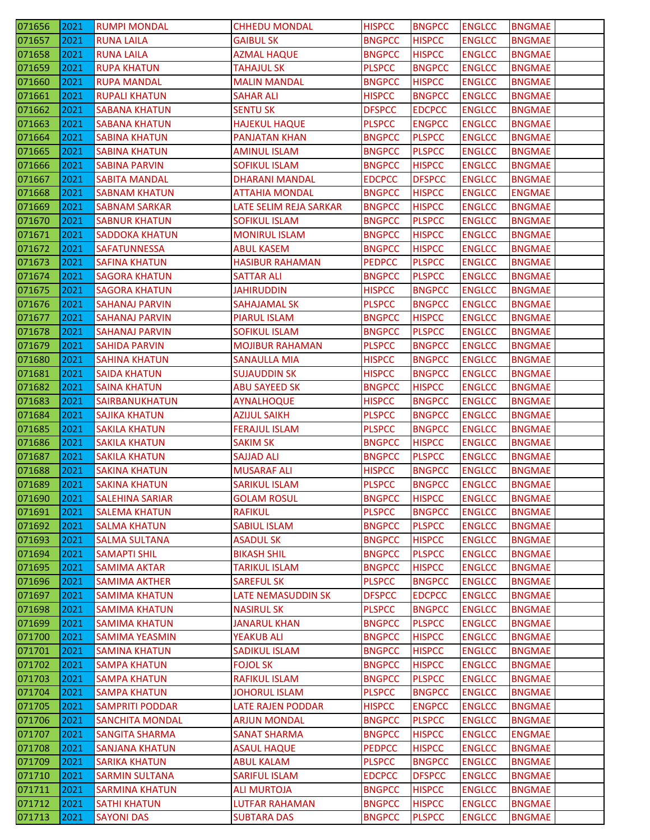| 071656           | 2021         | <b>RUMPI MONDAL</b>                      | <b>CHHEDU MONDAL</b>                 | <b>HISPCC</b>                  | <b>BNGPCC</b>                  | <b>ENGLCC</b>                  | <b>BNGMAE</b>                  |
|------------------|--------------|------------------------------------------|--------------------------------------|--------------------------------|--------------------------------|--------------------------------|--------------------------------|
| 071657           | 2021         | <b>RUNA LAILA</b>                        | <b>GAIBUL SK</b>                     | <b>BNGPCC</b>                  | <b>HISPCC</b>                  | <b>ENGLCC</b>                  | <b>BNGMAE</b>                  |
| 071658           | 2021         | <b>RUNA LAILA</b>                        | <b>AZMAL HAQUE</b>                   | <b>BNGPCC</b>                  | <b>HISPCC</b>                  | <b>ENGLCC</b>                  | <b>BNGMAE</b>                  |
| 071659           | 2021         | <b>RUPA KHATUN</b>                       | <b>TAHAJUL SK</b>                    | <b>PLSPCC</b>                  | <b>BNGPCC</b>                  | <b>ENGLCC</b>                  | <b>BNGMAE</b>                  |
| 071660           | 2021         | <b>RUPA MANDAL</b>                       | <b>MALIN MANDAL</b>                  | <b>BNGPCC</b>                  | <b>HISPCC</b>                  | <b>ENGLCC</b>                  | <b>BNGMAE</b>                  |
| 071661           | 2021         | <b>RUPALI KHATUN</b>                     | <b>SAHAR ALI</b>                     | <b>HISPCC</b>                  | <b>BNGPCC</b>                  | <b>ENGLCC</b>                  | <b>BNGMAE</b>                  |
| 071662           | 2021         | SABANA KHATUN                            | <b>SENTU SK</b>                      | <b>DFSPCC</b>                  | <b>EDCPCC</b>                  | <b>ENGLCC</b>                  | <b>BNGMAE</b>                  |
| 071663           | 2021         | <b>SABANA KHATUN</b>                     | <b>HAJEKUL HAQUE</b>                 | <b>PLSPCC</b>                  | <b>ENGPCC</b>                  | <b>ENGLCC</b>                  | <b>BNGMAE</b>                  |
| 071664           | 2021         | <b>SABINA KHATUN</b>                     | <b>PANJATAN KHAN</b>                 | <b>BNGPCC</b>                  | <b>PLSPCC</b>                  | <b>ENGLCC</b>                  | <b>BNGMAE</b>                  |
| 071665           | 2021         | <b>SABINA KHATUN</b>                     | <b>AMINUL ISLAM</b>                  | <b>BNGPCC</b>                  | <b>PLSPCC</b>                  | <b>ENGLCC</b>                  | <b>BNGMAE</b>                  |
| 071666           | 2021         | <b>SABINA PARVIN</b>                     | SOFIKUL ISLAM                        | <b>BNGPCC</b>                  | <b>HISPCC</b>                  | <b>ENGLCC</b>                  | <b>BNGMAE</b>                  |
| 071667           | 2021         | <b>SABITA MANDAL</b>                     | <b>DHARANI MANDAL</b>                | <b>EDCPCC</b>                  | <b>DFSPCC</b>                  | <b>ENGLCC</b>                  | <b>BNGMAE</b>                  |
| 071668           | 2021         | <b>SABNAM KHATUN</b>                     | <b>ATTAHIA MONDAL</b>                | <b>BNGPCC</b>                  | <b>HISPCC</b>                  | <b>ENGLCC</b>                  | <b>ENGMAE</b>                  |
| 071669           | 2021         | <b>SABNAM SARKAR</b>                     | LATE SELIM REJA SARKAR               | <b>BNGPCC</b>                  | <b>HISPCC</b>                  | <b>ENGLCC</b>                  | <b>BNGMAE</b>                  |
| 071670           | 2021         | <b>SABNUR KHATUN</b>                     | <b>SOFIKUL ISLAM</b>                 | <b>BNGPCC</b>                  | <b>PLSPCC</b>                  | <b>ENGLCC</b>                  | <b>BNGMAE</b>                  |
| 071671           | 2021         | <b>SADDOKA KHATUN</b>                    | <b>MONIRUL ISLAM</b>                 | <b>BNGPCC</b>                  | <b>HISPCC</b>                  | <b>ENGLCC</b>                  | <b>BNGMAE</b>                  |
| 071672           | 2021         | <b>SAFATUNNESSA</b>                      | <b>ABUL KASEM</b>                    | <b>BNGPCC</b>                  | <b>HISPCC</b>                  | <b>ENGLCC</b>                  | <b>BNGMAE</b>                  |
| 071673           | 2021         | SAFINA KHATUN                            | <b>HASIBUR RAHAMAN</b>               | <b>PEDPCC</b>                  | <b>PLSPCC</b>                  | <b>ENGLCC</b>                  | <b>BNGMAE</b>                  |
| 071674           | 2021         | <b>SAGORA KHATUN</b>                     | <b>SATTAR ALI</b>                    | <b>BNGPCC</b>                  | <b>PLSPCC</b>                  | <b>ENGLCC</b>                  | <b>BNGMAE</b>                  |
| 071675           | 2021         | <b>SAGORA KHATUN</b>                     | JAHIRUDDIN                           | <b>HISPCC</b>                  | <b>BNGPCC</b>                  | <b>ENGLCC</b>                  | <b>BNGMAE</b>                  |
| 071676           | 2021         | <b>SAHANAJ PARVIN</b>                    | SAHAJAMAL SK                         | <b>PLSPCC</b>                  | <b>BNGPCC</b>                  | <b>ENGLCC</b>                  | <b>BNGMAE</b>                  |
| 071677           | 2021         | SAHANAJ PARVIN                           | <b>PIARUL ISLAM</b>                  | <b>BNGPCC</b>                  | <b>HISPCC</b>                  | <b>ENGLCC</b>                  | <b>BNGMAE</b>                  |
| 071678           | 2021         | SAHANAJ PARVIN                           | <b>SOFIKUL ISLAM</b>                 | <b>BNGPCC</b>                  | <b>PLSPCC</b>                  | <b>ENGLCC</b>                  | <b>BNGMAE</b>                  |
|                  | 2021         |                                          |                                      | <b>PLSPCC</b>                  |                                | <b>ENGLCC</b>                  |                                |
| 071679           |              | <b>SAHIDA PARVIN</b>                     | <b>MOJIBUR RAHAMAN</b>               | <b>HISPCC</b>                  | <b>BNGPCC</b><br><b>BNGPCC</b> |                                | <b>BNGMAE</b>                  |
| 071680           | 2021         | <b>SAHINA KHATUN</b>                     | <b>SANAULLA MIA</b>                  |                                |                                | <b>ENGLCC</b>                  | <b>BNGMAE</b><br><b>BNGMAE</b> |
| 071681           | 2021         | <b>SAIDA KHATUN</b>                      | <b>SUJAUDDIN SK</b>                  | <b>HISPCC</b>                  | <b>BNGPCC</b>                  | <b>ENGLCC</b>                  |                                |
| 071682           | 2021<br>2021 | <b>SAINA KHATUN</b>                      | <b>ABU SAYEED SK</b>                 | <b>BNGPCC</b><br><b>HISPCC</b> | <b>HISPCC</b>                  | <b>ENGLCC</b>                  | <b>BNGMAE</b>                  |
| 071683           |              | SAIRBANUKHATUN                           | <b>AYNALHOQUE</b>                    |                                | <b>BNGPCC</b>                  | <b>ENGLCC</b>                  | <b>BNGMAE</b>                  |
| 071684           | 2021         | SAJIKA KHATUN                            | AZIJUL SAIKH                         | <b>PLSPCC</b>                  | <b>BNGPCC</b>                  | <b>ENGLCC</b>                  | BNGMAE                         |
| 071685           | 2021         | <b>SAKILA KHATUN</b>                     | <b>FERAJUL ISLAM</b>                 | <b>PLSPCC</b>                  | <b>BNGPCC</b>                  | <b>ENGLCC</b>                  | <b>BNGMAE</b>                  |
| 071686           | 2021         | <b>SAKILA KHATUN</b>                     | <b>SAKIM SK</b>                      | <b>BNGPCC</b>                  | <b>HISPCC</b>                  | <b>ENGLCC</b>                  | <b>BNGMAE</b>                  |
| 071687           | 2021         | <b>SAKILA KHATUN</b>                     | <b>SAJJAD ALI</b>                    | <b>BNGPCC</b>                  | <b>PLSPCC</b>                  | <b>ENGLCC</b>                  | <b>BNGMAE</b>                  |
| 071688           | 2021         | <b>SAKINA KHATUN</b>                     | <b>MUSARAF ALI</b>                   | <b>HISPCC</b>                  | <b>BNGPCC</b>                  | <b>ENGLCC</b>                  | <b>BNGMAE</b>                  |
| 071689           | 2021         | <b>SAKINA KHATUN</b>                     | <b>SARIKUL ISLAM</b>                 | <b>PLSPCC</b>                  | <b>BNGPCC</b>                  | <b>ENGLCC</b>                  | <b>BNGMAE</b>                  |
| 071690           | 2021         | <b>SALEHINA SARIAR</b>                   | <b>GOLAM ROSUL</b>                   | <b>BNGPCC</b>                  | <b>HISPCC</b>                  | <b>ENGLCC</b>                  | <b>BNGMAE</b>                  |
| 071691           | 2021         | <b>SALEMA KHATUN</b>                     | <b>RAFIKUL</b>                       | <b>PLSPCC</b>                  | <b>BNGPCC</b>                  | <b>ENGLCC</b>                  | <b>BNGMAE</b>                  |
| 071692           | 2021         | <b>SALMA KHATUN</b>                      | <b>SABIUL ISLAM</b>                  | <b>BNGPCC</b>                  | <b>PLSPCC</b>                  | <b>ENGLCC</b>                  | <b>BNGMAE</b>                  |
| 071693           | 2021         | <b>SALMA SULTANA</b>                     | <b>ASADUL SK</b>                     | <b>BNGPCC</b>                  | <b>HISPCC</b>                  | <b>ENGLCC</b>                  | <b>BNGMAE</b>                  |
| 071694           | 2021         | <b>SAMAPTI SHIL</b>                      | <b>BIKASH SHIL</b>                   | <b>BNGPCC</b>                  | <b>PLSPCC</b>                  | <b>ENGLCC</b>                  | <b>BNGMAE</b>                  |
| 071695           | 2021         | <b>SAMIMA AKTAR</b>                      | <b>TARIKUL ISLAM</b>                 | <b>BNGPCC</b>                  | <b>HISPCC</b>                  | <b>ENGLCC</b>                  | <b>BNGMAE</b>                  |
| 071696           | 2021         | <b>SAMIMA AKTHER</b>                     | <b>SAREFUL SK</b>                    | <b>PLSPCC</b>                  | <b>BNGPCC</b>                  | <b>ENGLCC</b>                  | <b>BNGMAE</b>                  |
| 071697           | 2021         | <b>SAMIMA KHATUN</b>                     | <b>LATE NEMASUDDIN SK</b>            | <b>DFSPCC</b>                  | <b>EDCPCC</b>                  | <b>ENGLCC</b>                  | <b>BNGMAE</b>                  |
| 071698           | 2021         | <b>SAMIMA KHATUN</b>                     | <b>NASIRUL SK</b>                    | <b>PLSPCC</b>                  | <b>BNGPCC</b>                  | <b>ENGLCC</b>                  | <b>BNGMAE</b>                  |
| 071699           | 2021         | <b>SAMIMA KHATUN</b>                     | <b>JANARUL KHAN</b>                  | <b>BNGPCC</b>                  | <b>PLSPCC</b>                  | <b>ENGLCC</b>                  | <b>BNGMAE</b>                  |
| 071700           | 2021         | <b>SAMIMA YEASMIN</b>                    | YEAKUB ALI                           | <b>BNGPCC</b>                  | <b>HISPCC</b>                  | <b>ENGLCC</b>                  | <b>BNGMAE</b>                  |
| 071701           | 2021         | <b>SAMINA KHATUN</b>                     | <b>SADIKUL ISLAM</b>                 | <b>BNGPCC</b>                  | <b>HISPCC</b>                  | <b>ENGLCC</b>                  | <b>BNGMAE</b>                  |
| 071702           | 2021         | <b>SAMPA KHATUN</b>                      | <b>FOJOL SK</b>                      | <b>BNGPCC</b>                  | <b>HISPCC</b>                  | <b>ENGLCC</b>                  | <b>BNGMAE</b>                  |
| 071703           | 2021         | <b>SAMPA KHATUN</b>                      | RAFIKUL ISLAM                        | <b>BNGPCC</b>                  | <b>PLSPCC</b>                  | <b>ENGLCC</b>                  | <b>BNGMAE</b>                  |
| 071704           | 2021         | <b>SAMPA KHATUN</b>                      | <b>JOHORUL ISLAM</b>                 | <b>PLSPCC</b>                  | <b>BNGPCC</b>                  | <b>ENGLCC</b>                  | <b>BNGMAE</b>                  |
| 071705           | 2021         | <b>SAMPRITI PODDAR</b>                   | LATE RAJEN PODDAR                    | <b>HISPCC</b>                  | <b>ENGPCC</b>                  | <b>ENGLCC</b>                  | <b>BNGMAE</b>                  |
| 071706           | 2021         | <b>SANCHITA MONDAL</b>                   | <b>ARJUN MONDAL</b>                  | <b>BNGPCC</b>                  | <b>PLSPCC</b>                  | <b>ENGLCC</b>                  | <b>BNGMAE</b>                  |
| 071707           | 2021         | <b>SANGITA SHARMA</b>                    | <b>SANAT SHARMA</b>                  | <b>BNGPCC</b>                  | <b>HISPCC</b>                  | <b>ENGLCC</b>                  | <b>ENGMAE</b>                  |
| 071708           | 2021         | <b>SANJANA KHATUN</b>                    | <b>ASAUL HAQUE</b>                   | <b>PEDPCC</b>                  | <b>HISPCC</b>                  | <b>ENGLCC</b>                  | <b>BNGMAE</b>                  |
| 071709           | 2021         | <b>SARIKA KHATUN</b>                     | <b>ABUL KALAM</b>                    | <b>PLSPCC</b>                  | <b>BNGPCC</b>                  | <b>ENGLCC</b>                  | <b>BNGMAE</b>                  |
| 071710           | 2021         | <b>SARMIN SULTANA</b>                    | <b>SARIFUL ISLAM</b>                 | <b>EDCPCC</b>                  | <b>DFSPCC</b>                  | <b>ENGLCC</b>                  | <b>BNGMAE</b>                  |
| 071711           | 2021         | <b>SARMINA KHATUN</b>                    | <b>ALI MURTOJA</b>                   | <b>BNGPCC</b>                  | <b>HISPCC</b>                  | <b>ENGLCC</b>                  | <b>BNGMAE</b>                  |
|                  |              |                                          |                                      |                                |                                |                                |                                |
| 071712<br>071713 | 2021<br>2021 | <b>SATHI KHATUN</b><br><b>SAYONI DAS</b> | LUTFAR RAHAMAN<br><b>SUBTARA DAS</b> | <b>BNGPCC</b><br><b>BNGPCC</b> | <b>HISPCC</b><br><b>PLSPCC</b> | <b>ENGLCC</b><br><b>ENGLCC</b> | <b>BNGMAE</b><br><b>BNGMAE</b> |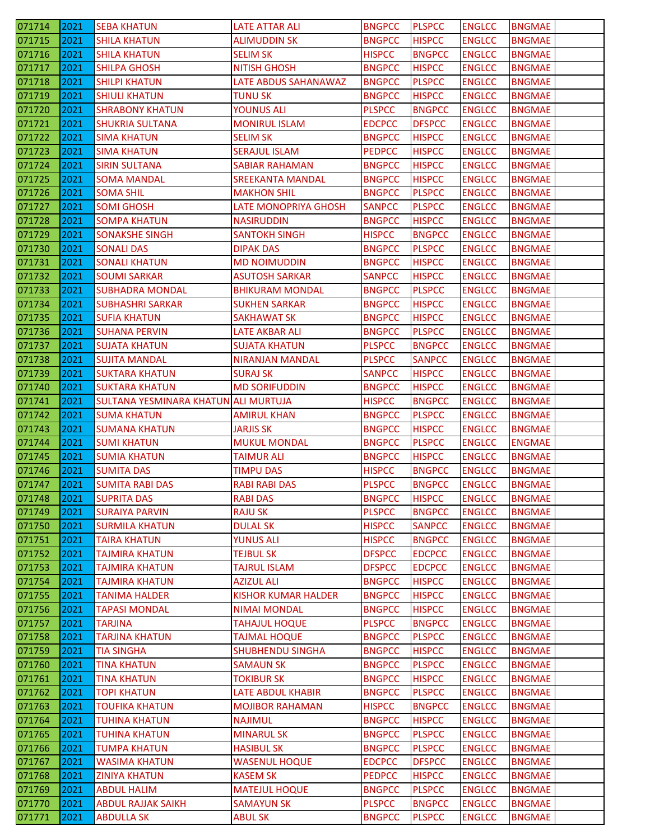| 071714 | 2021 | <b>SEBA KHATUN</b>                   | <b>LATE ATTAR ALI</b>      | <b>BNGPCC</b> | <b>PLSPCC</b> | <b>ENGLCC</b> | <b>BNGMAE</b> |
|--------|------|--------------------------------------|----------------------------|---------------|---------------|---------------|---------------|
| 071715 | 2021 | <b>SHILA KHATUN</b>                  | <b>ALIMUDDIN SK</b>        | <b>BNGPCC</b> | <b>HISPCC</b> | <b>ENGLCC</b> | <b>BNGMAE</b> |
| 071716 | 2021 | <b>SHILA KHATUN</b>                  | <b>SELIM SK</b>            | <b>HISPCC</b> | <b>BNGPCC</b> | <b>ENGLCC</b> | <b>BNGMAE</b> |
| 071717 | 2021 | <b>SHILPA GHOSH</b>                  | <b>NITISH GHOSH</b>        | <b>BNGPCC</b> | <b>HISPCC</b> | <b>ENGLCC</b> | <b>BNGMAE</b> |
| 071718 | 2021 | <b>SHILPI KHATUN</b>                 | LATE ABDUS SAHANAWAZ       | <b>BNGPCC</b> | <b>PLSPCC</b> | <b>ENGLCC</b> | <b>BNGMAE</b> |
| 071719 | 2021 | <b>SHIULI KHATUN</b>                 | <b>TUNU SK</b>             | <b>BNGPCC</b> | <b>HISPCC</b> | <b>ENGLCC</b> | <b>BNGMAE</b> |
| 071720 | 2021 | <b>SHRABONY KHATUN</b>               | <b>YOUNUS ALI</b>          | <b>PLSPCC</b> | <b>BNGPCC</b> | <b>ENGLCC</b> | <b>BNGMAE</b> |
| 071721 | 2021 | <b>SHUKRIA SULTANA</b>               | <b>MONIRUL ISLAM</b>       | <b>EDCPCC</b> | <b>DFSPCC</b> | <b>ENGLCC</b> | <b>BNGMAE</b> |
| 071722 | 2021 | <b>SIMA KHATUN</b>                   | <b>SELIM SK</b>            | <b>BNGPCC</b> | <b>HISPCC</b> | <b>ENGLCC</b> | <b>BNGMAE</b> |
| 071723 | 2021 | <b>SIMA KHATUN</b>                   | <b>SERAJUL ISLAM</b>       | <b>PEDPCC</b> | <b>HISPCC</b> | <b>ENGLCC</b> | <b>BNGMAE</b> |
| 071724 | 2021 | <b>SIRIN SULTANA</b>                 | <b>SABIAR RAHAMAN</b>      | <b>BNGPCC</b> | <b>HISPCC</b> | <b>ENGLCC</b> | <b>BNGMAE</b> |
| 071725 | 2021 | SOMA MANDAL                          | <b>SREEKANTA MANDAL</b>    | <b>BNGPCC</b> | <b>HISPCC</b> | <b>ENGLCC</b> | <b>BNGMAE</b> |
| 071726 | 2021 | <b>SOMA SHIL</b>                     | <b>MAKHON SHIL</b>         | <b>BNGPCC</b> | <b>PLSPCC</b> | <b>ENGLCC</b> | <b>BNGMAE</b> |
| 071727 | 2021 | <b>SOMI GHOSH</b>                    | LATE MONOPRIYA GHOSH       | <b>SANPCC</b> | <b>PLSPCC</b> | <b>ENGLCC</b> | <b>BNGMAE</b> |
| 071728 | 2021 | <b>SOMPA KHATUN</b>                  | <b>NASIRUDDIN</b>          | <b>BNGPCC</b> | <b>HISPCC</b> | <b>ENGLCC</b> | <b>BNGMAE</b> |
| 071729 | 2021 | <b>SONAKSHE SINGH</b>                | <b>SANTOKH SINGH</b>       | <b>HISPCC</b> | <b>BNGPCC</b> | <b>ENGLCC</b> | <b>BNGMAE</b> |
| 071730 | 2021 | <b>SONALI DAS</b>                    | <b>DIPAK DAS</b>           | <b>BNGPCC</b> | <b>PLSPCC</b> | <b>ENGLCC</b> | <b>BNGMAE</b> |
| 071731 | 2021 | <b>SONALI KHATUN</b>                 | <b>MD NOIMUDDIN</b>        | <b>BNGPCC</b> | <b>HISPCC</b> | <b>ENGLCC</b> | <b>BNGMAE</b> |
| 071732 | 2021 | <b>SOUMI SARKAR</b>                  | <b>ASUTOSH SARKAR</b>      | <b>SANPCC</b> | <b>HISPCC</b> | <b>ENGLCC</b> | <b>BNGMAE</b> |
| 071733 | 2021 | <b>SUBHADRA MONDAL</b>               | <b>BHIKURAM MONDAL</b>     | <b>BNGPCC</b> | <b>PLSPCC</b> | <b>ENGLCC</b> | <b>BNGMAE</b> |
| 071734 | 2021 | <b>SUBHASHRI SARKAR</b>              | <b>SUKHEN SARKAR</b>       | <b>BNGPCC</b> | <b>HISPCC</b> | <b>ENGLCC</b> | <b>BNGMAE</b> |
| 071735 | 2021 | <b>SUFIA KHATUN</b>                  | <b>SAKHAWAT SK</b>         | <b>BNGPCC</b> | <b>HISPCC</b> | <b>ENGLCC</b> | <b>BNGMAE</b> |
| 071736 | 2021 | <b>SUHANA PERVIN</b>                 | LATE AKBAR ALI             | <b>BNGPCC</b> | <b>PLSPCC</b> | <b>ENGLCC</b> | <b>BNGMAE</b> |
| 071737 | 2021 | <b>SUJATA KHATUN</b>                 | <b>SUJATA KHATUN</b>       | <b>PLSPCC</b> | <b>BNGPCC</b> | <b>ENGLCC</b> | <b>BNGMAE</b> |
| 071738 | 2021 | <b>SUJITA MANDAL</b>                 | <b>NIRANJAN MANDAL</b>     | <b>PLSPCC</b> | <b>SANPCC</b> | <b>ENGLCC</b> | <b>BNGMAE</b> |
| 071739 | 2021 | <b>SUKTARA KHATUN</b>                | <b>SURAJ SK</b>            | <b>SANPCC</b> | <b>HISPCC</b> | <b>ENGLCC</b> | <b>BNGMAE</b> |
| 071740 | 2021 | <b>SUKTARA KHATUN</b>                | <b>MD SORIFUDDIN</b>       | <b>BNGPCC</b> | <b>HISPCC</b> | <b>ENGLCC</b> | <b>BNGMAE</b> |
| 071741 | 2021 | SULTANA YESMINARA KHATUN ALI MURTUJA |                            | <b>HISPCC</b> | <b>BNGPCC</b> | <b>ENGLCC</b> | <b>BNGMAE</b> |
| 071742 | 2021 | <b>SUMA KHATUN</b>                   | AMIRUL KHAN                | <b>BNGPCC</b> | <b>PLSPCC</b> | <b>ENGLCC</b> | BNGMAE        |
| 071743 | 2021 | <b>SUMANA KHATUN</b>                 | <b>JARJIS SK</b>           | <b>BNGPCC</b> | <b>HISPCC</b> | <b>ENGLCC</b> | <b>BNGMAE</b> |
| 071744 | 2021 | <b>SUMI KHATUN</b>                   | <b>MUKUL MONDAL</b>        | <b>BNGPCC</b> | <b>PLSPCC</b> | <b>ENGLCC</b> | <b>ENGMAE</b> |
| 071745 | 2021 | <b>SUMIA KHATUN</b>                  | <b>TAIMUR ALI</b>          | <b>BNGPCC</b> | <b>HISPCC</b> | <b>ENGLCC</b> | <b>BNGMAE</b> |
| 071746 | 2021 | <b>SUMITA DAS</b>                    | <b>TIMPU DAS</b>           | <b>HISPCC</b> | <b>BNGPCC</b> | <b>ENGLCC</b> | <b>BNGMAE</b> |
| 071747 | 2021 | <b>SUMITA RABI DAS</b>               | <b>RABI RABI DAS</b>       | <b>PLSPCC</b> | <b>BNGPCC</b> | <b>ENGLCC</b> | <b>BNGMAE</b> |
| 071748 | 2021 | <b>SUPRITA DAS</b>                   | <b>RABI DAS</b>            | <b>BNGPCC</b> | <b>HISPCC</b> | <b>ENGLCC</b> | <b>BNGMAE</b> |
| 071749 | 2021 | <b>SURAIYA PARVIN</b>                | <b>RAJU SK</b>             | <b>PLSPCC</b> | <b>BNGPCC</b> | <b>ENGLCC</b> | <b>BNGMAE</b> |
| 071750 | 2021 | <b>SURMILA KHATUN</b>                | <b>DULAL SK</b>            | <b>HISPCC</b> | <b>SANPCC</b> | <b>ENGLCC</b> | <b>BNGMAE</b> |
| 071751 | 2021 | <b>TAIRA KHATUN</b>                  | <b>YUNUS ALI</b>           | <b>HISPCC</b> | <b>BNGPCC</b> | <b>ENGLCC</b> | <b>BNGMAE</b> |
| 071752 | 2021 | <b>TAJMIRA KHATUN</b>                | <b>TEJBUL SK</b>           | <b>DFSPCC</b> | <b>EDCPCC</b> | <b>ENGLCC</b> | <b>BNGMAE</b> |
| 071753 | 2021 | <b>TAJMIRA KHATUN</b>                | <b>TAJRUL ISLAM</b>        | <b>DFSPCC</b> | <b>EDCPCC</b> | <b>ENGLCC</b> | <b>BNGMAE</b> |
| 071754 | 2021 | <b>TAJMIRA KHATUN</b>                | <b>AZIZUL ALI</b>          | <b>BNGPCC</b> | <b>HISPCC</b> | <b>ENGLCC</b> | <b>BNGMAE</b> |
| 071755 | 2021 | <b>TANIMA HALDER</b>                 | <b>KISHOR KUMAR HALDER</b> | <b>BNGPCC</b> | <b>HISPCC</b> | <b>ENGLCC</b> | <b>BNGMAE</b> |
| 071756 | 2021 | <b>TAPASI MONDAL</b>                 | <b>NIMAI MONDAL</b>        | <b>BNGPCC</b> | <b>HISPCC</b> | <b>ENGLCC</b> | <b>BNGMAE</b> |
| 071757 | 2021 | <b>TARJINA</b>                       | <b>TAHAJUL HOQUE</b>       | <b>PLSPCC</b> | <b>BNGPCC</b> | <b>ENGLCC</b> | <b>BNGMAE</b> |
| 071758 | 2021 | <b>TARJINA KHATUN</b>                | <b>TAJMAL HOQUE</b>        | <b>BNGPCC</b> | <b>PLSPCC</b> | <b>ENGLCC</b> | <b>BNGMAE</b> |
| 071759 | 2021 | <b>TIA SINGHA</b>                    | <b>SHUBHENDU SINGHA</b>    | <b>BNGPCC</b> | <b>HISPCC</b> | <b>ENGLCC</b> | <b>BNGMAE</b> |
| 071760 | 2021 | <b>TINA KHATUN</b>                   | <b>SAMAUN SK</b>           | <b>BNGPCC</b> | <b>PLSPCC</b> | <b>ENGLCC</b> | <b>BNGMAE</b> |
| 071761 | 2021 | <b>TINA KHATUN</b>                   | <b>TOKIBUR SK</b>          | <b>BNGPCC</b> | <b>HISPCC</b> | <b>ENGLCC</b> | <b>BNGMAE</b> |
| 071762 | 2021 | <b>TOPI KHATUN</b>                   | <b>LATE ABDUL KHABIR</b>   | <b>BNGPCC</b> | <b>PLSPCC</b> | <b>ENGLCC</b> | <b>BNGMAE</b> |
| 071763 | 2021 | <b>TOUFIKA KHATUN</b>                | <b>MOJIBOR RAHAMAN</b>     | <b>HISPCC</b> | <b>BNGPCC</b> | <b>ENGLCC</b> | <b>BNGMAE</b> |
| 071764 | 2021 | <b>TUHINA KHATUN</b>                 | <b>NAJIMUL</b>             | <b>BNGPCC</b> | <b>HISPCC</b> | <b>ENGLCC</b> | <b>BNGMAE</b> |
| 071765 | 2021 | <b>TUHINA KHATUN</b>                 | <b>MINARUL SK</b>          | <b>BNGPCC</b> | <b>PLSPCC</b> | <b>ENGLCC</b> | <b>BNGMAE</b> |
| 071766 | 2021 | <b>TUMPA KHATUN</b>                  | <b>HASIBUL SK</b>          | <b>BNGPCC</b> | <b>PLSPCC</b> | <b>ENGLCC</b> | <b>BNGMAE</b> |
| 071767 | 2021 | <b>WASIMA KHATUN</b>                 | <b>WASENUL HOQUE</b>       | <b>EDCPCC</b> | <b>DFSPCC</b> | <b>ENGLCC</b> | <b>BNGMAE</b> |
| 071768 | 2021 | <b>ZINIYA KHATUN</b>                 | <b>KASEM SK</b>            | <b>PEDPCC</b> | <b>HISPCC</b> | <b>ENGLCC</b> | <b>BNGMAE</b> |
| 071769 | 2021 | <b>ABDUL HALIM</b>                   | <b>MATEJUL HOQUE</b>       | <b>BNGPCC</b> | <b>PLSPCC</b> | <b>ENGLCC</b> | <b>BNGMAE</b> |
| 071770 | 2021 | <b>ABDUL RAJJAK SAIKH</b>            | <b>SAMAYUN SK</b>          | <b>PLSPCC</b> | <b>BNGPCC</b> | <b>ENGLCC</b> | <b>BNGMAE</b> |
| 071771 | 2021 | <b>ABDULLA SK</b>                    | <b>ABUL SK</b>             | <b>BNGPCC</b> | <b>PLSPCC</b> | <b>ENGLCC</b> | <b>BNGMAE</b> |
|        |      |                                      |                            |               |               |               |               |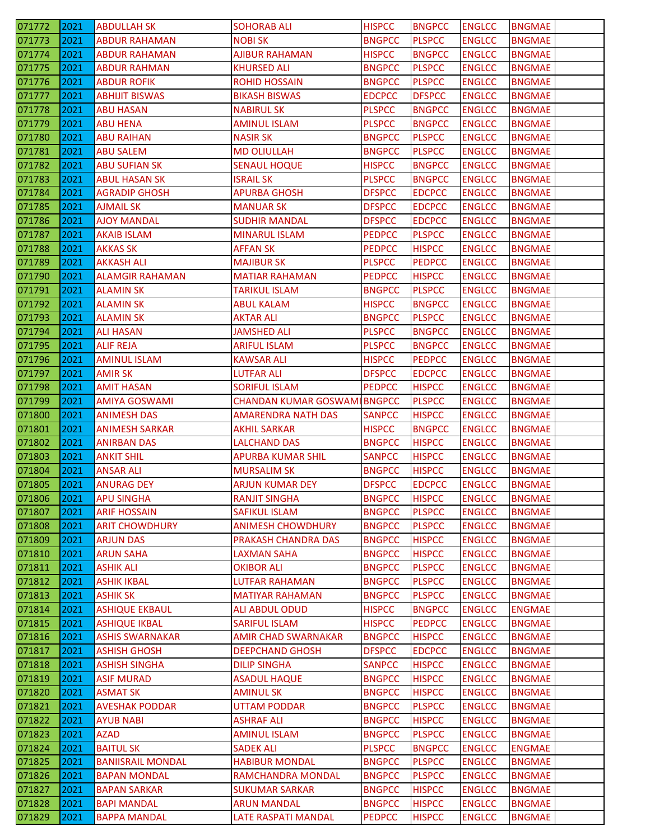| 071772 | 2021 | <b>ABDULLAH SK</b>       | <b>SOHORAB ALI</b>                  | <b>HISPCC</b> | <b>BNGPCC</b> | <b>ENGLCC</b> | <b>BNGMAE</b> |
|--------|------|--------------------------|-------------------------------------|---------------|---------------|---------------|---------------|
| 071773 | 2021 | <b>ABDUR RAHAMAN</b>     | <b>NOBISK</b>                       | <b>BNGPCC</b> | <b>PLSPCC</b> | <b>ENGLCC</b> | <b>BNGMAE</b> |
| 071774 | 2021 | <b>ABDUR RAHAMAN</b>     | <b>AJIBUR RAHAMAN</b>               | <b>HISPCC</b> | <b>BNGPCC</b> | <b>ENGLCC</b> | <b>BNGMAE</b> |
| 071775 | 2021 | <b>ABDUR RAHMAN</b>      | <b>KHURSED ALI</b>                  | <b>BNGPCC</b> | <b>PLSPCC</b> | <b>ENGLCC</b> | <b>BNGMAE</b> |
| 071776 | 2021 | <b>ABDUR ROFIK</b>       | <b>ROHID HOSSAIN</b>                | <b>BNGPCC</b> | <b>PLSPCC</b> | <b>ENGLCC</b> | <b>BNGMAE</b> |
| 071777 | 2021 | <b>ABHIJIT BISWAS</b>    | <b>BIKASH BISWAS</b>                | <b>EDCPCC</b> | <b>DFSPCC</b> | <b>ENGLCC</b> | <b>BNGMAE</b> |
| 071778 | 2021 | ABU HASAN                | <b>NABIRUL SK</b>                   | <b>PLSPCC</b> | <b>BNGPCC</b> | <b>ENGLCC</b> | <b>BNGMAE</b> |
| 071779 | 2021 | <b>ABU HENA</b>          | <b>AMINUL ISLAM</b>                 | <b>PLSPCC</b> | <b>BNGPCC</b> | <b>ENGLCC</b> | <b>BNGMAE</b> |
| 071780 | 2021 | <b>ABU RAIHAN</b>        | <b>NASIR SK</b>                     | <b>BNGPCC</b> | <b>PLSPCC</b> | <b>ENGLCC</b> | <b>BNGMAE</b> |
| 071781 | 2021 | <b>ABU SALEM</b>         | <b>MD OLIULLAH</b>                  | <b>BNGPCC</b> | <b>PLSPCC</b> | <b>ENGLCC</b> | <b>BNGMAE</b> |
| 071782 | 2021 | <b>ABU SUFIAN SK</b>     | <b>SENAUL HOQUE</b>                 | <b>HISPCC</b> | <b>BNGPCC</b> | <b>ENGLCC</b> | <b>BNGMAE</b> |
| 071783 | 2021 | <b>ABUL HASAN SK</b>     | <b>ISRAIL SK</b>                    | <b>PLSPCC</b> | <b>BNGPCC</b> | <b>ENGLCC</b> | <b>BNGMAE</b> |
| 071784 | 2021 | <b>AGRADIP GHOSH</b>     | <b>APURBA GHOSH</b>                 | <b>DFSPCC</b> | <b>EDCPCC</b> | <b>ENGLCC</b> | <b>BNGMAE</b> |
| 071785 | 2021 | <b>AJMAIL SK</b>         | <b>MANUAR SK</b>                    | <b>DFSPCC</b> | <b>EDCPCC</b> | <b>ENGLCC</b> | <b>BNGMAE</b> |
| 071786 | 2021 | <b>AJOY MANDAL</b>       | <b>SUDHIR MANDAL</b>                | <b>DFSPCC</b> | <b>EDCPCC</b> | <b>ENGLCC</b> | <b>BNGMAE</b> |
| 071787 | 2021 | <b>AKAIB ISLAM</b>       | <b>MINARUL ISLAM</b>                | <b>PEDPCC</b> | <b>PLSPCC</b> | <b>ENGLCC</b> | <b>BNGMAE</b> |
| 071788 | 2021 | <b>AKKAS SK</b>          | <b>AFFAN SK</b>                     | <b>PEDPCC</b> | <b>HISPCC</b> | <b>ENGLCC</b> | <b>BNGMAE</b> |
| 071789 | 2021 | <b>AKKASH ALI</b>        | <b>MAJIBUR SK</b>                   | <b>PLSPCC</b> | <b>PEDPCC</b> | <b>ENGLCC</b> | <b>BNGMAE</b> |
| 071790 | 2021 | <b>ALAMGIR RAHAMAN</b>   | <b>MATIAR RAHAMAN</b>               | <b>PEDPCC</b> | <b>HISPCC</b> | <b>ENGLCC</b> | <b>BNGMAE</b> |
| 071791 | 2021 | <b>ALAMIN SK</b>         | <b>TARIKUL ISLAM</b>                | <b>BNGPCC</b> | <b>PLSPCC</b> | <b>ENGLCC</b> | <b>BNGMAE</b> |
| 071792 | 2021 | <b>ALAMIN SK</b>         | <b>ABUL KALAM</b>                   | <b>HISPCC</b> | <b>BNGPCC</b> | <b>ENGLCC</b> | <b>BNGMAE</b> |
| 071793 | 2021 | <b>ALAMIN SK</b>         | <b>AKTAR ALI</b>                    | <b>BNGPCC</b> | <b>PLSPCC</b> | <b>ENGLCC</b> | <b>BNGMAE</b> |
| 071794 | 2021 | <b>ALI HASAN</b>         | <b>JAMSHED ALI</b>                  | <b>PLSPCC</b> | <b>BNGPCC</b> | <b>ENGLCC</b> | <b>BNGMAE</b> |
| 071795 | 2021 | <b>ALIF REJA</b>         | <b>ARIFUL ISLAM</b>                 | <b>PLSPCC</b> | <b>BNGPCC</b> | <b>ENGLCC</b> | <b>BNGMAE</b> |
| 071796 | 2021 | <b>AMINUL ISLAM</b>      | <b>KAWSAR ALI</b>                   | <b>HISPCC</b> | <b>PEDPCC</b> | <b>ENGLCC</b> | <b>BNGMAE</b> |
| 071797 | 2021 | <b>AMIRSK</b>            | <b>LUTFAR ALI</b>                   | <b>DFSPCC</b> | <b>EDCPCC</b> | <b>ENGLCC</b> | <b>BNGMAE</b> |
| 071798 | 2021 | <b>AMIT HASAN</b>        | <b>SORIFUL ISLAM</b>                | <b>PEDPCC</b> | <b>HISPCC</b> | <b>ENGLCC</b> | <b>BNGMAE</b> |
| 071799 | 2021 | <b>AMIYA GOSWAMI</b>     | <b>CHANDAN KUMAR GOSWAMI BNGPCC</b> |               | <b>PLSPCC</b> | <b>ENGLCC</b> | <b>BNGMAE</b> |
| 071800 | 2021 | <b>ANIMESH DAS</b>       | <b>AMARENDRA NATH DAS</b>           | <b>SANPCC</b> | <b>HISPCC</b> | <b>ENGLCC</b> | <b>BNGMAE</b> |
| 071801 | 2021 | <b>ANIMESH SARKAR</b>    | <b>AKHIL SARKAR</b>                 | <b>HISPCC</b> | <b>BNGPCC</b> | <b>ENGLCC</b> | <b>BNGMAE</b> |
| 071802 | 2021 | <b>ANIRBAN DAS</b>       | <b>LALCHAND DAS</b>                 | <b>BNGPCC</b> | <b>HISPCC</b> | <b>ENGLCC</b> | <b>BNGMAE</b> |
| 071803 | 2021 | <b>ANKIT SHIL</b>        | <b>APURBA KUMAR SHIL</b>            | <b>SANPCC</b> | <b>HISPCC</b> | <b>ENGLCC</b> | <b>BNGMAE</b> |
| 071804 | 2021 | <b>ANSAR ALI</b>         | <b>MURSALIM SK</b>                  | <b>BNGPCC</b> | <b>HISPCC</b> | <b>ENGLCC</b> | <b>BNGMAE</b> |
| 071805 | 2021 | <b>ANURAG DEY</b>        | <b>ARJUN KUMAR DEY</b>              | <b>DFSPCC</b> | <b>EDCPCC</b> | <b>ENGLCC</b> | <b>BNGMAE</b> |
| 071806 | 2021 | <b>APU SINGHA</b>        | <b>RANJIT SINGHA</b>                | <b>BNGPCC</b> | <b>HISPCC</b> | <b>ENGLCC</b> | <b>BNGMAE</b> |
| 071807 | 2021 | <b>ARIF HOSSAIN</b>      | <b>SAFIKUL ISLAM</b>                | <b>BNGPCC</b> | <b>PLSPCC</b> | <b>ENGLCC</b> | <b>BNGMAE</b> |
| 071808 | 2021 | <b>ARIT CHOWDHURY</b>    | <b>ANIMESH CHOWDHURY</b>            | <b>BNGPCC</b> | <b>PLSPCC</b> | <b>ENGLCC</b> | <b>BNGMAE</b> |
| 071809 | 2021 | <b>ARJUN DAS</b>         | <b>PRAKASH CHANDRA DAS</b>          | <b>BNGPCC</b> | <b>HISPCC</b> | <b>ENGLCC</b> | <b>BNGMAE</b> |
| 071810 | 2021 | <b>ARUN SAHA</b>         | <b>LAXMAN SAHA</b>                  | <b>BNGPCC</b> | <b>HISPCC</b> | <b>ENGLCC</b> | <b>BNGMAE</b> |
| 071811 | 2021 | <b>ASHIK ALI</b>         | <b>OKIBOR ALI</b>                   | <b>BNGPCC</b> | <b>PLSPCC</b> | <b>ENGLCC</b> | <b>BNGMAE</b> |
| 071812 | 2021 | <b>ASHIK IKBAL</b>       | <b>LUTFAR RAHAMAN</b>               | <b>BNGPCC</b> | <b>PLSPCC</b> | <b>ENGLCC</b> | <b>BNGMAE</b> |
| 071813 | 2021 | <b>ASHIK SK</b>          | <b>MATIYAR RAHAMAN</b>              | <b>BNGPCC</b> | <b>PLSPCC</b> | <b>ENGLCC</b> | <b>BNGMAE</b> |
| 071814 | 2021 | <b>ASHIQUE EKBAUL</b>    | <b>ALI ABDUL ODUD</b>               | <b>HISPCC</b> | <b>BNGPCC</b> | <b>ENGLCC</b> | <b>ENGMAE</b> |
| 071815 | 2021 | <b>ASHIQUE IKBAL</b>     | <b>SARIFUL ISLAM</b>                | <b>HISPCC</b> | <b>PEDPCC</b> | <b>ENGLCC</b> | <b>BNGMAE</b> |
| 071816 | 2021 | <b>ASHIS SWARNAKAR</b>   | <b>AMIR CHAD SWARNAKAR</b>          | <b>BNGPCC</b> | <b>HISPCC</b> | <b>ENGLCC</b> | <b>BNGMAE</b> |
| 071817 | 2021 | <b>ASHISH GHOSH</b>      | <b>DEEPCHAND GHOSH</b>              | <b>DFSPCC</b> | <b>EDCPCC</b> | <b>ENGLCC</b> | <b>BNGMAE</b> |
| 071818 | 2021 | <b>ASHISH SINGHA</b>     | <b>DILIP SINGHA</b>                 | <b>SANPCC</b> | <b>HISPCC</b> | <b>ENGLCC</b> | <b>BNGMAE</b> |
| 071819 | 2021 | <b>ASIF MURAD</b>        | <b>ASADUL HAQUE</b>                 | <b>BNGPCC</b> | <b>HISPCC</b> | <b>ENGLCC</b> | <b>BNGMAE</b> |
| 071820 | 2021 | <b>ASMAT SK</b>          | <b>AMINUL SK</b>                    | <b>BNGPCC</b> | <b>HISPCC</b> | <b>ENGLCC</b> | <b>BNGMAE</b> |
| 071821 | 2021 | <b>AVESHAK PODDAR</b>    | <b>UTTAM PODDAR</b>                 | <b>BNGPCC</b> | <b>PLSPCC</b> | <b>ENGLCC</b> | <b>BNGMAE</b> |
| 071822 | 2021 | <b>AYUB NABI</b>         | <b>ASHRAF ALI</b>                   | <b>BNGPCC</b> | <b>HISPCC</b> | <b>ENGLCC</b> | <b>BNGMAE</b> |
| 071823 | 2021 | <b>AZAD</b>              | <b>AMINUL ISLAM</b>                 | <b>BNGPCC</b> | <b>PLSPCC</b> | <b>ENGLCC</b> | <b>BNGMAE</b> |
| 071824 | 2021 | <b>BAITUL SK</b>         | <b>SADEK ALI</b>                    | <b>PLSPCC</b> | <b>BNGPCC</b> | <b>ENGLCC</b> | <b>ENGMAE</b> |
| 071825 | 2021 | <b>BANIISRAIL MONDAL</b> | <b>HABIBUR MONDAL</b>               | <b>BNGPCC</b> | <b>PLSPCC</b> | <b>ENGLCC</b> | <b>BNGMAE</b> |
| 071826 | 2021 | <b>BAPAN MONDAL</b>      | <b>RAMCHANDRA MONDAL</b>            | <b>BNGPCC</b> | <b>PLSPCC</b> | <b>ENGLCC</b> | <b>BNGMAE</b> |
| 071827 | 2021 | <b>BAPAN SARKAR</b>      | <b>SUKUMAR SARKAR</b>               | <b>BNGPCC</b> | <b>HISPCC</b> | <b>ENGLCC</b> | <b>BNGMAE</b> |
| 071828 | 2021 | <b>BAPI MANDAL</b>       | <b>ARUN MANDAL</b>                  | <b>BNGPCC</b> | <b>HISPCC</b> | <b>ENGLCC</b> | <b>BNGMAE</b> |
| 071829 | 2021 | <b>BAPPA MANDAL</b>      | LATE RASPATI MANDAL                 | <b>PEDPCC</b> | <b>HISPCC</b> | <b>ENGLCC</b> | <b>BNGMAE</b> |
|        |      |                          |                                     |               |               |               |               |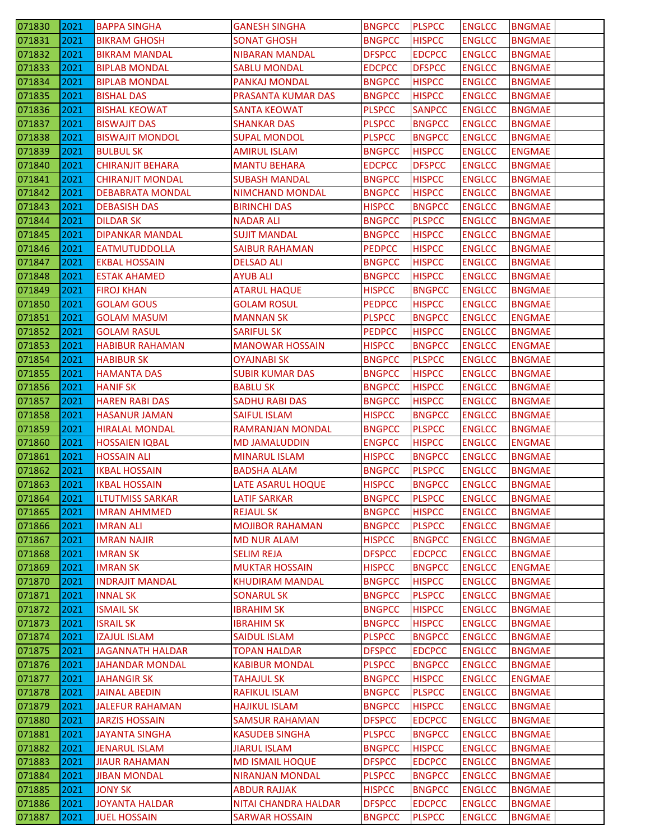| 071830 | 2021 | <b>BAPPA SINGHA</b>     | <b>GANESH SINGHA</b>        | <b>BNGPCC</b> | <b>PLSPCC</b>                  | <b>ENGLCC</b> | <b>BNGMAE</b> |
|--------|------|-------------------------|-----------------------------|---------------|--------------------------------|---------------|---------------|
| 071831 | 2021 | <b>BIKRAM GHOSH</b>     | <b>SONAT GHOSH</b>          | <b>BNGPCC</b> | <b>HISPCC</b>                  | <b>ENGLCC</b> | <b>BNGMAE</b> |
| 071832 | 2021 | <b>BIKRAM MANDAL</b>    | <b>NIBARAN MANDAL</b>       | <b>DFSPCC</b> | <b>EDCPCC</b>                  | <b>ENGLCC</b> | <b>BNGMAE</b> |
| 071833 | 2021 | <b>BIPLAB MONDAL</b>    | <b>SABLU MONDAL</b>         | <b>EDCPCC</b> | <b>DFSPCC</b>                  | <b>ENGLCC</b> | <b>BNGMAE</b> |
| 071834 | 2021 | <b>BIPLAB MONDAL</b>    | <b>PANKAJ MONDAL</b>        | <b>BNGPCC</b> | <b>HISPCC</b>                  | <b>ENGLCC</b> | <b>BNGMAE</b> |
| 071835 | 2021 | <b>BISHAL DAS</b>       | PRASANTA KUMAR DAS          | <b>BNGPCC</b> | <b>HISPCC</b>                  | <b>ENGLCC</b> | <b>BNGMAE</b> |
| 071836 | 2021 | <b>BISHAL KEOWAT</b>    | SANTA KEOWAT                | <b>PLSPCC</b> | <b>SANPCC</b>                  | <b>ENGLCC</b> | BNGMAE        |
| 071837 | 2021 | <b>BISWAJIT DAS</b>     | <b>SHANKAR DAS</b>          | <b>PLSPCC</b> | <b>BNGPCC</b>                  | <b>ENGLCC</b> | <b>BNGMAE</b> |
| 071838 | 2021 | <b>BISWAJIT MONDOL</b>  | <b>SUPAL MONDOL</b>         | <b>PLSPCC</b> | <b>BNGPCC</b>                  | <b>ENGLCC</b> | <b>BNGMAE</b> |
| 071839 | 2021 | <b>BULBUL SK</b>        | AMIRUL ISLAM                | <b>BNGPCC</b> | <b>HISPCC</b>                  | <b>ENGLCC</b> | <b>ENGMAE</b> |
| 071840 | 2021 | <b>CHIRANJIT BEHARA</b> | MANTU BEHARA                | <b>EDCPCC</b> | <b>DFSPCC</b>                  | <b>ENGLCC</b> | <b>BNGMAE</b> |
| 071841 | 2021 | <b>CHIRANJIT MONDAL</b> | <b>SUBASH MANDAL</b>        | <b>BNGPCC</b> | <b>HISPCC</b>                  | <b>ENGLCC</b> | <b>BNGMAE</b> |
| 071842 | 2021 | <b>DEBABRATA MONDAL</b> | <b>NIMCHAND MONDAL</b>      | <b>BNGPCC</b> | <b>HISPCC</b>                  | <b>ENGLCC</b> | <b>BNGMAE</b> |
| 071843 | 2021 | <b>DEBASISH DAS</b>     | <b>BIRINCHI DAS</b>         | <b>HISPCC</b> | <b>BNGPCC</b>                  | <b>ENGLCC</b> | <b>BNGMAE</b> |
| 071844 | 2021 | <b>DILDAR SK</b>        | <b>NADAR ALI</b>            | <b>BNGPCC</b> | <b>PLSPCC</b>                  | <b>ENGLCC</b> | <b>BNGMAE</b> |
| 071845 | 2021 | <b>DIPANKAR MANDAL</b>  | <b>SUJIT MANDAL</b>         | <b>BNGPCC</b> | <b>HISPCC</b>                  | <b>ENGLCC</b> | <b>BNGMAE</b> |
| 071846 | 2021 | <b>EATMUTUDDOLLA</b>    | <b>SAIBUR RAHAMAN</b>       | <b>PEDPCC</b> | <b>HISPCC</b>                  | <b>ENGLCC</b> | <b>BNGMAE</b> |
| 071847 | 2021 | <b>EKBAL HOSSAIN</b>    | <b>DELSAD ALI</b>           | <b>BNGPCC</b> | <b>HISPCC</b>                  | <b>ENGLCC</b> | BNGMAE        |
| 071848 | 2021 | <b>ESTAK AHAMED</b>     | <b>AYUB ALI</b>             | <b>BNGPCC</b> | <b>HISPCC</b>                  | <b>ENGLCC</b> | <b>BNGMAE</b> |
| 071849 | 2021 | <b>FIROJ KHAN</b>       | <b>ATARUL HAQUE</b>         | <b>HISPCC</b> | <b>BNGPCC</b>                  | <b>ENGLCC</b> | <b>BNGMAE</b> |
| 071850 | 2021 | <b>GOLAM GOUS</b>       | <b>GOLAM ROSUL</b>          | <b>PEDPCC</b> | <b>HISPCC</b>                  | <b>ENGLCC</b> | <b>BNGMAE</b> |
|        | 2021 | <b>GOLAM MASUM</b>      | <b>MANNAN SK</b>            | <b>PLSPCC</b> |                                |               | <b>ENGMAE</b> |
| 071851 | 2021 |                         |                             | <b>PEDPCC</b> | <b>BNGPCC</b><br><b>HISPCC</b> | <b>ENGLCC</b> |               |
| 071852 |      | <b>GOLAM RASUL</b>      | <b>SARIFUL SK</b>           |               |                                | <b>ENGLCC</b> | <b>BNGMAE</b> |
| 071853 | 2021 | <b>HABIBUR RAHAMAN</b>  | <b>MANOWAR HOSSAIN</b>      | <b>HISPCC</b> | <b>BNGPCC</b>                  | <b>ENGLCC</b> | <b>ENGMAE</b> |
| 071854 | 2021 | <b>HABIBUR SK</b>       | <b>OYAJNABI SK</b>          | <b>BNGPCC</b> | <b>PLSPCC</b>                  | <b>ENGLCC</b> | <b>BNGMAE</b> |
| 071855 | 2021 | <b>HAMANTA DAS</b>      | <b>SUBIR KUMAR DAS</b>      | <b>BNGPCC</b> | <b>HISPCC</b>                  | <b>ENGLCC</b> | <b>BNGMAE</b> |
| 071856 | 2021 | <b>HANIF SK</b>         | <b>BABLU SK</b>             | <b>BNGPCC</b> | <b>HISPCC</b>                  | <b>ENGLCC</b> | <b>BNGMAE</b> |
| 071857 | 2021 | <b>HAREN RABI DAS</b>   | <b>SADHU RABI DAS</b>       | <b>BNGPCC</b> | <b>HISPCC</b>                  | <b>ENGLCC</b> | <b>BNGMAE</b> |
| 071858 | 2021 | HASANUR JAMAN           | <b>SAIFUL ISLAM</b>         | <b>HISPCC</b> | <b>BNGPCC</b>                  | <b>ENGLCC</b> | <b>BNGMAE</b> |
| 071859 | 2021 | <b>HIRALAL MONDAL</b>   | RAMRANJAN MONDAL            | <b>BNGPCC</b> | <b>PLSPCC</b>                  | <b>ENGLCC</b> | <b>BNGMAE</b> |
|        |      |                         |                             |               |                                |               |               |
| 071860 | 2021 | <b>HOSSAIEN IQBAL</b>   | <b>MD JAMALUDDIN</b>        | <b>ENGPCC</b> | <b>HISPCC</b>                  | <b>ENGLCC</b> | <b>ENGMAE</b> |
| 071861 | 2021 | <b>HOSSAIN ALI</b>      | <b>MINARUL ISLAM</b>        | <b>HISPCC</b> | <b>BNGPCC</b>                  | <b>ENGLCC</b> | <b>BNGMAE</b> |
| 071862 | 2021 | <b>IKBAL HOSSAIN</b>    | <b>BADSHA ALAM</b>          | <b>BNGPCC</b> | <b>PLSPCC</b>                  | <b>ENGLCC</b> | <b>BNGMAE</b> |
| 071863 | 2021 | <b>IKBAL HOSSAIN</b>    | LATE ASARUL HOQUE           | <b>HISPCC</b> | <b>BNGPCC</b>                  | <b>ENGLCC</b> | <b>BNGMAE</b> |
| 071864 | 2021 | <b>ILTUTMISS SARKAR</b> | LATIF SARKAR                | <b>BNGPCC</b> | <b>PLSPCC</b>                  | <b>ENGLCC</b> | <b>BNGMAE</b> |
| 071865 | 2021 | <b>IMRAN AHMMED</b>     | <b>REJAUL SK</b>            | <b>BNGPCC</b> | <b>HISPCC</b>                  | <b>ENGLCC</b> | <b>BNGMAE</b> |
| 071866 | 2021 | <b>IMRAN ALI</b>        | <b>MOJIBOR RAHAMAN</b>      | <b>BNGPCC</b> | <b>PLSPCC</b>                  | <b>ENGLCC</b> | <b>BNGMAE</b> |
| 071867 | 2021 | <b>IMRAN NAJIR</b>      | <b>MD NUR ALAM</b>          | <b>HISPCC</b> | <b>BNGPCC</b>                  | <b>ENGLCC</b> | <b>BNGMAE</b> |
| 071868 | 2021 | <b>IMRAN SK</b>         | <b>SELIM REJA</b>           | <b>DFSPCC</b> | <b>EDCPCC</b>                  | <b>ENGLCC</b> | <b>BNGMAE</b> |
| 071869 | 2021 | IMRAN SK                | <b>MUKTAR HOSSAIN</b>       | <b>HISPCC</b> | <b>BNGPCC</b>                  | <b>ENGLCC</b> | <b>ENGMAE</b> |
| 071870 | 2021 | <b>INDRAJIT MANDAL</b>  | <b>KHUDIRAM MANDAL</b>      | <b>BNGPCC</b> | <b>HISPCC</b>                  | <b>ENGLCC</b> | <b>BNGMAE</b> |
| 071871 | 2021 | <b>INNAL SK</b>         | <b>SONARUL SK</b>           | <b>BNGPCC</b> | <b>PLSPCC</b>                  | <b>ENGLCC</b> | <b>BNGMAE</b> |
| 071872 | 2021 | <b>ISMAIL SK</b>        | <b>IBRAHIM SK</b>           | <b>BNGPCC</b> | <b>HISPCC</b>                  | <b>ENGLCC</b> | <b>BNGMAE</b> |
| 071873 | 2021 | <b>ISRAIL SK</b>        | <b>IBRAHIM SK</b>           | <b>BNGPCC</b> | <b>HISPCC</b>                  | <b>ENGLCC</b> | <b>BNGMAE</b> |
| 071874 | 2021 | <b>IZAJUL ISLAM</b>     | <b>SAIDUL ISLAM</b>         | <b>PLSPCC</b> | <b>BNGPCC</b>                  | <b>ENGLCC</b> | <b>BNGMAE</b> |
| 071875 | 2021 | <b>JAGANNATH HALDAR</b> | TOPAN HALDAR                | <b>DFSPCC</b> | <b>EDCPCC</b>                  | <b>ENGLCC</b> | BNGMAE        |
| 071876 | 2021 | <b>JAHANDAR MONDAL</b>  | <b>KABIBUR MONDAL</b>       | <b>PLSPCC</b> | <b>BNGPCC</b>                  | <b>ENGLCC</b> | <b>BNGMAE</b> |
| 071877 | 2021 | <b>JAHANGIR SK</b>      | <b>TAHAJUL SK</b>           | <b>BNGPCC</b> | <b>HISPCC</b>                  | <b>ENGLCC</b> | <b>ENGMAE</b> |
| 071878 | 2021 | <b>JAINAL ABEDIN</b>    | <b>RAFIKUL ISLAM</b>        | <b>BNGPCC</b> | <b>PLSPCC</b>                  | <b>ENGLCC</b> | <b>BNGMAE</b> |
| 071879 | 2021 | <b>JALEFUR RAHAMAN</b>  | <b>HAJIKUL ISLAM</b>        | <b>BNGPCC</b> | <b>HISPCC</b>                  | <b>ENGLCC</b> | <b>BNGMAE</b> |
| 071880 | 2021 | <b>JARZIS HOSSAIN</b>   | <b>SAMSUR RAHAMAN</b>       | <b>DFSPCC</b> | <b>EDCPCC</b>                  | <b>ENGLCC</b> | <b>BNGMAE</b> |
| 071881 | 2021 | <b>JAYANTA SINGHA</b>   | <b>KASUDEB SINGHA</b>       | <b>PLSPCC</b> | <b>BNGPCC</b>                  | <b>ENGLCC</b> | <b>BNGMAE</b> |
| 071882 | 2021 | <b>JENARUL ISLAM</b>    | <b>JIARUL ISLAM</b>         | <b>BNGPCC</b> | <b>HISPCC</b>                  | <b>ENGLCC</b> | <b>BNGMAE</b> |
| 071883 | 2021 | <b>JIAUR RAHAMAN</b>    | <b>MD ISMAIL HOQUE</b>      | <b>DFSPCC</b> | <b>EDCPCC</b>                  | <b>ENGLCC</b> | <b>BNGMAE</b> |
| 071884 | 2021 | <b>JIBAN MONDAL</b>     | <b>NIRANJAN MONDAL</b>      | <b>PLSPCC</b> | <b>BNGPCC</b>                  | <b>ENGLCC</b> | <b>BNGMAE</b> |
| 071885 | 2021 | <b>JONY SK</b>          | <b>ABDUR RAJJAK</b>         | <b>HISPCC</b> | <b>BNGPCC</b>                  | <b>ENGLCC</b> | <b>BNGMAE</b> |
| 071886 | 2021 | <b>JOYANTA HALDAR</b>   | <b>NITAI CHANDRA HALDAR</b> | <b>DFSPCC</b> | <b>EDCPCC</b><br><b>PLSPCC</b> | <b>ENGLCC</b> | <b>BNGMAE</b> |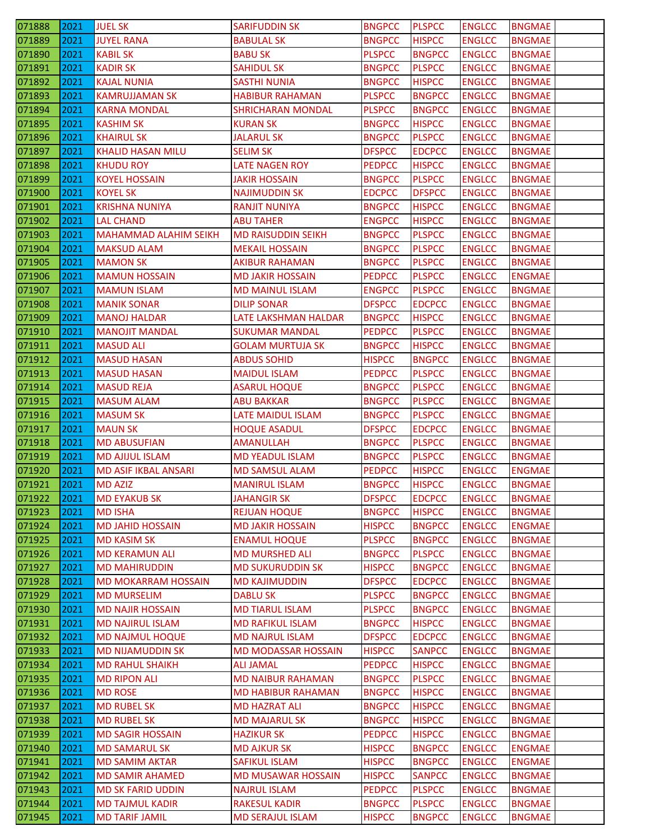| 071888 | 12021 | <b>JUEL SK</b>               | <b>SARIFUDDIN SK</b>       | <b>BNGPCC</b> | <b>PLSPCC</b> | <b>ENGLCC</b> | <b>BNGMAE</b> |
|--------|-------|------------------------------|----------------------------|---------------|---------------|---------------|---------------|
| 071889 | 2021  | <b>JUYEL RANA</b>            | <b>BABULAL SK</b>          | <b>BNGPCC</b> | <b>HISPCC</b> | <b>ENGLCC</b> | <b>BNGMAE</b> |
| 071890 | 2021  | <b>KABIL SK</b>              | <b>BABU SK</b>             | <b>PLSPCC</b> | <b>BNGPCC</b> | <b>ENGLCC</b> | <b>BNGMAE</b> |
| 071891 | 2021  | <b>KADIR SK</b>              | <b>SAHIDUL SK</b>          | <b>BNGPCC</b> | <b>PLSPCC</b> | <b>ENGLCC</b> | <b>BNGMAE</b> |
| 071892 | 2021  | <b>KAJAL NUNIA</b>           | <b>SASTHI NUNIA</b>        | <b>BNGPCC</b> | <b>HISPCC</b> | <b>ENGLCC</b> | <b>BNGMAE</b> |
| 071893 | 2021  | <b>KAMRUJJAMAN SK</b>        | <b>HABIBUR RAHAMAN</b>     | <b>PLSPCC</b> | <b>BNGPCC</b> | <b>ENGLCC</b> | <b>BNGMAE</b> |
| 071894 | 2021  | <b>KARNA MONDAL</b>          | <b>SHRICHARAN MONDAL</b>   | <b>PLSPCC</b> | <b>BNGPCC</b> | <b>ENGLCC</b> | <b>BNGMAE</b> |
| 071895 | 2021  | <b>KASHIM SK</b>             | <b>KURAN SK</b>            | <b>BNGPCC</b> | <b>HISPCC</b> | <b>ENGLCC</b> | <b>BNGMAE</b> |
| 071896 | 2021  | <b>KHAIRUL SK</b>            | <b>JALARUL SK</b>          | <b>BNGPCC</b> | <b>PLSPCC</b> | <b>ENGLCC</b> | <b>BNGMAE</b> |
| 071897 | 2021  | <b>KHALID HASAN MILU</b>     | <b>SELIM SK</b>            | <b>DFSPCC</b> | <b>EDCPCC</b> | <b>ENGLCC</b> | <b>BNGMAE</b> |
| 071898 | 2021  | <b>KHUDU ROY</b>             | <b>LATE NAGEN ROY</b>      | <b>PEDPCC</b> | <b>HISPCC</b> | <b>ENGLCC</b> | <b>BNGMAE</b> |
| 071899 | 2021  | <b>KOYEL HOSSAIN</b>         | JAKIR HOSSAIN              | <b>BNGPCC</b> | <b>PLSPCC</b> | <b>ENGLCC</b> | <b>BNGMAE</b> |
| 071900 | 2021  | <b>KOYEL SK</b>              | <b>NAJIMUDDIN SK</b>       | <b>EDCPCC</b> | <b>DFSPCC</b> | <b>ENGLCC</b> | <b>BNGMAE</b> |
| 071901 | 2021  | <b>KRISHNA NUNIYA</b>        | <b>RANJIT NUNIYA</b>       | <b>BNGPCC</b> | <b>HISPCC</b> | <b>ENGLCC</b> | <b>BNGMAE</b> |
| 071902 | 2021  | <b>LAL CHAND</b>             | <b>ABU TAHER</b>           | <b>ENGPCC</b> | <b>HISPCC</b> | <b>ENGLCC</b> | <b>BNGMAE</b> |
| 071903 | 2021  | <b>MAHAMMAD ALAHIM SEIKH</b> | <b>MD RAISUDDIN SEIKH</b>  | <b>BNGPCC</b> | <b>PLSPCC</b> | <b>ENGLCC</b> | <b>BNGMAE</b> |
| 071904 | 2021  | <b>MAKSUD ALAM</b>           | <b>MEKAIL HOSSAIN</b>      | <b>BNGPCC</b> | <b>PLSPCC</b> | <b>ENGLCC</b> | <b>BNGMAE</b> |
| 071905 | 2021  | <b>MAMON SK</b>              | <b>AKIBUR RAHAMAN</b>      | <b>BNGPCC</b> | <b>PLSPCC</b> | <b>ENGLCC</b> | <b>BNGMAE</b> |
| 071906 | 2021  | <b>MAMUN HOSSAIN</b>         | <b>MD JAKIR HOSSAIN</b>    | <b>PEDPCC</b> | <b>PLSPCC</b> | <b>ENGLCC</b> | <b>ENGMAE</b> |
| 071907 | 2021  | <b>MAMUN ISLAM</b>           | <b>MD MAINUL ISLAM</b>     | <b>ENGPCC</b> | <b>PLSPCC</b> | <b>ENGLCC</b> | <b>BNGMAE</b> |
| 071908 | 2021  | <b>MANIK SONAR</b>           | <b>DILIP SONAR</b>         | <b>DFSPCC</b> | <b>EDCPCC</b> | <b>ENGLCC</b> | <b>BNGMAE</b> |
| 071909 | 2021  | <b>MANOJ HALDAR</b>          | LATE LAKSHMAN HALDAR       | <b>BNGPCC</b> | <b>HISPCC</b> | <b>ENGLCC</b> | <b>BNGMAE</b> |
| 071910 | 2021  | <b>MANOJIT MANDAL</b>        | <b>SUKUMAR MANDAL</b>      | <b>PEDPCC</b> | <b>PLSPCC</b> | <b>ENGLCC</b> | <b>BNGMAE</b> |
| 071911 | 2021  | <b>MASUD ALI</b>             | <b>GOLAM MURTUJA SK</b>    | <b>BNGPCC</b> | <b>HISPCC</b> | <b>ENGLCC</b> | <b>BNGMAE</b> |
| 071912 | 2021  | <b>MASUD HASAN</b>           | <b>ABDUS SOHID</b>         | <b>HISPCC</b> | <b>BNGPCC</b> | <b>ENGLCC</b> | <b>BNGMAE</b> |
| 071913 | 2021  | <b>MASUD HASAN</b>           | <b>MAIDUL ISLAM</b>        | <b>PEDPCC</b> | <b>PLSPCC</b> | <b>ENGLCC</b> | <b>BNGMAE</b> |
| 071914 | 2021  | <b>MASUD REJA</b>            | <b>ASARUL HOQUE</b>        | <b>BNGPCC</b> | <b>PLSPCC</b> | <b>ENGLCC</b> | <b>BNGMAE</b> |
| 071915 | 2021  | <b>MASUM ALAM</b>            | ABU BAKKAR                 | <b>BNGPCC</b> | <b>PLSPCC</b> | <b>ENGLCC</b> | <b>BNGMAE</b> |
| 071916 | 2021  | MASUM SK                     | LATE MAIDUL ISLAM          | <b>BNGPCC</b> | <b>PLSPCC</b> | <b>ENGLCC</b> | <b>BNGMAE</b> |
| 071917 | 2021  | <b>MAUN SK</b>               | <b>HOQUE ASADUL</b>        | <b>DFSPCC</b> | <b>EDCPCC</b> | <b>ENGLCC</b> | <b>BNGMAE</b> |
| 071918 | 2021  | <b>MD ABUSUFIAN</b>          | <b>AMANULLAH</b>           | <b>BNGPCC</b> | <b>PLSPCC</b> | <b>ENGLCC</b> | <b>BNGMAE</b> |
| 071919 | 2021  | <b>MD AJIJUL ISLAM</b>       | <b>MD YEADUL ISLAM</b>     | <b>BNGPCC</b> | <b>PLSPCC</b> | <b>ENGLCC</b> | <b>BNGMAE</b> |
| 071920 | 2021  | <b>MD ASIF IKBAL ANSARI</b>  | <b>MD SAMSUL ALAM</b>      | <b>PEDPCC</b> | <b>HISPCC</b> | <b>ENGLCC</b> | <b>ENGMAE</b> |
| 071921 | 2021  | <b>MD AZIZ</b>               | <b>MANIRUL ISLAM</b>       | <b>BNGPCC</b> | <b>HISPCC</b> | <b>ENGLCC</b> | <b>BNGMAE</b> |
| 071922 | 2021  | <b>MD EYAKUB SK</b>          | <b>JAHANGIR SK</b>         | <b>DFSPCC</b> | <b>EDCPCC</b> | <b>ENGLCC</b> | <b>BNGMAE</b> |
| 071923 | 2021  | <b>MD ISHA</b>               | <b>REJUAN HOQUE</b>        | <b>BNGPCC</b> | <b>HISPCC</b> | <b>ENGLCC</b> | <b>BNGMAE</b> |
| 071924 | 2021  | <b>MD JAHID HOSSAIN</b>      | <b>MD JAKIR HOSSAIN</b>    | <b>HISPCC</b> | <b>BNGPCC</b> | <b>ENGLCC</b> | <b>ENGMAE</b> |
| 071925 | 2021  | <b>MD KASIM SK</b>           | <b>ENAMUL HOQUE</b>        | <b>PLSPCC</b> | <b>BNGPCC</b> | <b>ENGLCC</b> | <b>BNGMAE</b> |
| 071926 | 2021  | <b>MD KERAMUN ALI</b>        | <b>MD MURSHED ALI</b>      | <b>BNGPCC</b> | <b>PLSPCC</b> | <b>ENGLCC</b> | <b>BNGMAE</b> |
| 071927 | 2021  | <b>MD MAHIRUDDIN</b>         | <b>MD SUKURUDDIN SK</b>    | <b>HISPCC</b> | <b>BNGPCC</b> | <b>ENGLCC</b> | <b>BNGMAE</b> |
| 071928 | 2021  | <b>MD MOKARRAM HOSSAIN</b>   | <b>MD KAJIMUDDIN</b>       | <b>DFSPCC</b> | <b>EDCPCC</b> | <b>ENGLCC</b> | <b>BNGMAE</b> |
| 071929 | 2021  | <b>MD MURSELIM</b>           | <b>DABLU SK</b>            | <b>PLSPCC</b> | <b>BNGPCC</b> | <b>ENGLCC</b> | <b>BNGMAE</b> |
| 071930 | 2021  | <b>MD NAJIR HOSSAIN</b>      | <b>MD TIARUL ISLAM</b>     | <b>PLSPCC</b> | <b>BNGPCC</b> | <b>ENGLCC</b> | <b>BNGMAE</b> |
| 071931 | 2021  | <b>MD NAJIRUL ISLAM</b>      | <b>MD RAFIKUL ISLAM</b>    | <b>BNGPCC</b> | <b>HISPCC</b> | <b>ENGLCC</b> | <b>BNGMAE</b> |
| 071932 | 2021  | <b>MD NAJMUL HOQUE</b>       | <b>MD NAJRUL ISLAM</b>     | <b>DFSPCC</b> | <b>EDCPCC</b> | <b>ENGLCC</b> | <b>BNGMAE</b> |
| 071933 | 2021  | MD NIJAMUDDIN SK             | <b>MD MODASSAR HOSSAIN</b> | <b>HISPCC</b> | <b>SANPCC</b> | <b>ENGLCC</b> | <b>BNGMAE</b> |
| 071934 | 2021  | <b>MD RAHUL SHAIKH</b>       | <b>ALI JAMAL</b>           | <b>PEDPCC</b> | <b>HISPCC</b> | <b>ENGLCC</b> | <b>BNGMAE</b> |
| 071935 | 2021  | <b>MD RIPON ALI</b>          | <b>MD NAIBUR RAHAMAN</b>   | <b>BNGPCC</b> | <b>PLSPCC</b> | <b>ENGLCC</b> | <b>BNGMAE</b> |
| 071936 | 2021  | <b>MD ROSE</b>               | <b>MD HABIBUR RAHAMAN</b>  | <b>BNGPCC</b> | <b>HISPCC</b> | <b>ENGLCC</b> | <b>BNGMAE</b> |
| 071937 | 2021  | <b>MD RUBEL SK</b>           | <b>MD HAZRAT ALI</b>       | <b>BNGPCC</b> | <b>HISPCC</b> | <b>ENGLCC</b> | <b>BNGMAE</b> |
| 071938 | 2021  | <b>MD RUBEL SK</b>           | <b>MD MAJARUL SK</b>       | <b>BNGPCC</b> | <b>HISPCC</b> | <b>ENGLCC</b> | <b>BNGMAE</b> |
| 071939 | 2021  | <b>MD SAGIR HOSSAIN</b>      | <b>HAZIKUR SK</b>          | <b>PEDPCC</b> | <b>HISPCC</b> | <b>ENGLCC</b> | <b>BNGMAE</b> |
| 071940 | 2021  | <b>MD SAMARUL SK</b>         | <b>MD AJKUR SK</b>         | <b>HISPCC</b> | <b>BNGPCC</b> | <b>ENGLCC</b> | <b>ENGMAE</b> |
| 071941 | 2021  | <b>MD SAMIM AKTAR</b>        | SAFIKUL ISLAM              | <b>HISPCC</b> | <b>BNGPCC</b> | <b>ENGLCC</b> | <b>ENGMAE</b> |
| 071942 | 2021  | <b>MD SAMIR AHAMED</b>       | <b>MD MUSAWAR HOSSAIN</b>  | <b>HISPCC</b> | <b>SANPCC</b> | <b>ENGLCC</b> | <b>BNGMAE</b> |
| 071943 | 2021  | <b>MD SK FARID UDDIN</b>     | <b>NAJRUL ISLAM</b>        | <b>PEDPCC</b> | <b>PLSPCC</b> | <b>ENGLCC</b> | <b>BNGMAE</b> |
| 071944 | 2021  | <b>MD TAJMUL KADIR</b>       | RAKESUL KADIR              | <b>BNGPCC</b> | <b>PLSPCC</b> | <b>ENGLCC</b> | <b>BNGMAE</b> |
| 071945 | 2021  | <b>MD TARIF JAMIL</b>        | <b>MD SERAJUL ISLAM</b>    | <b>HISPCC</b> | <b>BNGPCC</b> | <b>ENGLCC</b> | <b>BNGMAE</b> |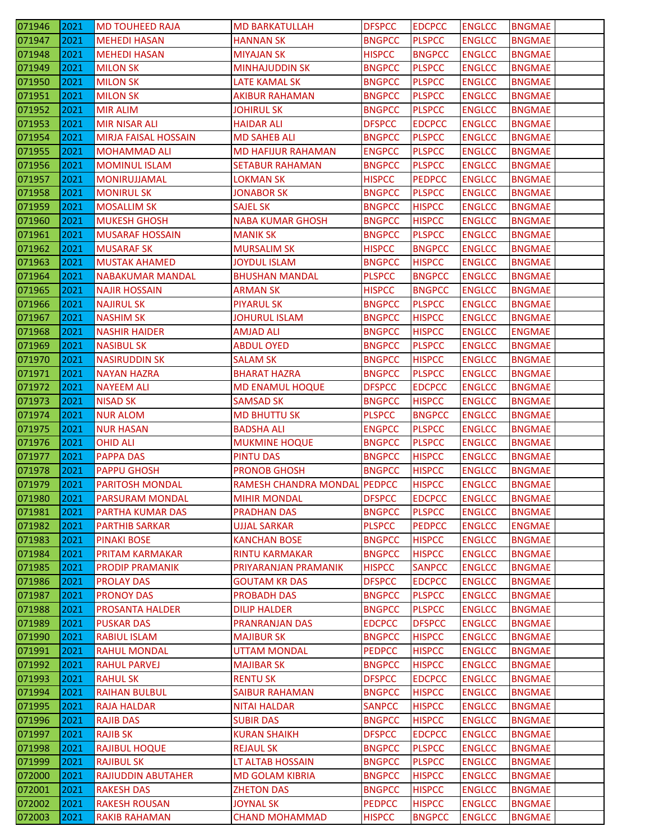| 071946 | 2021 | <b>MD TOUHEED RAJA</b>      | <b>MD BARKATULLAH</b>        | <b>DFSPCC</b> | <b>EDCPCC</b> | <b>ENGLCC</b> | <b>BNGMAE</b> |
|--------|------|-----------------------------|------------------------------|---------------|---------------|---------------|---------------|
| 071947 | 2021 | <b>MEHEDI HASAN</b>         | <b>HANNAN SK</b>             | <b>BNGPCC</b> | <b>PLSPCC</b> | <b>ENGLCC</b> | <b>BNGMAE</b> |
| 071948 | 2021 | <b>MEHEDI HASAN</b>         | <b>MIYAJAN SK</b>            | <b>HISPCC</b> | <b>BNGPCC</b> | <b>ENGLCC</b> | <b>BNGMAE</b> |
| 071949 | 2021 | <b>MILON SK</b>             | <b>MINHAJUDDIN SK</b>        | <b>BNGPCC</b> | <b>PLSPCC</b> | <b>ENGLCC</b> | <b>BNGMAE</b> |
| 071950 | 2021 | <b>MILON SK</b>             | LATE KAMAL SK                | <b>BNGPCC</b> | <b>PLSPCC</b> | <b>ENGLCC</b> | <b>BNGMAE</b> |
| 071951 | 2021 | <b>MILON SK</b>             | <b>AKIBUR RAHAMAN</b>        | <b>BNGPCC</b> | <b>PLSPCC</b> | <b>ENGLCC</b> | <b>BNGMAE</b> |
| 071952 | 2021 | MIR ALIM                    | JOHIRUL SK                   | <b>BNGPCC</b> | <b>PLSPCC</b> | <b>ENGLCC</b> | <b>BNGMAE</b> |
| 071953 | 2021 | <b>MIR NISAR ALI</b>        | <b>HAIDAR ALI</b>            | <b>DFSPCC</b> | <b>EDCPCC</b> | <b>ENGLCC</b> | <b>BNGMAE</b> |
| 071954 | 2021 | <b>MIRJA FAISAL HOSSAIN</b> | <b>MD SAHEB ALI</b>          | <b>BNGPCC</b> | <b>PLSPCC</b> | <b>ENGLCC</b> | <b>BNGMAE</b> |
| 071955 | 2021 | <b>MOHAMMAD ALI</b>         | <b>MD HAFIJUR RAHAMAN</b>    | <b>ENGPCC</b> | <b>PLSPCC</b> | <b>ENGLCC</b> | <b>BNGMAE</b> |
| 071956 | 2021 | <b>MOMINUL ISLAM</b>        | <b>SETABUR RAHAMAN</b>       | <b>BNGPCC</b> | <b>PLSPCC</b> | <b>ENGLCC</b> | <b>BNGMAE</b> |
| 071957 | 2021 | MONIRUJJAMAL                | LOKMAN SK                    | <b>HISPCC</b> | <b>PEDPCC</b> | <b>ENGLCC</b> | <b>BNGMAE</b> |
| 071958 | 2021 | <b>MONIRUL SK</b>           | <b>JONABOR SK</b>            | <b>BNGPCC</b> | <b>PLSPCC</b> | <b>ENGLCC</b> | <b>BNGMAE</b> |
| 071959 | 2021 | <b>MOSALLIM SK</b>          | <b>SAJEL SK</b>              | <b>BNGPCC</b> | <b>HISPCC</b> | <b>ENGLCC</b> | <b>BNGMAE</b> |
| 071960 | 2021 | <b>MUKESH GHOSH</b>         | <b>NABA KUMAR GHOSH</b>      | <b>BNGPCC</b> | <b>HISPCC</b> | <b>ENGLCC</b> | <b>BNGMAE</b> |
| 071961 | 2021 | <b>MUSARAF HOSSAIN</b>      | <b>MANIK SK</b>              | <b>BNGPCC</b> | <b>PLSPCC</b> | <b>ENGLCC</b> | <b>BNGMAE</b> |
| 071962 | 2021 | <b>MUSARAF SK</b>           | <b>MURSALIM SK</b>           | <b>HISPCC</b> | <b>BNGPCC</b> | <b>ENGLCC</b> | <b>BNGMAE</b> |
| 071963 | 2021 | <b>MUSTAK AHAMED</b>        | <b>JOYDUL ISLAM</b>          | <b>BNGPCC</b> | <b>HISPCC</b> | <b>ENGLCC</b> | <b>BNGMAE</b> |
| 071964 | 2021 | <b>NABAKUMAR MANDAL</b>     | <b>BHUSHAN MANDAL</b>        | <b>PLSPCC</b> | <b>BNGPCC</b> | <b>ENGLCC</b> | <b>BNGMAE</b> |
| 071965 | 2021 | <b>NAJIR HOSSAIN</b>        | <b>ARMAN SK</b>              | <b>HISPCC</b> | <b>BNGPCC</b> | <b>ENGLCC</b> | <b>BNGMAE</b> |
| 071966 | 2021 | <b>NAJIRUL SK</b>           | <b>PIYARUL SK</b>            | <b>BNGPCC</b> | <b>PLSPCC</b> | <b>ENGLCC</b> | <b>BNGMAE</b> |
|        |      |                             |                              |               |               |               |               |
| 071967 | 2021 | <b>NASHIM SK</b>            | <b>JOHURUL ISLAM</b>         | <b>BNGPCC</b> | <b>HISPCC</b> | <b>ENGLCC</b> | <b>BNGMAE</b> |
| 071968 | 2021 | <b>NASHIR HAIDER</b>        | <b>AMJAD ALI</b>             | <b>BNGPCC</b> | <b>HISPCC</b> | <b>ENGLCC</b> | <b>ENGMAE</b> |
| 071969 | 2021 | <b>NASIBUL SK</b>           | <b>ABDUL OYED</b>            | <b>BNGPCC</b> | <b>PLSPCC</b> | <b>ENGLCC</b> | <b>BNGMAE</b> |
| 071970 | 2021 | <b>NASIRUDDIN SK</b>        | <b>SALAM SK</b>              | <b>BNGPCC</b> | <b>HISPCC</b> | <b>ENGLCC</b> | <b>BNGMAE</b> |
| 071971 | 2021 | <b>NAYAN HAZRA</b>          | <b>BHARAT HAZRA</b>          | <b>BNGPCC</b> | <b>PLSPCC</b> | <b>ENGLCC</b> | <b>BNGMAE</b> |
| 071972 | 2021 | <b>NAYEEM ALI</b>           | <b>MD ENAMUL HOQUE</b>       | <b>DFSPCC</b> | <b>EDCPCC</b> | <b>ENGLCC</b> | <b>BNGMAE</b> |
| 071973 | 2021 | <b>NISAD SK</b>             | <b>SAMSAD SK</b>             | <b>BNGPCC</b> | <b>HISPCC</b> | <b>ENGLCC</b> | <b>BNGMAE</b> |
| 071974 | 2021 | <b>NUR ALOM</b>             | <b>MD BHUTTU SK</b>          | <b>PLSPCC</b> | <b>BNGPCC</b> | <b>ENGLCC</b> | BNGMAE        |
| 071975 | 2021 | <b>NUR HASAN</b>            | <b>BADSHA ALI</b>            | <b>ENGPCC</b> | <b>PLSPCC</b> | <b>ENGLCC</b> | <b>BNGMAE</b> |
| 071976 | 2021 | <b>OHID ALI</b>             | <b>MUKMINE HOQUE</b>         | <b>BNGPCC</b> | <b>PLSPCC</b> | <b>ENGLCC</b> | <b>BNGMAE</b> |
| 071977 | 2021 | <b>PAPPA DAS</b>            | PINTU DAS                    | <b>BNGPCC</b> | <b>HISPCC</b> | <b>ENGLCC</b> | <b>BNGMAE</b> |
| 071978 | 2021 | <b>PAPPU GHOSH</b>          | <b>PRONOB GHOSH</b>          | <b>BNGPCC</b> | <b>HISPCC</b> | <b>ENGLCC</b> | <b>BNGMAE</b> |
| 071979 | 2021 | <b>PARITOSH MONDAL</b>      | RAMESH CHANDRA MONDAL PEDPCC |               | <b>HISPCC</b> | <b>ENGLCC</b> | <b>BNGMAE</b> |
| 071980 | 2021 | <b>PARSURAM MONDAL</b>      | <b>MIHIR MONDAL</b>          | <b>DFSPCC</b> | <b>EDCPCC</b> | <b>ENGLCC</b> | <b>BNGMAE</b> |
| 071981 | 2021 | PARTHA KUMAR DAS            | <b>PRADHAN DAS</b>           | <b>BNGPCC</b> | <b>PLSPCC</b> | <b>ENGLCC</b> | <b>BNGMAE</b> |
| 071982 | 2021 | <b>PARTHIB SARKAR</b>       | <b>UJJAL SARKAR</b>          | <b>PLSPCC</b> | <b>PEDPCC</b> | <b>ENGLCC</b> | <b>ENGMAE</b> |
| 071983 | 2021 | <b>PINAKI BOSE</b>          | <b>KANCHAN BOSE</b>          | <b>BNGPCC</b> | <b>HISPCC</b> | <b>ENGLCC</b> | <b>BNGMAE</b> |
| 071984 | 2021 | PRITAM KARMAKAR             | <b>RINTU KARMAKAR</b>        | <b>BNGPCC</b> | <b>HISPCC</b> | <b>ENGLCC</b> | <b>BNGMAE</b> |
| 071985 | 2021 | <b>PRODIP PRAMANIK</b>      | PRIYARANJAN PRAMANIK         | <b>HISPCC</b> | <b>SANPCC</b> | <b>ENGLCC</b> | <b>BNGMAE</b> |
| 071986 | 2021 | <b>PROLAY DAS</b>           | <b>GOUTAM KR DAS</b>         | <b>DFSPCC</b> | <b>EDCPCC</b> | <b>ENGLCC</b> | <b>BNGMAE</b> |
| 071987 | 2021 | <b>PRONOY DAS</b>           | <b>PROBADH DAS</b>           | <b>BNGPCC</b> | <b>PLSPCC</b> | <b>ENGLCC</b> | <b>BNGMAE</b> |
| 071988 | 2021 | PROSANTA HALDER             | <b>DILIP HALDER</b>          | <b>BNGPCC</b> | <b>PLSPCC</b> | <b>ENGLCC</b> | <b>BNGMAE</b> |
| 071989 | 2021 | <b>PUSKAR DAS</b>           | <b>PRANRANJAN DAS</b>        | <b>EDCPCC</b> | <b>DFSPCC</b> | <b>ENGLCC</b> | <b>BNGMAE</b> |
| 071990 | 2021 | <b>RABIUL ISLAM</b>         | <b>MAJIBUR SK</b>            | <b>BNGPCC</b> | <b>HISPCC</b> | <b>ENGLCC</b> | <b>BNGMAE</b> |
| 071991 | 2021 | <b>RAHUL MONDAL</b>         | <b>UTTAM MONDAL</b>          | <b>PEDPCC</b> | <b>HISPCC</b> | <b>ENGLCC</b> | <b>BNGMAE</b> |
| 071992 | 2021 | <b>RAHUL PARVEJ</b>         | <b>MAJIBAR SK</b>            | <b>BNGPCC</b> | <b>HISPCC</b> | <b>ENGLCC</b> | <b>BNGMAE</b> |
| 071993 | 2021 | <b>RAHUL SK</b>             | <b>RENTU SK</b>              | <b>DFSPCC</b> | <b>EDCPCC</b> | <b>ENGLCC</b> | <b>BNGMAE</b> |
| 071994 | 2021 | <b>RAIHAN BULBUL</b>        | <b>SAIBUR RAHAMAN</b>        | <b>BNGPCC</b> | <b>HISPCC</b> | <b>ENGLCC</b> | <b>BNGMAE</b> |
| 071995 | 2021 | <b>RAJA HALDAR</b>          | <b>NITAI HALDAR</b>          | <b>SANPCC</b> | <b>HISPCC</b> | <b>ENGLCC</b> | <b>BNGMAE</b> |
| 071996 | 2021 | <b>RAJIB DAS</b>            | <b>SUBIR DAS</b>             | <b>BNGPCC</b> | <b>HISPCC</b> | <b>ENGLCC</b> | <b>BNGMAE</b> |
| 071997 | 2021 | <b>RAJIB SK</b>             | <b>KURAN SHAIKH</b>          | <b>DFSPCC</b> | <b>EDCPCC</b> | <b>ENGLCC</b> | <b>BNGMAE</b> |
| 071998 | 2021 | <b>RAJIBUL HOQUE</b>        | <b>REJAUL SK</b>             | <b>BNGPCC</b> | <b>PLSPCC</b> | <b>ENGLCC</b> | <b>BNGMAE</b> |
| 071999 | 2021 | <b>RAJIBUL SK</b>           | LT ALTAB HOSSAIN             | <b>BNGPCC</b> | <b>PLSPCC</b> | <b>ENGLCC</b> | <b>BNGMAE</b> |
| 072000 | 2021 | <b>RAJIUDDIN ABUTAHER</b>   | <b>MD GOLAM KIBRIA</b>       | <b>BNGPCC</b> | <b>HISPCC</b> | <b>ENGLCC</b> | <b>BNGMAE</b> |
| 072001 | 2021 | <b>RAKESH DAS</b>           | <b>ZHETON DAS</b>            | <b>BNGPCC</b> | <b>HISPCC</b> | <b>ENGLCC</b> | <b>BNGMAE</b> |
| 072002 | 2021 | <b>RAKESH ROUSAN</b>        | <b>JOYNAL SK</b>             | <b>PEDPCC</b> | <b>HISPCC</b> | <b>ENGLCC</b> | <b>BNGMAE</b> |
| 072003 | 2021 | <b>RAKIB RAHAMAN</b>        | <b>CHAND MOHAMMAD</b>        | <b>HISPCC</b> | <b>BNGPCC</b> | <b>ENGLCC</b> | <b>BNGMAE</b> |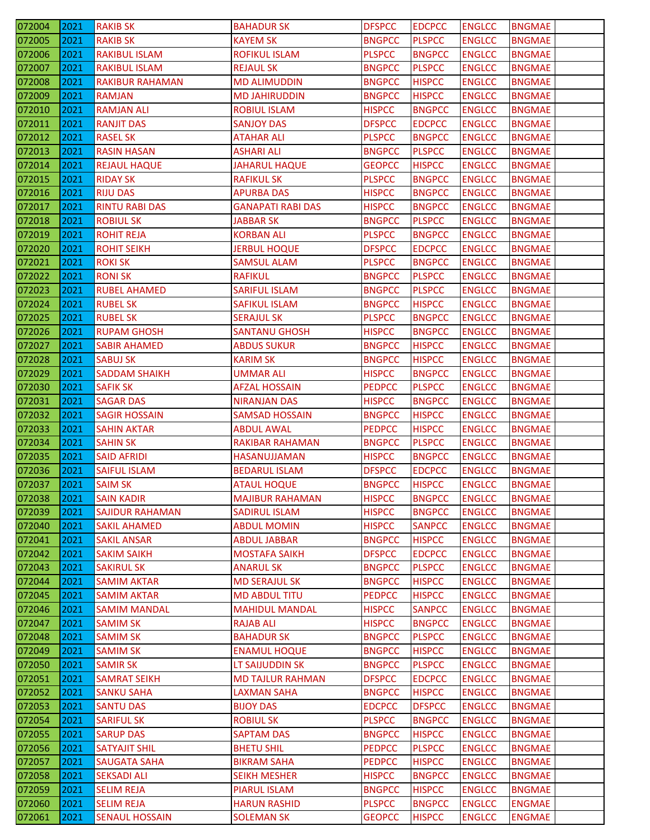| 072004           | 2021 | <b>RAKIB SK</b>        | <b>BAHADUR SK</b>                          | <b>DFSPCC</b> | <b>EDCPCC</b> | <b>ENGLCC</b> | <b>BNGMAE</b>                  |
|------------------|------|------------------------|--------------------------------------------|---------------|---------------|---------------|--------------------------------|
| 072005           | 2021 | <b>RAKIB SK</b>        | <b>KAYEM SK</b>                            | <b>BNGPCC</b> | <b>PLSPCC</b> | <b>ENGLCC</b> | <b>BNGMAE</b>                  |
| 072006           | 2021 | RAKIBUL ISLAM          | <b>ROFIKUL ISLAM</b>                       | <b>PLSPCC</b> | <b>BNGPCC</b> | <b>ENGLCC</b> | <b>BNGMAE</b>                  |
| 072007           | 2021 | <b>RAKIBUL ISLAM</b>   | <b>REJAUL SK</b>                           | <b>BNGPCC</b> | <b>PLSPCC</b> | <b>ENGLCC</b> | <b>BNGMAE</b>                  |
| 072008           | 2021 | <b>RAKIBUR RAHAMAN</b> | <b>MD ALIMUDDIN</b>                        | <b>BNGPCC</b> | <b>HISPCC</b> | <b>ENGLCC</b> | <b>BNGMAE</b>                  |
| 072009           | 2021 | <b>RAMJAN</b>          | <b>MD JAHIRUDDIN</b>                       | <b>BNGPCC</b> | <b>HISPCC</b> | <b>ENGLCC</b> | <b>BNGMAE</b>                  |
| 072010           | 2021 | <b>RAMJAN ALI</b>      | <b>ROBIUL ISLAM</b>                        | <b>HISPCC</b> | <b>BNGPCC</b> | <b>ENGLCC</b> | <b>BNGMAE</b>                  |
| 072011           | 2021 | <b>RANJIT DAS</b>      | <b>SANJOY DAS</b>                          | <b>DFSPCC</b> | <b>EDCPCC</b> | <b>ENGLCC</b> | <b>BNGMAE</b>                  |
| 072012           | 2021 | <b>RASEL SK</b>        | <b>ATAHAR ALI</b>                          | <b>PLSPCC</b> | <b>BNGPCC</b> | <b>ENGLCC</b> | <b>BNGMAE</b>                  |
| 072013           | 2021 | <b>RASIN HASAN</b>     | <b>ASHARI ALI</b>                          | <b>BNGPCC</b> | <b>PLSPCC</b> | <b>ENGLCC</b> | <b>BNGMAE</b>                  |
| 072014           | 2021 | <b>REJAUL HAQUE</b>    | <b>JAHARUL HAQUE</b>                       | <b>GEOPCC</b> | <b>HISPCC</b> | <b>ENGLCC</b> | <b>BNGMAE</b>                  |
| 072015           | 2021 | <b>RIDAY SK</b>        | <b>RAFIKUL SK</b>                          | <b>PLSPCC</b> | <b>BNGPCC</b> | <b>ENGLCC</b> | <b>BNGMAE</b>                  |
| 072016           | 2021 | <b>RIJU DAS</b>        | <b>APURBA DAS</b>                          | <b>HISPCC</b> | <b>BNGPCC</b> | <b>ENGLCC</b> | <b>BNGMAE</b>                  |
| 072017           | 2021 | <b>RINTU RABI DAS</b>  | <b>GANAPATI RABI DAS</b>                   | <b>HISPCC</b> | <b>BNGPCC</b> | <b>ENGLCC</b> | <b>BNGMAE</b>                  |
| 072018           | 2021 | <b>ROBIUL SK</b>       | <b>JABBAR SK</b>                           | <b>BNGPCC</b> | <b>PLSPCC</b> | <b>ENGLCC</b> | <b>BNGMAE</b>                  |
| 072019           | 2021 | <b>ROHIT REJA</b>      | <b>KORBAN ALI</b>                          | <b>PLSPCC</b> | <b>BNGPCC</b> | <b>ENGLCC</b> | <b>BNGMAE</b>                  |
| 072020           | 2021 | <b>ROHIT SEIKH</b>     | <b>JERBUL HOQUE</b>                        | <b>DFSPCC</b> | <b>EDCPCC</b> | <b>ENGLCC</b> | <b>BNGMAE</b>                  |
| 072021           | 2021 | <b>ROKI SK</b>         | <b>SAMSUL ALAM</b>                         | <b>PLSPCC</b> | <b>BNGPCC</b> | <b>ENGLCC</b> | <b>BNGMAE</b>                  |
| 072022           | 2021 | <b>RONISK</b>          | <b>RAFIKUL</b>                             | <b>BNGPCC</b> | <b>PLSPCC</b> | <b>ENGLCC</b> | <b>BNGMAE</b>                  |
| 072023           | 2021 | <b>RUBEL AHAMED</b>    | <b>SARIFUL ISLAM</b>                       | <b>BNGPCC</b> | <b>PLSPCC</b> | <b>ENGLCC</b> | <b>BNGMAE</b>                  |
| 072024           | 2021 | <b>RUBEL SK</b>        | SAFIKUL ISLAM                              | <b>BNGPCC</b> | <b>HISPCC</b> | <b>ENGLCC</b> | <b>BNGMAE</b>                  |
| 072025           | 2021 | <b>RUBEL SK</b>        | <b>SERAJUL SK</b>                          | <b>PLSPCC</b> | <b>BNGPCC</b> | <b>ENGLCC</b> | <b>BNGMAE</b>                  |
| 072026           | 2021 | <b>RUPAM GHOSH</b>     | <b>SANTANU GHOSH</b>                       | <b>HISPCC</b> | <b>BNGPCC</b> | <b>ENGLCC</b> | <b>BNGMAE</b>                  |
| 072027           | 2021 | <b>SABIR AHAMED</b>    | <b>ABDUS SUKUR</b>                         | <b>BNGPCC</b> | <b>HISPCC</b> | <b>ENGLCC</b> | <b>BNGMAE</b>                  |
| 072028           | 2021 | <b>SABUJ SK</b>        | <b>KARIM SK</b>                            | <b>BNGPCC</b> | <b>HISPCC</b> | <b>ENGLCC</b> | <b>BNGMAE</b>                  |
| 072029           | 2021 | <b>SADDAM SHAIKH</b>   | <b>UMMAR ALI</b>                           | <b>HISPCC</b> | <b>BNGPCC</b> | <b>ENGLCC</b> | <b>BNGMAE</b>                  |
| 072030           | 2021 | <b>SAFIK SK</b>        | <b>AFZAL HOSSAIN</b>                       | <b>PEDPCC</b> | <b>PLSPCC</b> | <b>ENGLCC</b> | <b>BNGMAE</b>                  |
| 072031           | 2021 | <b>SAGAR DAS</b>       | <b>NIRANJAN DAS</b>                        | <b>HISPCC</b> | <b>BNGPCC</b> | <b>ENGLCC</b> | <b>BNGMAE</b>                  |
| 072032           | 2021 | <b>SAGIR HOSSAIN</b>   | <b>SAMSAD HOSSAIN</b>                      | <b>BNGPCC</b> | <b>HISPCC</b> | <b>ENGLCC</b> | <b>BNGMAE</b>                  |
| 072033           | 2021 | <b>SAHIN AKTAR</b>     | <b>ABDUL AWAL</b>                          | <b>PEDPCC</b> | <b>HISPCC</b> | <b>ENGLCC</b> | <b>BNGMAE</b>                  |
| 072034           | 2021 | <b>SAHIN SK</b>        | RAKIBAR RAHAMAN                            | <b>BNGPCC</b> | <b>PLSPCC</b> | <b>ENGLCC</b> | <b>BNGMAE</b>                  |
| 072035           | 2021 | <b>SAID AFRIDI</b>     | HASANUJJAMAN                               | <b>HISPCC</b> | <b>BNGPCC</b> | <b>ENGLCC</b> | <b>BNGMAE</b>                  |
| 072036           | 2021 | <b>SAIFUL ISLAM</b>    | <b>BEDARUL ISLAM</b>                       | <b>DFSPCC</b> | <b>EDCPCC</b> | <b>ENGLCC</b> | <b>BNGMAE</b>                  |
| 072037           | 2021 | <b>SAIM SK</b>         | <b>ATAUL HOQUE</b>                         | <b>BNGPCC</b> | <b>HISPCC</b> | <b>ENGLCC</b> | <b>BNGMAE</b>                  |
| 072038           | 2021 | <b>SAIN KADIR</b>      | <b>MAJIBUR RAHAMAN</b>                     | <b>HISPCC</b> | <b>BNGPCC</b> | <b>ENGLCC</b> | <b>BNGMAE</b>                  |
| 072039           | 2021 | <b>SAJIDUR RAHAMAN</b> | <b>SADIRUL ISLAM</b>                       | <b>HISPCC</b> | <b>BNGPCC</b> | <b>ENGLCC</b> | <b>BNGMAE</b>                  |
| 072040           | 2021 | <b>SAKIL AHAMED</b>    | <b>ABDUL MOMIN</b>                         | <b>HISPCC</b> | <b>SANPCC</b> | <b>ENGLCC</b> | <b>BNGMAE</b>                  |
| 072041           | 2021 | <b>SAKIL ANSAR</b>     | <b>ABDUL JABBAR</b>                        | <b>BNGPCC</b> | <b>HISPCC</b> | <b>ENGLCC</b> | <b>BNGMAE</b>                  |
| 072042           | 2021 | <b>SAKIM SAIKH</b>     | <b>MOSTAFA SAIKH</b>                       | <b>DFSPCC</b> | <b>EDCPCC</b> | <b>ENGLCC</b> | <b>BNGMAE</b>                  |
| 072043           | 2021 | <b>SAKIRUL SK</b>      | <b>ANARUL SK</b>                           | <b>BNGPCC</b> | <b>PLSPCC</b> | <b>ENGLCC</b> | <b>BNGMAE</b>                  |
| 072044           | 2021 | <b>SAMIM AKTAR</b>     | <b>MD SERAJUL SK</b>                       | <b>BNGPCC</b> | <b>HISPCC</b> | <b>ENGLCC</b> | <b>BNGMAE</b>                  |
| 072045           | 2021 | <b>SAMIM AKTAR</b>     | <b>MD ABDUL TITU</b>                       | <b>PEDPCC</b> | <b>HISPCC</b> | <b>ENGLCC</b> | <b>BNGMAE</b>                  |
| 072046           | 2021 | <b>SAMIM MANDAL</b>    | <b>MAHIDUL MANDAL</b>                      | <b>HISPCC</b> | <b>SANPCC</b> | <b>ENGLCC</b> | <b>BNGMAE</b>                  |
| 072047           | 2021 | <b>SAMIM SK</b>        | <b>RAJAB ALI</b>                           | <b>HISPCC</b> | <b>BNGPCC</b> | <b>ENGLCC</b> | <b>BNGMAE</b>                  |
| 072048           | 2021 | <b>SAMIM SK</b>        | <b>BAHADUR SK</b>                          | <b>BNGPCC</b> | <b>PLSPCC</b> | <b>ENGLCC</b> | <b>BNGMAE</b>                  |
| 072049           | 2021 | <b>SAMIM SK</b>        | <b>ENAMUL HOQUE</b>                        | <b>BNGPCC</b> | <b>HISPCC</b> | <b>ENGLCC</b> | BNGMAE                         |
| 072050           | 2021 | <b>SAMIR SK</b>        | LT SAIJUDDIN SK                            | <b>BNGPCC</b> | <b>PLSPCC</b> | <b>ENGLCC</b> | <b>BNGMAE</b>                  |
| 072051           | 2021 | <b>SAMRAT SEIKH</b>    | <b>MD TAJLUR RAHMAN</b>                    | <b>DFSPCC</b> | <b>EDCPCC</b> | <b>ENGLCC</b> | <b>BNGMAE</b>                  |
| 072052           | 2021 | <b>SANKU SAHA</b>      | <b>LAXMAN SAHA</b>                         | <b>BNGPCC</b> | <b>HISPCC</b> | <b>ENGLCC</b> | <b>BNGMAE</b>                  |
| 072053           | 2021 | <b>SANTU DAS</b>       | <b>BIJOY DAS</b>                           | <b>EDCPCC</b> | <b>DFSPCC</b> | <b>ENGLCC</b> | <b>BNGMAE</b>                  |
| 072054           | 2021 | <b>SARIFUL SK</b>      | <b>ROBIUL SK</b>                           | <b>PLSPCC</b> | <b>BNGPCC</b> | <b>ENGLCC</b> | <b>BNGMAE</b>                  |
| 072055           | 2021 | <b>SARUP DAS</b>       | <b>SAPTAM DAS</b>                          | <b>BNGPCC</b> | <b>HISPCC</b> | <b>ENGLCC</b> | <b>BNGMAE</b>                  |
|                  | 2021 | <b>SATYAJIT SHIL</b>   | <b>BHETU SHIL</b>                          | <b>PEDPCC</b> | <b>PLSPCC</b> | <b>ENGLCC</b> | <b>BNGMAE</b>                  |
| 072056<br>072057 | 2021 | <b>SAUGATA SAHA</b>    | <b>BIKRAM SAHA</b>                         | <b>PEDPCC</b> | <b>HISPCC</b> | <b>ENGLCC</b> | <b>BNGMAE</b>                  |
|                  | 2021 | <b>SEKSADI ALI</b>     |                                            | <b>HISPCC</b> | <b>BNGPCC</b> | <b>ENGLCC</b> | <b>BNGMAE</b>                  |
| 072058           | 2021 | <b>SELIM REJA</b>      | <b>SEIKH MESHER</b>                        | <b>BNGPCC</b> | <b>HISPCC</b> | <b>ENGLCC</b> |                                |
| 072059<br>072060 | 2021 | <b>SELIM REJA</b>      | <b>PIARUL ISLAM</b><br><b>HARUN RASHID</b> | <b>PLSPCC</b> | <b>BNGPCC</b> | <b>ENGLCC</b> | <b>BNGMAE</b><br><b>ENGMAE</b> |
|                  |      |                        |                                            |               |               |               |                                |
| 072061           | 2021 | <b>SENAUL HOSSAIN</b>  | <b>SOLEMAN SK</b>                          | <b>GEOPCC</b> | <b>HISPCC</b> | <b>ENGLCC</b> | <b>ENGMAE</b>                  |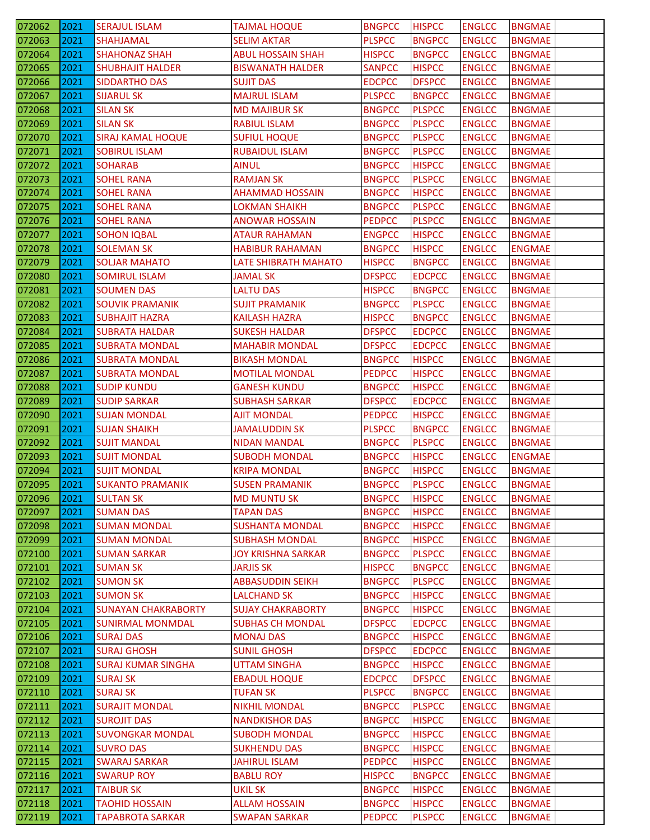| 072062                                         | 2021 | <b>SERAJUL ISLAM</b>                      | <b>TAJMAL HOQUE</b>          | <b>BNGPCC</b> | <b>HISPCC</b> | <b>ENGLCC</b> | <b>BNGMAE</b> |
|------------------------------------------------|------|-------------------------------------------|------------------------------|---------------|---------------|---------------|---------------|
| 072063                                         | 2021 | <b>SHAHJAMAL</b>                          | <b>SELIM AKTAR</b>           | <b>PLSPCC</b> | <b>BNGPCC</b> | <b>ENGLCC</b> | <b>BNGMAE</b> |
| 072064                                         | 2021 | <b>SHAHONAZ SHAH</b>                      | <b>ABUL HOSSAIN SHAH</b>     | <b>HISPCC</b> | <b>BNGPCC</b> | <b>ENGLCC</b> | <b>BNGMAE</b> |
| 072065                                         | 2021 | <b>SHUBHAJIT HALDER</b>                   | <b>BISWANATH HALDER</b>      | <b>SANPCC</b> | <b>HISPCC</b> | <b>ENGLCC</b> | <b>BNGMAE</b> |
| 072066                                         | 2021 | <b>SIDDARTHO DAS</b>                      | <b>SUJIT DAS</b>             | <b>EDCPCC</b> | <b>DFSPCC</b> | <b>ENGLCC</b> | <b>BNGMAE</b> |
| 072067                                         | 2021 | <b>SIJARUL SK</b>                         | <b>MAJRUL ISLAM</b>          | <b>PLSPCC</b> | <b>BNGPCC</b> | <b>ENGLCC</b> | <b>BNGMAE</b> |
| 072068                                         | 2021 | <b>SILAN SK</b>                           | <b>MD MAJIBUR SK</b>         | <b>BNGPCC</b> | <b>PLSPCC</b> | <b>ENGLCC</b> | <b>BNGMAE</b> |
| 072069                                         | 2021 | <b>SILAN SK</b>                           | <b>RABIUL ISLAM</b>          | <b>BNGPCC</b> | <b>PLSPCC</b> | <b>ENGLCC</b> | <b>BNGMAE</b> |
| 072070                                         | 2021 | <b>SIRAJ KAMAL HOQUE</b>                  | <b>SUFIUL HOQUE</b>          | <b>BNGPCC</b> | <b>PLSPCC</b> | <b>ENGLCC</b> | <b>BNGMAE</b> |
| 072071                                         | 2021 | <b>SOBIRUL ISLAM</b>                      | RUBAIDUL ISLAM               | <b>BNGPCC</b> | <b>PLSPCC</b> | <b>ENGLCC</b> | <b>BNGMAE</b> |
| 072072                                         | 2021 | <b>SOHARAB</b>                            | <b>AINUL</b>                 | <b>BNGPCC</b> | <b>HISPCC</b> | <b>ENGLCC</b> | <b>BNGMAE</b> |
| 072073                                         | 2021 | <b>SOHEL RANA</b>                         | <b>RAMJAN SK</b>             | <b>BNGPCC</b> | <b>PLSPCC</b> | <b>ENGLCC</b> | <b>BNGMAE</b> |
| 072074                                         | 2021 | <b>SOHEL RANA</b>                         | <b>AHAMMAD HOSSAIN</b>       | <b>BNGPCC</b> | <b>HISPCC</b> | <b>ENGLCC</b> | <b>BNGMAE</b> |
| 072075                                         | 2021 | <b>SOHEL RANA</b>                         | <b>LOKMAN SHAIKH</b>         | <b>BNGPCC</b> | <b>PLSPCC</b> | <b>ENGLCC</b> | <b>BNGMAE</b> |
| 072076                                         | 2021 | <b>SOHEL RANA</b>                         | <b>ANOWAR HOSSAIN</b>        | <b>PEDPCC</b> | <b>PLSPCC</b> | <b>ENGLCC</b> | <b>BNGMAE</b> |
| 072077                                         | 2021 | <b>SOHON IQBAL</b>                        | <b>ATAUR RAHAMAN</b>         | <b>ENGPCC</b> | <b>HISPCC</b> | <b>ENGLCC</b> | <b>BNGMAE</b> |
| 072078                                         | 2021 | <b>SOLEMAN SK</b>                         | <b>HABIBUR RAHAMAN</b>       | <b>BNGPCC</b> | <b>HISPCC</b> | <b>ENGLCC</b> | <b>ENGMAE</b> |
| 072079                                         | 2021 | <b>SOLJAR MAHATO</b>                      | LATE SHIBRATH MAHATO         | <b>HISPCC</b> | <b>BNGPCC</b> | <b>ENGLCC</b> | <b>BNGMAE</b> |
|                                                | 2021 |                                           |                              | <b>DFSPCC</b> | <b>EDCPCC</b> | <b>ENGLCC</b> | <b>BNGMAE</b> |
| 072080<br>072081                               | 2021 | <b>SOMIRUL ISLAM</b><br><b>SOUMEN DAS</b> | JAMAL SK<br><b>LALTU DAS</b> | <b>HISPCC</b> | <b>BNGPCC</b> | <b>ENGLCC</b> | <b>BNGMAE</b> |
|                                                |      |                                           |                              |               |               |               |               |
| 072082                                         | 2021 | <b>SOUVIK PRAMANIK</b>                    | <b>SUJIT PRAMANIK</b>        | <b>BNGPCC</b> | <b>PLSPCC</b> | <b>ENGLCC</b> | <b>BNGMAE</b> |
| 072083                                         | 2021 | <b>SUBHAJIT HAZRA</b>                     | <b>KAILASH HAZRA</b>         | <b>HISPCC</b> | <b>BNGPCC</b> | <b>ENGLCC</b> | <b>BNGMAE</b> |
| 072084                                         | 2021 | <b>SUBRATA HALDAR</b>                     | <b>SUKESH HALDAR</b>         | <b>DFSPCC</b> | <b>EDCPCC</b> | <b>ENGLCC</b> | <b>BNGMAE</b> |
| 072085                                         | 2021 | <b>SUBRATA MONDAL</b>                     | <b>MAHABIR MONDAL</b>        | <b>DFSPCC</b> | <b>EDCPCC</b> | <b>ENGLCC</b> | <b>BNGMAE</b> |
| 072086                                         | 2021 | <b>SUBRATA MONDAL</b>                     | <b>BIKASH MONDAL</b>         | <b>BNGPCC</b> | <b>HISPCC</b> | <b>ENGLCC</b> | <b>BNGMAE</b> |
| 072087                                         | 2021 | <b>SUBRATA MONDAL</b>                     | <b>MOTILAL MONDAL</b>        | <b>PEDPCC</b> | <b>HISPCC</b> | <b>ENGLCC</b> | <b>BNGMAE</b> |
| 072088                                         | 2021 | <b>SUDIP KUNDU</b>                        | <b>GANESH KUNDU</b>          | <b>BNGPCC</b> | <b>HISPCC</b> | <b>ENGLCC</b> | <b>BNGMAE</b> |
| 072089                                         | 2021 | <b>SUDIP SARKAR</b>                       | <b>SUBHASH SARKAR</b>        | <b>DFSPCC</b> | <b>EDCPCC</b> | <b>ENGLCC</b> | <b>BNGMAE</b> |
| 072090                                         | 2021 | <b>SUJAN MONDAL</b>                       | <b>AJIT MONDAL</b>           | <b>PEDPCC</b> | <b>HISPCC</b> | <b>ENGLCC</b> | <b>BNGMAE</b> |
|                                                |      |                                           |                              |               |               |               |               |
| 072091                                         | 2021 | <b>SUJAN SHAIKH</b>                       | <b>JAMALUDDIN SK</b>         | <b>PLSPCC</b> | <b>BNGPCC</b> | <b>ENGLCC</b> | <b>BNGMAE</b> |
|                                                | 2021 | <b>SUJIT MANDAL</b>                       | <b>NIDAN MANDAL</b>          | <b>BNGPCC</b> | <b>PLSPCC</b> | <b>ENGLCC</b> | <b>BNGMAE</b> |
| 072092<br>072093                               | 2021 | <b>SUJIT MONDAL</b>                       | <b>SUBODH MONDAL</b>         | <b>BNGPCC</b> | <b>HISPCC</b> | <b>ENGLCC</b> | <b>ENGMAE</b> |
| 072094                                         | 2021 | <b>SUJIT MONDAL</b>                       | <b>KRIPA MONDAL</b>          | <b>BNGPCC</b> | <b>HISPCC</b> | <b>ENGLCC</b> | <b>BNGMAE</b> |
| 072095                                         | 2021 | <b>SUKANTO PRAMANIK</b>                   | <b>SUSEN PRAMANIK</b>        | <b>BNGPCC</b> | <b>PLSPCC</b> | <b>ENGLCC</b> | <b>BNGMAE</b> |
| 072096                                         | 2021 | <b>SULTAN SK</b>                          | <b>MD MUNTU SK</b>           | <b>BNGPCC</b> | <b>HISPCC</b> | <b>ENGLCC</b> | <b>BNGMAE</b> |
| 072097                                         | 2021 | <b>SUMAN DAS</b>                          | <b>TAPAN DAS</b>             | <b>BNGPCC</b> | <b>HISPCC</b> | <b>ENGLCC</b> | <b>BNGMAE</b> |
| 072098                                         | 2021 | <b>SUMAN MONDAL</b>                       | <b>SUSHANTA MONDAL</b>       | <b>BNGPCC</b> | <b>HISPCC</b> | <b>ENGLCC</b> | <b>BNGMAE</b> |
| 072099                                         | 2021 | <b>SUMAN MONDAL</b>                       | <b>SUBHASH MONDAL</b>        | <b>BNGPCC</b> | <b>HISPCC</b> | <b>ENGLCC</b> | <b>BNGMAE</b> |
| 072100                                         | 2021 | <b>SUMAN SARKAR</b>                       | <b>JOY KRISHNA SARKAR</b>    | <b>BNGPCC</b> | <b>PLSPCC</b> | <b>ENGLCC</b> | <b>BNGMAE</b> |
| 072101                                         | 2021 | <b>SUMAN SK</b>                           | <b>JARJIS SK</b>             | <b>HISPCC</b> | <b>BNGPCC</b> | <b>ENGLCC</b> | <b>BNGMAE</b> |
|                                                | 2021 | <b>SUMON SK</b>                           | <b>ABBASUDDIN SEIKH</b>      | <b>BNGPCC</b> | <b>PLSPCC</b> | <b>ENGLCC</b> | <b>BNGMAE</b> |
|                                                | 2021 | <b>SUMON SK</b>                           | <b>LALCHAND SK</b>           | <b>BNGPCC</b> | <b>HISPCC</b> | <b>ENGLCC</b> | <b>BNGMAE</b> |
|                                                | 2021 | <b>SUNAYAN CHAKRABORTY</b>                | <b>SUJAY CHAKRABORTY</b>     | <b>BNGPCC</b> | <b>HISPCC</b> | <b>ENGLCC</b> | <b>BNGMAE</b> |
| 072102<br>072103<br>072104<br>072105           | 2021 | <b>SUNIRMAL MONMDAL</b>                   | <b>SUBHAS CH MONDAL</b>      | <b>DFSPCC</b> | <b>EDCPCC</b> | <b>ENGLCC</b> | <b>BNGMAE</b> |
|                                                | 2021 | <b>SURAJ DAS</b>                          | <b>MONAJ DAS</b>             | <b>BNGPCC</b> | <b>HISPCC</b> | <b>ENGLCC</b> | <b>BNGMAE</b> |
| 072106<br>072107                               | 2021 | <b>SURAJ GHOSH</b>                        | <b>SUNIL GHOSH</b>           | <b>DFSPCC</b> | <b>EDCPCC</b> | <b>ENGLCC</b> | <b>BNGMAE</b> |
|                                                | 2021 | <b>SURAJ KUMAR SINGHA</b>                 | <b>UTTAM SINGHA</b>          | <b>BNGPCC</b> | <b>HISPCC</b> | <b>ENGLCC</b> | <b>BNGMAE</b> |
|                                                | 2021 | <b>SURAJ SK</b>                           | <b>EBADUL HOQUE</b>          | <b>EDCPCC</b> | <b>DFSPCC</b> | <b>ENGLCC</b> | <b>BNGMAE</b> |
|                                                | 2021 | <b>SURAJ SK</b>                           | <b>TUFAN SK</b>              | <b>PLSPCC</b> | <b>BNGPCC</b> | <b>ENGLCC</b> | <b>BNGMAE</b> |
|                                                | 2021 | <b>SURAJIT MONDAL</b>                     | <b>NIKHIL MONDAL</b>         | <b>BNGPCC</b> | <b>PLSPCC</b> | <b>ENGLCC</b> | <b>BNGMAE</b> |
| 072108<br>072109<br>072110<br>072111<br>072112 | 2021 | <b>SUROJIT DAS</b>                        | <b>NANDKISHOR DAS</b>        | <b>BNGPCC</b> | <b>HISPCC</b> | <b>ENGLCC</b> | <b>BNGMAE</b> |
| 072113                                         | 2021 | <b>SUVONGKAR MONDAL</b>                   | <b>SUBODH MONDAL</b>         | <b>BNGPCC</b> | <b>HISPCC</b> | <b>ENGLCC</b> | <b>BNGMAE</b> |
| 072114                                         | 2021 | <b>SUVRO DAS</b>                          | <b>SUKHENDU DAS</b>          | <b>BNGPCC</b> | <b>HISPCC</b> | <b>ENGLCC</b> | <b>BNGMAE</b> |
| 072115                                         | 2021 | <b>SWARAJ SARKAR</b>                      | <b>JAHIRUL ISLAM</b>         | <b>PEDPCC</b> | <b>HISPCC</b> | <b>ENGLCC</b> | <b>BNGMAE</b> |
| 072116                                         | 2021 | <b>SWARUP ROY</b>                         | <b>BABLU ROY</b>             | <b>HISPCC</b> | <b>BNGPCC</b> | <b>ENGLCC</b> | <b>BNGMAE</b> |
| 072117                                         | 2021 | <b>TAIBUR SK</b>                          | <b>UKIL SK</b>               | <b>BNGPCC</b> | <b>HISPCC</b> | <b>ENGLCC</b> | <b>BNGMAE</b> |
| 072118                                         | 2021 | <b>TAOHID HOSSAIN</b>                     | <b>ALLAM HOSSAIN</b>         | <b>BNGPCC</b> | <b>HISPCC</b> | <b>ENGLCC</b> | <b>BNGMAE</b> |